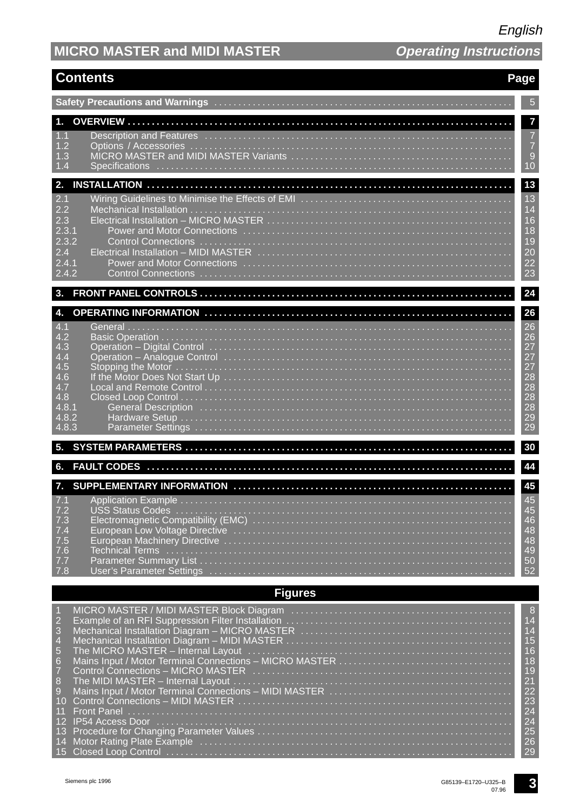**Operating Instructions**

# **MICRO MASTER and MIDI MASTER**

# **Contents Page**

|                |                                                                                                                | $\overline{5}$ |
|----------------|----------------------------------------------------------------------------------------------------------------|----------------|
| $\mathbf{1}$ . |                                                                                                                | 7              |
| 1.1            |                                                                                                                | 7              |
| 1.2            |                                                                                                                | $\overline{7}$ |
| 1.3            |                                                                                                                | $\overline{9}$ |
| 1.4            |                                                                                                                | 10             |
| 2.             |                                                                                                                | 13             |
| 2.1            |                                                                                                                | 13             |
| 2.2            |                                                                                                                | 14             |
| 2.3            |                                                                                                                | 16             |
| 2.3.1          | Power and Motor Connections (i.e., i.e., i.e., i.e., i.e., i.e., i.e., i.e., i.e., i.e., i.e., i.e., i.e., i.e | 18             |
| 2.3.2          |                                                                                                                | 19             |
| 2.4            |                                                                                                                | 20             |
| 2.4.1          |                                                                                                                | 22             |
| 2.4.2          |                                                                                                                | 23             |
| 3.             |                                                                                                                | 24             |
| 4.             |                                                                                                                | 26             |
| 4.1            |                                                                                                                | 26             |
| 4.2            |                                                                                                                | 26             |
| 4.3            |                                                                                                                | 27             |
| 4.4            |                                                                                                                | 27             |
| 4.5            |                                                                                                                | 27             |
| 4.6            |                                                                                                                | 28             |
| 4.7            |                                                                                                                | 28             |
| 4.8            |                                                                                                                | 28             |
| 4.8.1          |                                                                                                                | 28             |
| 4.8.2          |                                                                                                                | 29             |
| 4.8.3          |                                                                                                                | 29             |
| 5.             |                                                                                                                | 30             |
| 6.             |                                                                                                                | 44             |
| 7.             |                                                                                                                | 45             |
| 7.1            |                                                                                                                | 45             |
| 7.2            |                                                                                                                | 45             |
| 7.3            |                                                                                                                | 46             |
| 7.4            |                                                                                                                | 48             |
| 7.5            |                                                                                                                | 48             |
| 7.6            |                                                                                                                | 49             |
| 7.7            |                                                                                                                | 50             |
| 7.8            | User's Parameter Settings (and accommunity of the control of the control of the control of the control of the  | 52             |

### **Figures**

| $\vert$ 1      |  | - 8 |
|----------------|--|-----|
| $\overline{2}$ |  | 14  |
| <sup>3</sup>   |  | 14  |
| $\overline{4}$ |  | 15  |
| 5 <sup>5</sup> |  | 16  |
| 6.             |  | 18  |
| $\overline{7}$ |  | 19  |
| 8 <sup>1</sup> |  | 21  |
| ∣9.            |  | 22  |
|                |  | 23  |
|                |  | 24  |
|                |  | 24  |
|                |  | 25  |
|                |  | 26  |
|                |  | 29  |

07.96 **3**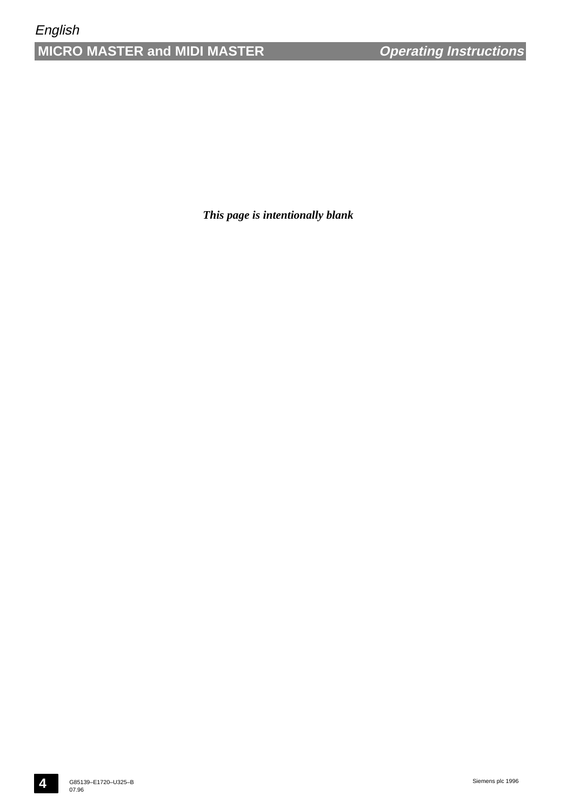*This page is intentionally blank*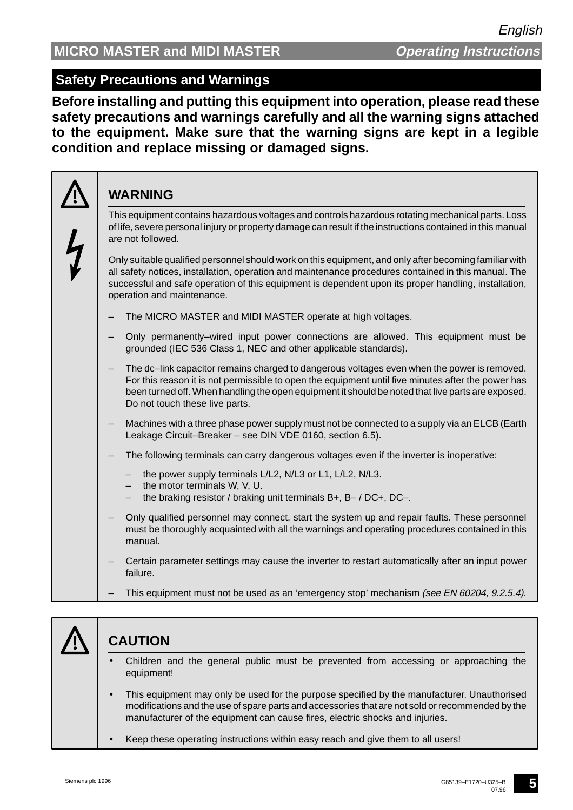### **Safety Precautions and Warnings**

**Before installing and putting this equipment into operation, please read these safety precautions and warnings carefully and all the warning signs attached to the equipment. Make sure that the warning signs are kept in a legible condition and replace missing or damaged signs.**

| This equipment contains hazardous voltages and controls hazardous rotating mechanical parts. Loss<br>of life, severe personal injury or property damage can result if the instructions contained in this manual<br>are not followed.                                                                                                                 |
|------------------------------------------------------------------------------------------------------------------------------------------------------------------------------------------------------------------------------------------------------------------------------------------------------------------------------------------------------|
| Only suitable qualified personnel should work on this equipment, and only after becoming familiar with<br>all safety notices, installation, operation and maintenance procedures contained in this manual. The<br>successful and safe operation of this equipment is dependent upon its proper handling, installation,<br>operation and maintenance. |
| The MICRO MASTER and MIDI MASTER operate at high voltages.                                                                                                                                                                                                                                                                                           |
| Only permanently–wired input power connections are allowed. This equipment must be<br>grounded (IEC 536 Class 1, NEC and other applicable standards).                                                                                                                                                                                                |
| The dc-link capacitor remains charged to dangerous voltages even when the power is removed.<br>For this reason it is not permissible to open the equipment until five minutes after the power has<br>been turned off. When handling the open equipment it should be noted that live parts are exposed.<br>Do not touch these live parts.             |
| Machines with a three phase power supply must not be connected to a supply via an ELCB (Earth<br>Leakage Circuit-Breaker - see DIN VDE 0160, section 6.5).                                                                                                                                                                                           |
| The following terminals can carry dangerous voltages even if the inverter is inoperative:                                                                                                                                                                                                                                                            |
| - the power supply terminals L/L2, N/L3 or L1, L/L2, N/L3.<br>$-$ the motor terminals W, V, U.<br>the braking resistor / braking unit terminals B+, B- / DC+, DC-.                                                                                                                                                                                   |
| Only qualified personnel may connect, start the system up and repair faults. These personnel<br>must be thoroughly acquainted with all the warnings and operating procedures contained in this<br>manual.                                                                                                                                            |
| Certain parameter settings may cause the inverter to restart automatically after an input power<br>failure.                                                                                                                                                                                                                                          |
| This equipment must not be used as an 'emergency stop' mechanism (see EN 60204, 9.2.5.4).                                                                                                                                                                                                                                                            |



### **CAUTION**

- Children and the general public must be prevented from accessing or approaching the equipment!
- This equipment may only be used for the purpose specified by the manufacturer. Unauthorised modifications and the use of spare parts and accessories that are not sold or recommended by the manufacturer of the equipment can cause fires, electric shocks and injuries.
	- Keep these operating instructions within easy reach and give them to all users!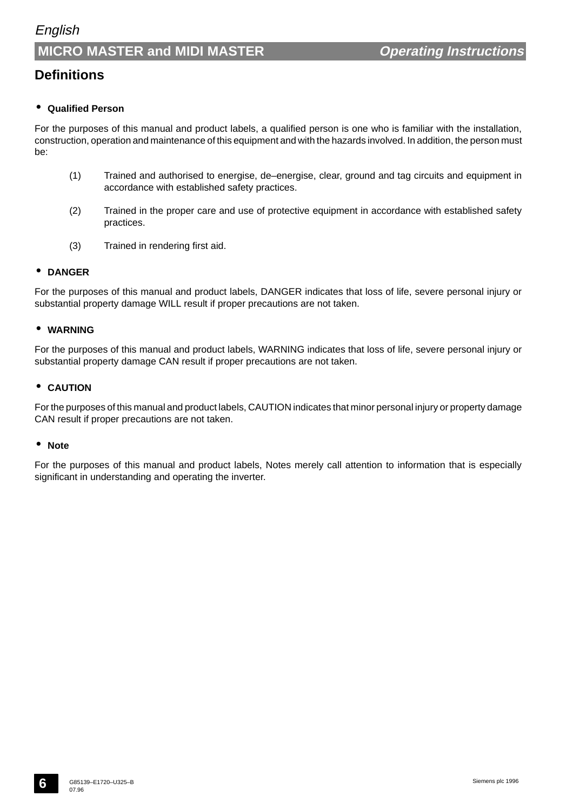## **MICRO MASTER and MIDI MASTER**

### **Definitions**

#### • **Qualified Person**

For the purposes of this manual and product labels, a qualified person is one who is familiar with the installation, construction, operation and maintenance of this equipment and with the hazards involved. In addition, the person must be:

- (1) Trained and authorised to energise, de–energise, clear, ground and tag circuits and equipment in accordance with established safety practices.
- (2) Trained in the proper care and use of protective equipment in accordance with established safety practices.
- (3) Trained in rendering first aid.

#### • **DANGER**

For the purposes of this manual and product labels, DANGER indicates that loss of life, severe personal injury or substantial property damage WILL result if proper precautions are not taken.

#### • **WARNING**

For the purposes of this manual and product labels, WARNING indicates that loss of life, severe personal injury or substantial property damage CAN result if proper precautions are not taken.

#### • **CAUTION**

For the purposes of this manual and product labels, CAUTION indicates that minor personal injury or property damage CAN result if proper precautions are not taken.

#### • **Note**

For the purposes of this manual and product labels, Notes merely call attention to information that is especially significant in understanding and operating the inverter.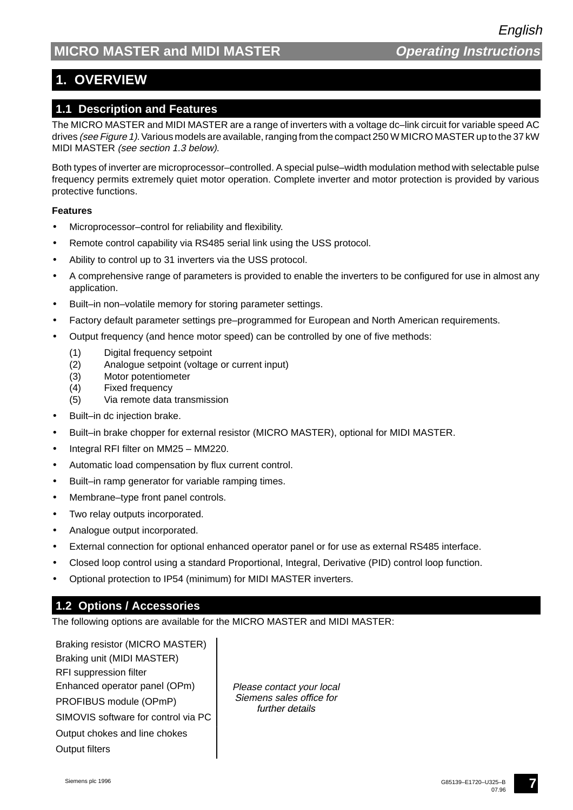### **1. OVERVIEW**

#### **1.1 Description and Features**

The MICRO MASTER and MIDI MASTER are a range of inverters with a voltage dc–link circuit for variable speed AC drives (see Figure 1). Various models are available, ranging from the compact 250 W MICRO MASTER up to the 37 kW MIDI MASTER (see section 1.3 below).

Both types of inverter are microprocessor–controlled. A special pulse–width modulation method with selectable pulse frequency permits extremely quiet motor operation. Complete inverter and motor protection is provided by various protective functions.

#### **Features**

- Microprocessor–control for reliability and flexibility.
- Remote control capability via RS485 serial link using the USS protocol.
- Ability to control up to 31 inverters via the USS protocol.
- A comprehensive range of parameters is provided to enable the inverters to be configured for use in almost any application.
- Built–in non–volatile memory for storing parameter settings.
- Factory default parameter settings pre–programmed for European and North American requirements.
- Output frequency (and hence motor speed) can be controlled by one of five methods:
	- (1) Digital frequency setpoint
	- (2) Analogue setpoint (voltage or current input)
	- (3) Motor potentiometer
	- (4) Fixed frequency
	- (5) Via remote data transmission
- Built-in dc injection brake.
- Built–in brake chopper for external resistor (MICRO MASTER), optional for MIDI MASTER.
- Integral RFI filter on MM25 MM220.
- Automatic load compensation by flux current control.
- Built–in ramp generator for variable ramping times.
- Membrane–type front panel controls.
- Two relay outputs incorporated.
- Analogue output incorporated.
- External connection for optional enhanced operator panel or for use as external RS485 interface.
- Closed loop control using a standard Proportional, Integral, Derivative (PID) control loop function.
- Optional protection to IP54 (minimum) for MIDI MASTER inverters.

#### **1.2 Options / Accessories**

The following options are available for the MICRO MASTER and MIDI MASTER:

Braking resistor (MICRO MASTER) Braking unit (MIDI MASTER) RFI suppression filter Enhanced operator panel (OPm) Please contact your local<br>
PROFIBUS module (OPmP) Siemens sales office for PROFIBUS module (OPmP) SIMOVIS software for control via PC Output chokes and line chokes Output filters

further details further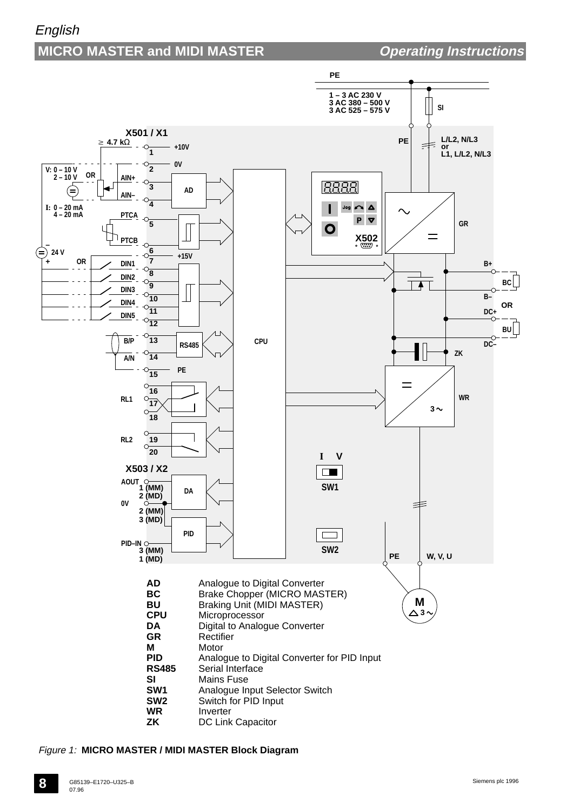### **MICRO MASTER and MIDI MASTER**

**Operating Instructions**



#### Figure 1: **MICRO MASTER / MIDI MASTER Block Diagram**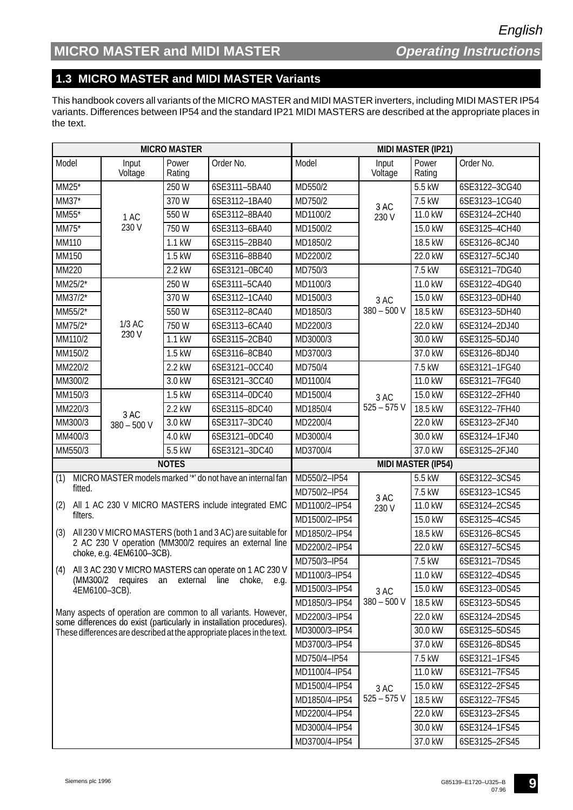**Operating Instructions**

# **MICRO MASTER and MIDI MASTER**

### **1.3 MICRO MASTER and MIDI MASTER Variants**

This handbook covers all variants of the MICRO MASTER and MIDI MASTER inverters, including MIDI MASTER IP54 variants. Differences between IP54 and the standard IP21 MIDI MASTERS are described at the appropriate places in the text.

|          |                           | <b>MICRO MASTER</b> |                                                                                                                                                | <b>MIDI MASTER (IP21)</b> |                  |                           |               |  |  |
|----------|---------------------------|---------------------|------------------------------------------------------------------------------------------------------------------------------------------------|---------------------------|------------------|---------------------------|---------------|--|--|
| Model    | Input<br>Voltage          | Power<br>Rating     | Order No.                                                                                                                                      | Model                     | Input<br>Voltage | Power<br>Rating           | Order No.     |  |  |
| $MM25*$  |                           | 250W                | 6SE3111-5BA40                                                                                                                                  | MD550/2                   |                  | 5.5 kW                    | 6SE3122-3CG40 |  |  |
| $MM37*$  |                           | 370W                | 6SE3112-1BA40                                                                                                                                  | MD750/2                   | 3AC              | 7.5 kW                    | 6SE3123-1CG40 |  |  |
| MM55*    | 1 AC                      | 550W                | 6SE3112-8BA40                                                                                                                                  | MD1100/2                  | 230 V            | 11.0 kW                   | 6SE3124-2CH40 |  |  |
| $MM75*$  | 230 V                     | 750W                | 6SE3113-6BA40                                                                                                                                  | MD1500/2                  |                  | 15.0 kW                   | 6SE3125-4CH40 |  |  |
| MM110    |                           | 1.1 kW              | 6SE3115-2BB40                                                                                                                                  | MD1850/2                  |                  | 18.5 kW                   | 6SE3126-8CJ40 |  |  |
| MM150    |                           | 1.5 kW              | 6SE3116-8BB40                                                                                                                                  | MD2200/2                  |                  | 22.0 kW                   | 6SE3127-5CJ40 |  |  |
| MM220    |                           | 2.2 kW              | 6SE3121-0BC40                                                                                                                                  | MD750/3                   |                  | 7.5 kW                    | 6SE3121-7DG40 |  |  |
| MM25/2*  |                           | 250W                | 6SE3111-5CA40                                                                                                                                  | MD1100/3                  |                  | 11.0 kW                   | 6SE3122-4DG40 |  |  |
| MM37/2*  |                           | 370W                | 6SE3112-1CA40                                                                                                                                  | MD1500/3                  | 3AC              | 15.0 kW                   | 6SE3123-0DH40 |  |  |
| MM55/2*  |                           | 550W                | 6SE3112-8CA40                                                                                                                                  | MD1850/3                  | $380 - 500$ V    | 18.5 kW                   | 6SE3123-5DH40 |  |  |
| MM75/2*  | 1/3 AC                    | 750W                | 6SE3113-6CA40                                                                                                                                  | MD2200/3                  |                  | 22.0 kW                   | 6SE3124-2DJ40 |  |  |
| MM110/2  | 230 V                     | 1.1 kW              | 6SE3115-2CB40                                                                                                                                  | MD3000/3                  |                  | 30.0 kW                   | 6SE3125-5DJ40 |  |  |
| MM150/2  |                           | 1.5 kW              | 6SE3116-8CB40                                                                                                                                  | MD3700/3                  |                  | 37.0 kW                   | 6SE3126-8DJ40 |  |  |
| MM220/2  |                           | 2.2 kW              | 6SE3121-0CC40                                                                                                                                  | MD750/4                   |                  | 7.5 kW                    | 6SE3121-1FG40 |  |  |
| MM300/2  |                           | 3.0 kW              | 6SE3121-3CC40                                                                                                                                  | MD1100/4                  |                  | 11.0 kW                   | 6SE3121-7FG40 |  |  |
| MM150/3  |                           | 1.5 kW              | 6SE3114-0DC40                                                                                                                                  | MD1500/4                  | 3AC              | 15.0 kW                   | 6SE3122-2FH40 |  |  |
| MM220/3  |                           | 2.2 kW              | 6SE3115-8DC40                                                                                                                                  | MD1850/4                  | $525 - 575$ V    | 18.5 kW                   | 6SE3122-7FH40 |  |  |
| MM300/3  | 3AC<br>$380 - 500$ V      | 3.0 kW              | 6SE3117-3DC40                                                                                                                                  | MD2200/4                  |                  | 22.0 kW                   | 6SE3123-2FJ40 |  |  |
| MM400/3  |                           | 4.0 kW              | 6SE3121-0DC40                                                                                                                                  | MD3000/4                  |                  | 30.0 kW                   | 6SE3124-1FJ40 |  |  |
| MM550/3  |                           | 5.5 kW              | 6SE3121-3DC40                                                                                                                                  | MD3700/4                  |                  | 37.0 kW                   | 6SE3125-2FJ40 |  |  |
|          |                           | <b>NOTES</b>        |                                                                                                                                                |                           |                  | <b>MIDI MASTER (IP54)</b> |               |  |  |
| (1)      |                           |                     | MICRO MASTER models marked "*" do not have an internal fan                                                                                     | MD550/2-IP54              |                  | 5.5 kW                    | 6SE3122-3CS45 |  |  |
| fitted.  |                           |                     |                                                                                                                                                | MD750/2-IP54              |                  | 7.5 kW                    | 6SE3123-1CS45 |  |  |
| (2)      |                           |                     | All 1 AC 230 V MICRO MASTERS include integrated EMC                                                                                            | MD1100/2-IP54             | 3AC<br>230 V     | 11.0 kW                   | 6SE3124-2CS45 |  |  |
| filters. |                           |                     |                                                                                                                                                | MD1500/2-IP54             |                  | 15.0 kW                   | 6SE3125-4CS45 |  |  |
| (3)      |                           |                     | All 230 V MICRO MASTERS (both 1 and 3 AC) are suitable for                                                                                     | MD1850/2-IP54             |                  | 18.5 kW                   | 6SE3126-8CS45 |  |  |
|          | choke, e.g. 4EM6100-3CB). |                     | 2 AC 230 V operation (MM300/2 requires an external line                                                                                        | MD2200/2-IP54             |                  | 22.0 kW                   | 6SE3127-5CS45 |  |  |
|          |                           |                     |                                                                                                                                                | MD750/3-IP54              |                  | 7.5 kW                    | 6SE3121-7DS45 |  |  |
|          | (MM300/2 requires         | external line       | (4) All 3 AC 230 V MICRO MASTERS can operate on 1 AC 230 V<br>choke,                                                                           | MD1100/3-IP54             |                  | 11.0 kW                   | 6SE3122-4DS45 |  |  |
|          | 4EM6100-3CB).             | an                  | e.g.                                                                                                                                           | MD1500/3-IP54             | 3AC              | 15.0 kW                   | 6SE3123-0DS45 |  |  |
|          |                           |                     |                                                                                                                                                | MD1850/3-IP54             | $380 - 500$ V    | 18.5 kW                   | 6SE3123-5DS45 |  |  |
|          |                           |                     | Many aspects of operation are common to all variants. However,                                                                                 | MD2200/3-IP54             |                  | 22.0 kW                   | 6SE3124-2DS45 |  |  |
|          |                           |                     | some differences do exist (particularly in installation procedures).<br>These differences are described at the appropriate places in the text. | MD3000/3-IP54             |                  | 30.0 kW                   | 6SE3125-5DS45 |  |  |
|          |                           |                     |                                                                                                                                                | MD3700/3-IP54             |                  | 37.0 kW                   | 6SE3126-8DS45 |  |  |
|          |                           |                     |                                                                                                                                                | MD750/4-IP54              |                  | 7.5 kW                    | 6SE3121-1FS45 |  |  |
|          |                           |                     |                                                                                                                                                | MD1100/4-IP54             |                  | 11.0 kW                   | 6SE3121-7FS45 |  |  |
|          |                           |                     |                                                                                                                                                | MD1500/4-IP54             | 3 AC             | 15.0 kW                   | 6SE3122-2FS45 |  |  |
|          |                           |                     |                                                                                                                                                | MD1850/4-IP54             | $525 - 575$ V    | 18.5 kW                   | 6SE3122-7FS45 |  |  |
|          |                           |                     |                                                                                                                                                | MD2200/4-IP54             |                  | 22.0 kW                   | 6SE3123-2FS45 |  |  |
|          |                           |                     |                                                                                                                                                | MD3000/4-IP54             |                  | 30.0 kW                   | 6SE3124-1FS45 |  |  |
|          |                           |                     |                                                                                                                                                | MD3700/4-IP54             |                  | 37.0 kW                   | 6SE3125-2FS45 |  |  |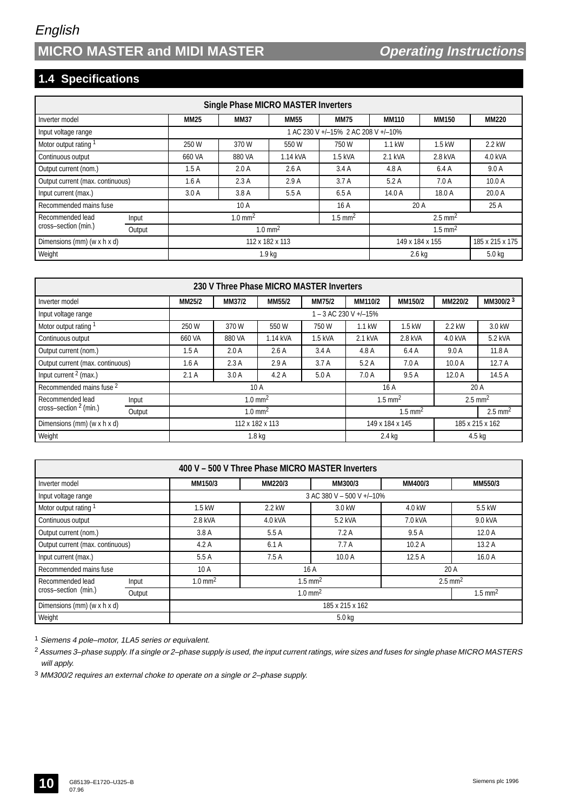### **1.4 Specifications**

|                                  | Single Phase MICRO MASTER Inverters |             |                     |                   |                                     |                       |              |                   |  |  |  |
|----------------------------------|-------------------------------------|-------------|---------------------|-------------------|-------------------------------------|-----------------------|--------------|-------------------|--|--|--|
| Inverter model                   |                                     | <b>MM25</b> | <b>MM37</b>         | <b>MM55</b>       | <b>MM75</b>                         | <b>MM110</b>          | <b>MM150</b> | <b>MM220</b>      |  |  |  |
| Input voltage range              |                                     |             |                     |                   | 1 AC 230 V +/-15% 2 AC 208 V +/-10% |                       |              |                   |  |  |  |
| Motor output rating 1            | 250W                                | 370W        | 550 W               | 750W              | 1.1 kW                              | 1.5 kW                | 2.2 kW       |                   |  |  |  |
| Continuous output                | 660 VA                              | 880 VA      | 1.14 kVA            | 1.5 kVA           | 2.1 kVA                             | 2.8 kVA               | 4.0 kVA      |                   |  |  |  |
| Output current (nom.)            | 1.5A                                | 2.0A        | 2.6A                | 3.4A              | 4.8 A                               | 6.4A                  | 9.0 A        |                   |  |  |  |
| Output current (max. continuous) |                                     | 1.6A        | 2.3A                | 2.9A              | 3.7A                                | 5.2A                  | 7.0A         | 10.0A             |  |  |  |
| Input current (max.)             |                                     | 3.0A        | 3.8A                | 5.5A              | 6.5A                                | 14.0A                 | 18.0A        | 20.0A             |  |  |  |
| Recommended mains fuse           |                                     |             | 10A                 |                   | 16 A                                | 20A<br>25 A           |              |                   |  |  |  |
| Recommended lead                 | Input                               |             | 1.0 mm <sup>2</sup> |                   | $1.5$ mm <sup>2</sup>               | $2.5$ mm <sup>2</sup> |              |                   |  |  |  |
| cross-section (min.)             |                                     |             | 1.0 mm <sup>2</sup> |                   |                                     |                       |              |                   |  |  |  |
| Dimensions (mm) (w x h x d)      |                                     |             |                     | 112 x 182 x 113   | 149 x 184 x 155                     | 185 x 215 x 175       |              |                   |  |  |  |
| Weight                           |                                     |             |                     | 1.9 <sub>kq</sub> |                                     |                       | $2.6$ kg     | 5.0 <sub>kq</sub> |  |  |  |

|                                  | 230 V Three Phase MICRO MASTER Inverters |                     |                       |                     |         |                       |                       |                       |                       |  |  |  |
|----------------------------------|------------------------------------------|---------------------|-----------------------|---------------------|---------|-----------------------|-----------------------|-----------------------|-----------------------|--|--|--|
| Inverter model                   |                                          | MM25/2              | MM37/2                | MM55/2              | MM75/2  | MM110/2               | MM150/2               | MM220/2               | MM300/2 3             |  |  |  |
| Input voltage range              |                                          |                     | 1 - 3 AC 230 V +/-15% |                     |         |                       |                       |                       |                       |  |  |  |
| Motor output rating 1            |                                          | 250 W               | 370 W                 | 550W                | 750W    | $1.1$ kW              | 1.5 kW                | 2.2 kW                | 3.0 kW                |  |  |  |
| Continuous output                | 660 VA                                   | 880 VA              | 1.14 kVA              | 1.5 kVA             | 2.1 kVA | 2.8 kVA               | 4.0 kVA               | 5.2 kVA               |                       |  |  |  |
| Output current (nom.)            | 1.5A                                     | 2.0A                | 2.6A                  | 3.4A                | 4.8 A   | 6.4A                  | 9.0A                  | 11.8A                 |                       |  |  |  |
| Output current (max. continuous) |                                          | 1.6A                | 2.3A                  | 2.9A                | 3.7A    | 5.2A                  | 7.0A                  | 10.0A                 | 12.7A                 |  |  |  |
| Input current $2$ (max.)         |                                          | 2.1A                | 3.0A                  | 4.2A                | 5.0A    | 7.0A                  | 9.5A                  | 12.0A                 | 14.5A                 |  |  |  |
| Recommended mains fuse 2         |                                          | 10A<br>20 A<br>16 A |                       |                     |         |                       |                       |                       |                       |  |  |  |
| Recommended lead                 | Input                                    |                     |                       | 1.0 mm <sup>2</sup> |         |                       | $1.5$ mm <sup>2</sup> |                       | $2.5$ mm <sup>2</sup> |  |  |  |
| cross-section $2$ (min.)         |                                          |                     | $1.0 \text{ mm}^2$    |                     |         | $1.5$ mm <sup>2</sup> |                       | $2.5$ mm <sup>2</sup> |                       |  |  |  |
| Dimensions (mm) (w x h x d)      |                                          |                     | 112 x 182 x 113       |                     |         | 149 x 184 x 145       | 185 x 215 x 162       |                       |                       |  |  |  |
| Weight                           |                                          |                     |                       | 1.8 <sub>kq</sub>   |         |                       | 2.4 kg                |                       | 4.5 kg                |  |  |  |

|                                                  |        |                                                |         | 400 V - 500 V Three Phase MICRO MASTER Inverters |         |                       |  |  |  |
|--------------------------------------------------|--------|------------------------------------------------|---------|--------------------------------------------------|---------|-----------------------|--|--|--|
| Inverter model                                   |        | MM150/3                                        | MM220/3 | MM300/3                                          | MM400/3 | MM550/3               |  |  |  |
| 3 AC 380 V - 500 V +/-10%<br>Input voltage range |        |                                                |         |                                                  |         |                       |  |  |  |
| Motor output rating 1                            |        | $1.5$ kW                                       | 2.2 kW  | 3.0 kW                                           | 4.0 kW  | 5.5 kW                |  |  |  |
| Continuous output                                |        | 2.8 kVA                                        | 4.0 kVA | 5.2 kVA                                          | 7.0 kVA | 9.0 kVA               |  |  |  |
| Output current (nom.)                            |        | 3.8A                                           | 5.5A    | 7.2A                                             | 9.5A    | 12.0A                 |  |  |  |
| Output current (max. continuous)                 |        | 4.2A                                           | 6.1A    | 7.7A                                             | 10.2A   | 13.2A                 |  |  |  |
| Input current (max.)                             |        | 5.5A                                           | 7.5A    | 10.0A                                            | 12.5A   | 16.0A                 |  |  |  |
| Recommended mains fuse                           |        | 10A                                            |         | 16 A                                             |         | 20A                   |  |  |  |
| Recommended lead                                 | Input  | 1.0 mm <sup>2</sup>                            |         | $1.5$ mm <sup>2</sup>                            |         | $2.5$ mm <sup>2</sup> |  |  |  |
| cross-section (min.)                             | Output | $1.0$ mm <sup>2</sup><br>$1.5$ mm <sup>2</sup> |         |                                                  |         |                       |  |  |  |
| Dimensions (mm) (w x h x d)                      |        | 185 x 215 x 162                                |         |                                                  |         |                       |  |  |  |
| Weight<br>5.0 <sub>kq</sub>                      |        |                                                |         |                                                  |         |                       |  |  |  |

<sup>1</sup> Siemens 4 pole–motor, 1LA5 series or equivalent.

<sup>2</sup> Assumes 3–phase supply. If a single or 2–phase supply is used, the input current ratings, wire sizes and fuses for single phase MICRO MASTERS will apply.

<sup>3</sup> MM300/2 requires an external choke to operate on a single or 2–phase supply.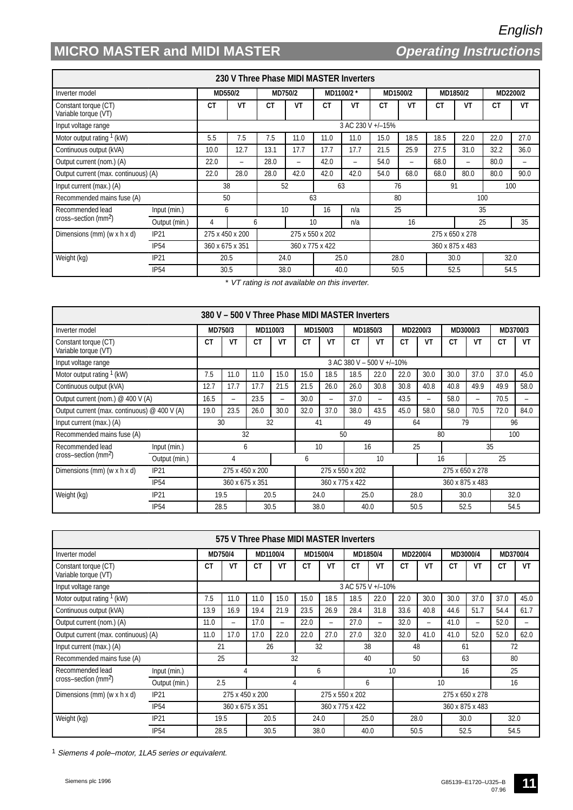**Operating Instructions**

# **MICRO MASTER and MIDI MASTER**

|                                              | 230 V Three Phase MIDI MASTER Inverters |                 |      |         |                 |            |                   |           |      |                 |                          |           |                          |
|----------------------------------------------|-----------------------------------------|-----------------|------|---------|-----------------|------------|-------------------|-----------|------|-----------------|--------------------------|-----------|--------------------------|
| Inverter model                               |                                         | MD550/2         |      | MD750/2 |                 | MD1100/2 * |                   | MD1500/2  |      | MD1850/2        |                          | MD2200/2  |                          |
| Constant torque (CT)<br>Variable torque (VT) |                                         | <b>CT</b>       | VT   | CT      | VT              | CT         | VT                | <b>CT</b> | VT   | CT              | VT                       | <b>CT</b> | VT                       |
| Input voltage range                          |                                         |                 |      |         |                 |            | 3 AC 230 V +/-15% |           |      |                 |                          |           |                          |
| Motor output rating $1$ (kW)                 |                                         | 5.5             | 7.5  | 7.5     | 11.0            | 11.0       | 11.0              | 15.0      | 18.5 | 18.5            | 22.0                     | 22.0      | 27.0                     |
| Continuous output (kVA)                      |                                         | 10.0            | 12.7 | 13.1    | 17.7            | 17.7       | 17.7              | 21.5      | 25.9 | 27.5            | 31.0                     | 32.2      | 36.0                     |
| Output current (nom.) (A)                    |                                         | 22.0            | -    | 28.0    | -               | 42.0       | $\qquad \qquad$   | 54.0      | -    | 68.0            | $\overline{\phantom{m}}$ | 80.0      | $\overline{\phantom{a}}$ |
| Output current (max. continuous) (A)         |                                         | 22.0            | 28.0 | 28.0    | 42.0            | 42.0       | 42.0              | 54.0      | 68.0 | 68.0            | 80.0                     | 80.0      | 90.0                     |
| Input current (max.) (A)                     |                                         | 38              |      | 52      |                 | 63         |                   | 76        |      | 91              |                          | 100       |                          |
| Recommended mains fuse (A)                   |                                         | 50              |      |         | 63              |            |                   | 80        |      |                 | 100                      |           |                          |
| Recommended lead                             | Input (min.)                            | 6               |      | 10      |                 | 16         | n/a               | 25        |      | 35              |                          |           |                          |
| cross-section (mm <sup>2</sup> )             | Output (min.)                           | 4               | 6    |         | 10              |            | n/a               | 16        |      |                 | 25                       |           | 35                       |
| Dimensions (mm) (w x h x d)                  | IP21                                    | 275 x 450 x 200 |      |         | 275 x 550 x 202 |            |                   |           |      | 275 x 650 x 278 |                          |           |                          |
|                                              | IP54                                    | 360 x 675 x 351 |      |         | 360 x 775 x 422 |            |                   |           |      |                 | 360 x 875 x 483          |           |                          |
| Weight (kg)                                  | IP21<br>20.5                            |                 |      | 24.0    |                 | 25.0       |                   | 28.0      |      | 30.0            |                          | 32.0      |                          |
|                                              | IP54                                    | 30.5            |      | 38.0    |                 | 40.0       |                   | 50.5      |      | 52.5            |                          | 54.5      |                          |

\* VT rating is not available on this inverter.

|                                              | 380 V - 500 V Three Phase MIDI MASTER Inverters |                     |                 |                 |                          |              |                          |           |                           |                 |                   |      |                          |      |      |
|----------------------------------------------|-------------------------------------------------|---------------------|-----------------|-----------------|--------------------------|--------------|--------------------------|-----------|---------------------------|-----------------|-------------------|------|--------------------------|------|------|
| Inverter model                               |                                                 | MD750/3<br>MD1100/3 |                 |                 | MD1500/3                 |              | MD1850/3                 |           | MD2200/3                  |                 | MD3000/3          |      | MD3700/3                 |      |      |
| Constant torque (CT)<br>Variable torque (VT) |                                                 | СT                  | VT              | <b>CT</b>       | VT                       | <b>CT</b>    | VT                       | <b>CT</b> | VT                        | CT              | <b>VT</b>         | CT   | VT                       | СT   | VT   |
| Input voltage range                          |                                                 |                     |                 |                 |                          |              |                          |           | 3 AC 380 V - 500 V +/-10% |                 |                   |      |                          |      |      |
| Motor output rating $1$ (kW)                 |                                                 | 7.5                 | 11.0            | 11.0            | 15.0                     | 15.0         | 18.5                     | 18.5      | 22.0                      | 22.0            | 30.0              | 30.0 | 37.0                     | 37.0 | 45.0 |
| Continuous output (kVA)                      |                                                 | 12.7                | 17.7            | 17.7            | 21.5                     | 21.5         | 26.0                     | 26.0      | 30.8                      | 30.8            | 40.8              | 40.8 | 49.9                     | 49.9 | 58.0 |
| Output current (nom.) $\oslash$ 400 V (A)    |                                                 | 16.5                | $\equiv$        | 23.5            | $\overline{\phantom{0}}$ | 30.0         | $\overline{\phantom{0}}$ | 37.0      | $\overline{\phantom{0}}$  | 43.5            | $\qquad \qquad =$ | 58.0 | $\overline{\phantom{0}}$ | 70.5 |      |
| Output current (max. continuous) @ 400 V (A) |                                                 | 19.0                | 23.5            | 26.0            | 30.0                     | 32.0         | 37.0                     | 38.0      | 43.5                      | 45.0            | 58.0              | 58.0 | 70.5                     | 72.0 | 84.0 |
| Input current (max.) (A)                     |                                                 | 30<br>32            |                 |                 | 41                       |              | 49                       |           | 64                        |                 | 79                |      | 96                       |      |      |
| Recommended mains fuse (A)                   |                                                 | 32                  |                 |                 |                          | 50           |                          |           | 80                        |                 |                   | 100  |                          |      |      |
| Recommended lead                             | Input (min.)                                    |                     | 6               |                 |                          | 10<br>16     |                          |           |                           | 25              |                   |      | 35                       |      |      |
| cross-section (mm <sup>2</sup> )             | Output (min.)                                   |                     | 4               |                 |                          | 6            |                          | 10        |                           |                 |                   | 16   |                          | 25   |      |
| Dimensions (mm) (w x h x d)                  | IP21                                            |                     | 275 x 450 x 200 |                 |                          |              | 275 x 550 x 202          |           |                           | 275 x 650 x 278 |                   |      |                          |      |      |
| IP54                                         |                                                 |                     |                 | 360 x 675 x 351 |                          |              | 360 x 775 x 422          |           |                           | 360 x 875 x 483 |                   |      |                          |      |      |
| Weight (kg)<br>IP21                          |                                                 |                     | 19.5            | 20.5            |                          | 24.0<br>25.0 |                          | 28.0      |                           |                 | 32.0<br>30.0      |      |                          |      |      |
|                                              | IP54                                            |                     | 28.5            |                 | 30.5                     | 38.0         |                          | 40.0      |                           | 50.5            |                   | 52.5 |                          | 54.5 |      |

| 575 V Three Phase MIDI MASTER Inverters      |               |           |                 |           |                          |           |                          |           |                          |                 |                          |                 |                          |           |      |
|----------------------------------------------|---------------|-----------|-----------------|-----------|--------------------------|-----------|--------------------------|-----------|--------------------------|-----------------|--------------------------|-----------------|--------------------------|-----------|------|
| Inverter model                               |               | MD750/4   |                 | MD1100/4  |                          | MD1500/4  |                          | MD1850/4  |                          | MD2200/4        |                          | MD3000/4        |                          | MD3700/4  |      |
| Constant torque (CT)<br>Variable torque (VT) |               | <b>CT</b> | VT              | <b>CT</b> | VT                       | <b>CT</b> | VT                       | <b>CT</b> | VT                       | CT              | VT                       | <b>CT</b>       | VT                       | <b>CT</b> | VT   |
| Input voltage range                          |               |           |                 |           |                          |           |                          |           | 3 AC 575 V +/-10%        |                 |                          |                 |                          |           |      |
| Motor output rating $1$ (kW)                 |               | 7.5       | 11.0            | 11.0      | 15.0                     | 15.0      | 18.5                     | 18.5      | 22.0                     | 22.0            | 30.0                     | 30.0            | 37.0                     | 37.0      | 45.0 |
| Continuous output (kVA)                      |               | 13.9      | 16.9            | 19.4      | 21.9                     | 23.5      | 26.9                     | 28.4      | 31.8                     | 33.6            | 40.8                     | 44.6            | 51.7                     | 54.4      | 61.7 |
| Output current (nom.) (A)                    |               | 11.0      | -               | 17.0      | $\overline{\phantom{0}}$ | 22.0      | $\overline{\phantom{0}}$ | 27.0      | $\overline{\phantom{m}}$ | 32.0            | $\overline{\phantom{a}}$ | 41.0            | $\overline{\phantom{0}}$ | 52.0      |      |
| Output current (max. continuous) (A)         |               | 11.0      | 17.0            | 17.0      | 22.0                     | 22.0      | 27.0                     | 27.0      | 32.0                     | 32.0            | 41.0                     | 41.0            | 52.0                     | 52.0      | 62.0 |
| Input current (max.) (A)                     |               | 26<br>21  |                 |           | 32                       |           | 38                       |           | 48                       |                 | 61                       |                 | 72                       |           |      |
| Recommended mains fuse (A)                   |               | 25        |                 |           | 32                       |           | 40                       |           | 50                       |                 | 63                       |                 | 80                       |           |      |
| Recommended lead                             | Input (min.)  |           | 4               |           |                          | 6         |                          |           |                          | 10              |                          | 16              |                          | 25        |      |
| cross-section (mm <sup>2</sup> )             | Output (min.) | 2.5       |                 |           |                          |           |                          | 6         |                          |                 | 10                       |                 |                          | 16        |      |
| Dimensions (mm) (w x h x d)<br>IP21          |               |           | 275 x 450 x 200 |           |                          |           | 275 x 550 x 202          |           |                          | 275 x 650 x 278 |                          |                 |                          |           |      |
| IP54                                         |               |           | 360 x 675 x 351 |           |                          |           | 360 x 775 x 422          |           |                          |                 |                          | 360 x 875 x 483 |                          |           |      |
| Weight (kg)<br>IP21                          |               |           | 19.5            | 20.5      |                          | 24.0      |                          | 25.0      |                          | 28.0            |                          | 30.0            |                          | 32.0      |      |
|                                              | IP54          | 28.5      |                 |           | 30.5                     | 38.0      |                          | 40.0      |                          | 50.5            |                          | 52.5            |                          | 54.5      |      |

<sup>1</sup> Siemens 4 pole–motor, 1LA5 series or equivalent.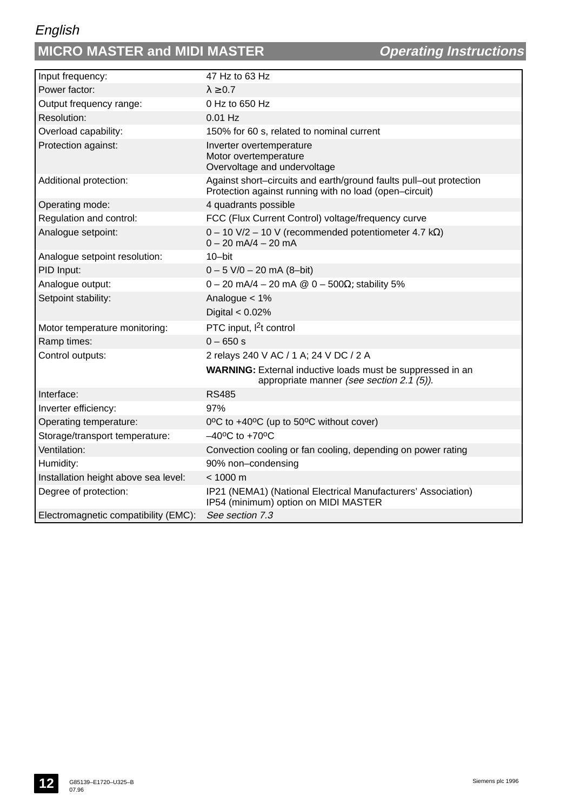# **MICRO MASTER and MIDI MASTER**

| Input frequency:                     | 47 Hz to 63 Hz                                                                                                               |
|--------------------------------------|------------------------------------------------------------------------------------------------------------------------------|
| Power factor:                        | $\lambda \geq 0.7$                                                                                                           |
| Output frequency range:              | 0 Hz to 650 Hz                                                                                                               |
| Resolution:                          | $0.01$ Hz                                                                                                                    |
| Overload capability:                 | 150% for 60 s, related to nominal current                                                                                    |
| Protection against:                  | Inverter overtemperature<br>Motor overtemperature<br>Overvoltage and undervoltage                                            |
| Additional protection:               | Against short-circuits and earth/ground faults pull-out protection<br>Protection against running with no load (open-circuit) |
| Operating mode:                      | 4 quadrants possible                                                                                                         |
| Regulation and control:              | FCC (Flux Current Control) voltage/frequency curve                                                                           |
| Analogue setpoint:                   | $0 - 10$ V/2 - 10 V (recommended potentiometer 4.7 k $\Omega$ )<br>$0 - 20$ mA/4 $- 20$ mA                                   |
| Analogue setpoint resolution:        | $10 - bit$                                                                                                                   |
| PID Input:                           | $0 - 5$ V/0 $-$ 20 mA (8-bit)                                                                                                |
| Analogue output:                     | $0 - 20$ mA/4 - 20 mA @ $0 - 500\Omega$ ; stability 5%                                                                       |
| Setpoint stability:                  | Analogue < 1%                                                                                                                |
|                                      | Digital $< 0.02\%$                                                                                                           |
| Motor temperature monitoring:        | PTC input, <sup>2</sup> t control                                                                                            |
| Ramp times:                          | $0 - 650 s$                                                                                                                  |
| Control outputs:                     | 2 relays 240 V AC / 1 A; 24 V DC / 2 A                                                                                       |
|                                      | <b>WARNING:</b> External inductive loads must be suppressed in an<br>appropriate manner (see section 2.1 (5)).               |
| Interface:                           | <b>RS485</b>                                                                                                                 |
| Inverter efficiency:                 | 97%                                                                                                                          |
| Operating temperature:               | $0^{\circ}$ C to +40 $^{\circ}$ C (up to 50 $^{\circ}$ C without cover)                                                      |
| Storage/transport temperature:       | $-40^{\circ}$ C to $+70^{\circ}$ C                                                                                           |
| Ventilation:                         | Convection cooling or fan cooling, depending on power rating                                                                 |
| Humidity:                            | 90% non-condensing                                                                                                           |
| Installation height above sea level: | < 1000 m                                                                                                                     |
| Degree of protection:                | IP21 (NEMA1) (National Electrical Manufacturers' Association)<br>IP54 (minimum) option on MIDI MASTER                        |
| Electromagnetic compatibility (EMC): | See section 7.3                                                                                                              |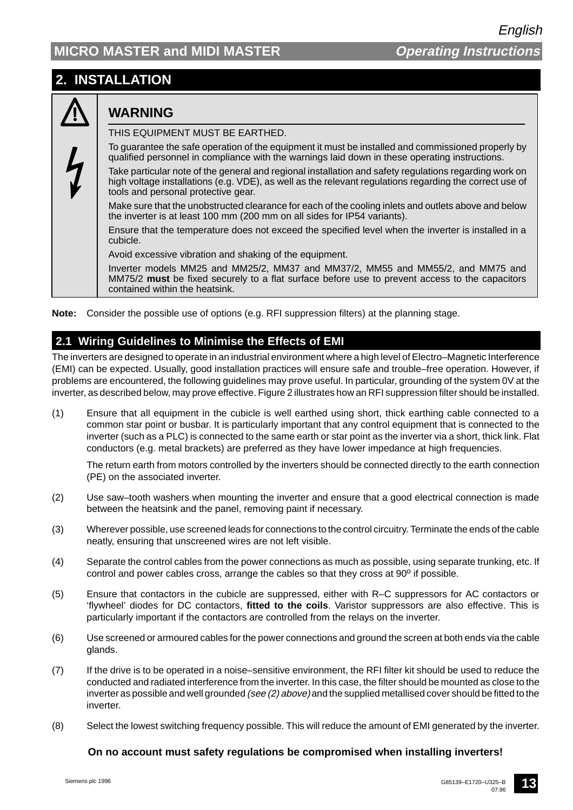### **2. INSTALLATION**

### **WARNING**

THIS EQUIPMENT MUST BE EARTHED.

To guarantee the safe operation of the equipment it must be installed and commissioned properly by qualified personnel in compliance with the warnings laid down in these operating instructions.

Take particular note of the general and regional installation and safety regulations regarding work on high voltage installations (e.g. VDE), as well as the relevant regulations regarding the correct use of tools and personal protective gear.

Make sure that the unobstructed clearance for each of the cooling inlets and outlets above and below the inverter is at least 100 mm (200 mm on all sides for IP54 variants).

Ensure that the temperature does not exceed the specified level when the inverter is installed in a cubicle.

Avoid excessive vibration and shaking of the equipment.

Inverter models MM25 and MM25/2, MM37 and MM37/2, MM55 and MM55/2, and MM75 and MM75/2 **must** be fixed securely to a flat surface before use to prevent access to the capacitors contained within the heatsink.

**Note:** Consider the possible use of options (e.g. RFI suppression filters) at the planning stage.

### **2.1 Wiring Guidelines to Minimise the Effects of EMI**

The inverters are designed to operate in an industrial environment where a high level of Electro–Magnetic Interference (EMI) can be expected. Usually, good installation practices will ensure safe and trouble–free operation. However, if problems are encountered, the following guidelines may prove useful. In particular, grounding of the system 0V at the inverter, as described below, may prove effective. Figure 2 illustrates how an RFI suppression filter should be installed.

(1) Ensure that all equipment in the cubicle is well earthed using short, thick earthing cable connected to a common star point or busbar. It is particularly important that any control equipment that is connected to the inverter (such as a PLC) is connected to the same earth or star point as the inverter via a short, thick link. Flat conductors (e.g. metal brackets) are preferred as they have lower impedance at high frequencies.

The return earth from motors controlled by the inverters should be connected directly to the earth connection (PE) on the associated inverter.

- (2) Use saw–tooth washers when mounting the inverter and ensure that a good electrical connection is made between the heatsink and the panel, removing paint if necessary.
- (3) Wherever possible, use screened leads for connections to the control circuitry. Terminate the ends of the cable neatly, ensuring that unscreened wires are not left visible.
- (4) Separate the control cables from the power connections as much as possible, using separate trunking, etc. If control and power cables cross, arrange the cables so that they cross at 90° if possible.
- (5) Ensure that contactors in the cubicle are suppressed, either with R–C suppressors for AC contactors or 'flywheel' diodes for DC contactors, **fitted to the coils**. Varistor suppressors are also effective. This is particularly important if the contactors are controlled from the relays on the inverter.
- (6) Use screened or armoured cables for the power connections and ground the screen at both ends via the cable glands.
- (7) If the drive is to be operated in a noise–sensitive environment, the RFI filter kit should be used to reduce the conducted and radiated interference from the inverter. In this case, the filter should be mounted as close to the inverter as possible and well grounded *(see (2) above)* and the supplied metallised cover should be fitted to the inverter.
- (8) Select the lowest switching frequency possible. This will reduce the amount of EMI generated by the inverter.

#### **On no account must safety regulations be compromised when installing inverters!**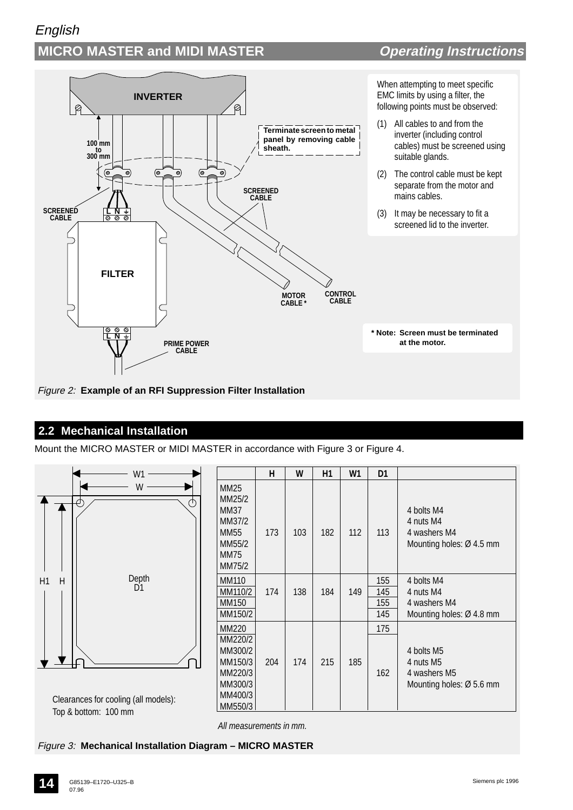# **MICRO MASTER and MIDI MASTER**





### **2.2 Mechanical Installation**

Mount the MICRO MASTER or MIDI MASTER in accordance with Figure 3 or Figure 4.

 $\Box$ 



|                                                                                         |     | v v |     | VV I | וע         |                                                                     |
|-----------------------------------------------------------------------------------------|-----|-----|-----|------|------------|---------------------------------------------------------------------|
| MM25<br>MM25/2<br>MM37<br>MM37/2<br>MM <sub>55</sub><br>MM55/2<br><b>MM75</b><br>MM75/2 | 173 | 103 | 182 | 112  | 113        | 4 bolts M4<br>4 nuts M4<br>4 washers M4<br>Mounting holes: Ø 4.5 mm |
| <b>MM110</b><br>MM110/2                                                                 | 174 | 138 | 184 | 149  | 155<br>145 | 4 bolts M4<br>4 nuts M4                                             |
| MM150                                                                                   |     |     |     |      | 155        | 4 washers M4                                                        |
| MM150/2                                                                                 |     |     |     |      | 145        | Mounting holes: Ø 4.8 mm                                            |
| MM220                                                                                   |     |     |     |      | 175        |                                                                     |
| MM220/2                                                                                 |     |     |     |      |            |                                                                     |
| MM300/2                                                                                 |     |     |     |      |            | 4 bolts M5                                                          |
| MM150/3                                                                                 | 204 | 174 | 215 | 185  |            | 4 nuts M <sub>5</sub>                                               |
| MM220/3                                                                                 |     |     |     |      | 162        | 4 washers M5                                                        |
| MM300/3                                                                                 |     |     |     |      |            | Mounting holes: Ø 5.6 mm                                            |
| MM400/3                                                                                 |     |     |     |      |            |                                                                     |
| MM550/3                                                                                 |     |     |     |      |            |                                                                     |

**H W H1 W1 D1**

Clearances for cooling (all models): Top & bottom: 100 mm

*All measurements in mm.*

#### Figure 3: **Mechanical Installation Diagram – MICRO MASTER**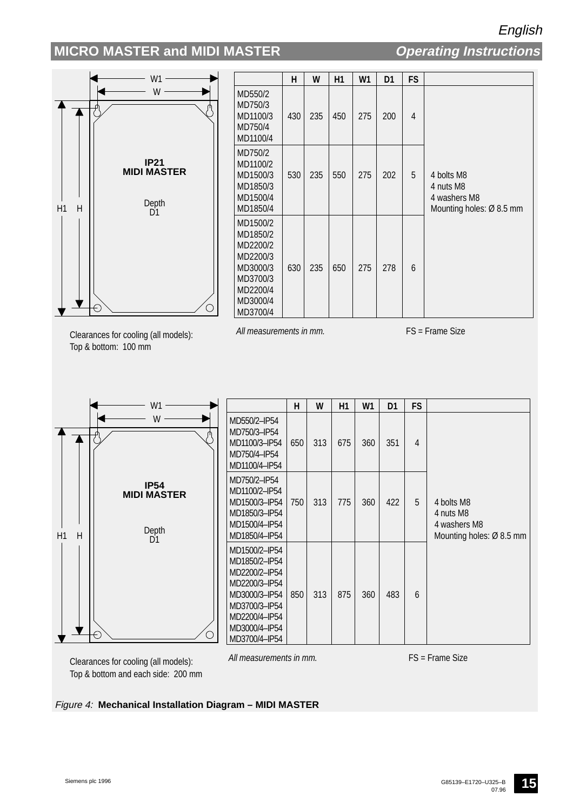**Operating Instructions**

# **MICRO MASTER and MIDI MASTER**

#### W1 W MD550/2 MD750/3 MD750/4 MD1100/4 MD750/2 **IP21** MD1100/2 **MIDI MASTER** Depth H H1 D<sub>1</sub> MD1500/2 MD1850/2 MD2200/2 MD2200/3 MD3700/3 MD2200/4 MD3000/4 €  $\bigcirc$ MD3700/4

|                                                                                                          | н   | W   | Η1  | W1  | D <sub>1</sub> | <b>FS</b> |                                                                     |
|----------------------------------------------------------------------------------------------------------|-----|-----|-----|-----|----------------|-----------|---------------------------------------------------------------------|
| MD550/2<br>MD750/3<br>MD1100/3<br>MD750/4<br>MD1100/4                                                    | 430 | 235 | 450 | 275 | 200            | 4         |                                                                     |
| MD750/2<br>MD1100/2<br>MD1500/3<br>MD1850/3<br>MD1500/4<br>MD1850/4                                      | 530 | 235 | 550 | 275 | 202            | 5         | 4 bolts M8<br>4 nuts M8<br>4 washers M8<br>Mounting holes: Ø 8.5 mm |
| MD1500/2<br>MD1850/2<br>MD2200/2<br>MD2200/3<br>MD3000/3<br>MD3700/3<br>MD2200/4<br>MD3000/4<br>MD3700/4 | 630 | 235 | 650 | 275 | 278            | 6         |                                                                     |

Clearances for cooling (all models): Top & bottom: 100 mm



|                                                                                                                                                       | н   | W   | H <sub>1</sub> | W <sub>1</sub> | D <sub>1</sub> | FS             |                                                                     |
|-------------------------------------------------------------------------------------------------------------------------------------------------------|-----|-----|----------------|----------------|----------------|----------------|---------------------------------------------------------------------|
| MD550/2-IP54<br>MD750/3-IP54<br>MD1100/3-IP54<br>MD750/4-IP54<br>MD1100/4-IP54                                                                        | 650 | 313 | 675            | 360            | 351            | 4              |                                                                     |
| MD750/2-IP54<br>MD1100/2-IP54<br>MD1500/3-IP54<br>MD1850/3-IP54<br>MD1500/4-IP54<br>MD1850/4-IP54                                                     | 750 | 313 | 775            | 360            | 422            | 5              | 4 bolts M8<br>4 nuts M8<br>4 washers M8<br>Mounting holes: Ø 8.5 mm |
| MD1500/2-IP54<br>MD1850/2-IP54<br>MD2200/2-IP54<br>MD2200/3-IP54<br>MD3000/3-IP54<br>MD3700/3-IP54<br>MD2200/4-IP54<br>MD3000/4-IP54<br>MD3700/4-IP54 | 850 | 313 | 875            | 360            | 483            | $\overline{b}$ |                                                                     |

Clearances for cooling (all models): Top & bottom and each side: 200 mm *All measurements in mm.*

*All measurements in mm.*

FS = Frame Size

FS = Frame Size

#### Figure 4: **Mechanical Installation Diagram – MIDI MASTER**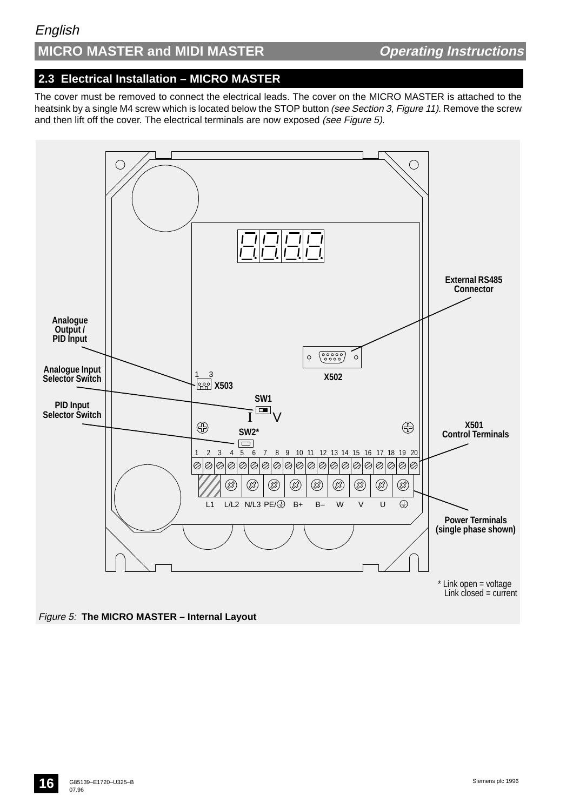**Operating Instructions**

### **2.3 Electrical Installation – MICRO MASTER**

The cover must be removed to connect the electrical leads. The cover on the MICRO MASTER is attached to the heatsink by a single M4 screw which is located below the STOP button (see Section 3, Figure 11). Remove the screw and then lift off the cover. The electrical terminals are now exposed (see Figure 5).

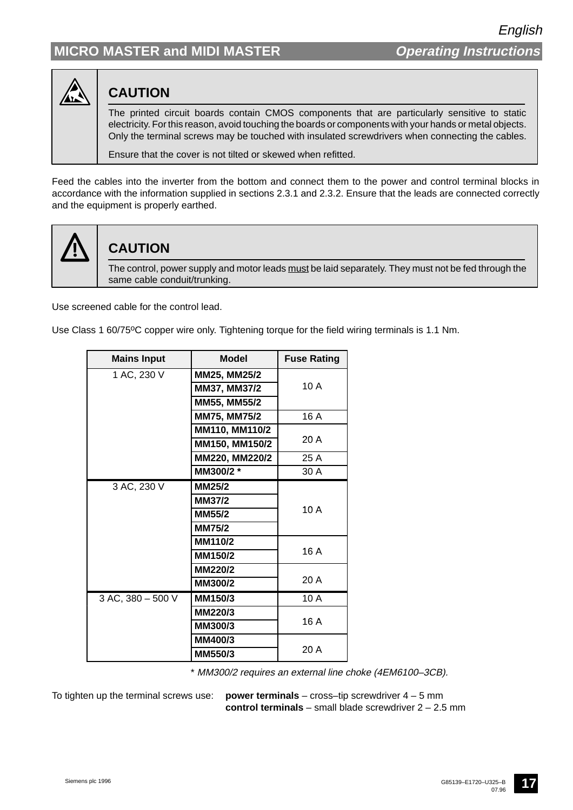### **CAUTION**

The printed circuit boards contain CMOS components that are particularly sensitive to static electricity. For this reason, avoid touching the boards or components with your hands or metal objects. Only the terminal screws may be touched with insulated screwdrivers when connecting the cables.

Ensure that the cover is not tilted or skewed when refitted.

Feed the cables into the inverter from the bottom and connect them to the power and control terminal blocks in accordance with the information supplied in sections 2.3.1 and 2.3.2. Ensure that the leads are connected correctly and the equipment is properly earthed.



# **CAUTION**

The control, power supply and motor leads must be laid separately. They must not be fed through the same cable conduit/trunking.

Use screened cable for the control lead.

Use Class 1 60/75<sup>o</sup>C copper wire only. Tightening torque for the field wiring terminals is 1.1 Nm.

| <b>Mains Input</b> | <b>Model</b>   | <b>Fuse Rating</b> |
|--------------------|----------------|--------------------|
| 1 AC, 230 V        | MM25, MM25/2   |                    |
|                    | MM37, MM37/2   | 10A                |
|                    | MM55, MM55/2   |                    |
|                    | MM75, MM75/2   | 16 A               |
|                    | MM110, MM110/2 |                    |
|                    | MM150, MM150/2 | 20 A               |
|                    | MM220, MM220/2 | 25 A               |
|                    | MM300/2 *      | 30 A               |
| 3 AC, 230 V        | <b>MM25/2</b>  |                    |
|                    | MM37/2         |                    |
|                    | <b>MM55/2</b>  | 10 A               |
|                    | <b>MM75/2</b>  |                    |
|                    | MM110/2        |                    |
|                    | MM150/2        | 16 A               |
|                    | MM220/2        |                    |
|                    | MM300/2        | 20 A               |
| 3 AC, 380 - 500 V  | MM150/3        | 10 A               |
|                    | MM220/3        |                    |
|                    | MM300/3        | 16 A               |
|                    | MM400/3        |                    |
|                    | MM550/3        | 20 A               |

\* MM300/2 requires an external line choke (4EM6100–3CB).

To tighten up the terminal screws use: **power terminals** – cross–tip screwdriver 4 – 5 mm **control terminals** – small blade screwdriver 2 – 2.5 mm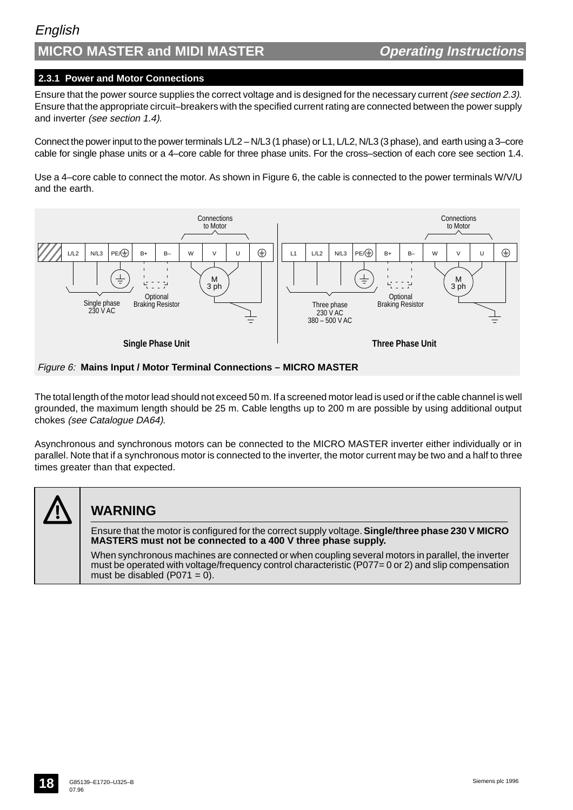# **MICRO MASTER and MIDI MASTER** English

#### **2.3.1 Power and Motor Connections**

Ensure that the power source supplies the correct voltage and is designed for the necessary current (see section 2.3). Ensure that the appropriate circuit–breakers with the specified current rating are connected between the power supply and inverter (see section 1.4).

Connect the power input to the power terminals L/L2 – N/L3 (1 phase) or L1, L/L2, N/L3 (3 phase), and earth using a 3–core cable for single phase units or a 4–core cable for three phase units. For the cross–section of each core see section 1.4.

Use a 4–core cable to connect the motor. As shown in Figure 6, the cable is connected to the power terminals W/V/U and the earth.



#### Figure 6: **Mains Input / Motor Terminal Connections – MICRO MASTER**

The total length of the motor lead should not exceed 50 m. If a screened motor lead is used or if the cable channel is well grounded, the maximum length should be 25 m. Cable lengths up to 200 m are possible by using additional output chokes (see Catalogue DA64).

Asynchronous and synchronous motors can be connected to the MICRO MASTER inverter either individually or in parallel. Note that if a synchronous motor is connected to the inverter, the motor current may be two and a half to three times greater than that expected.



must be operated with voltage/frequency control characteristic (P077= 0 or 2) and slip compensation must be disabled (P071 =  $0$ ).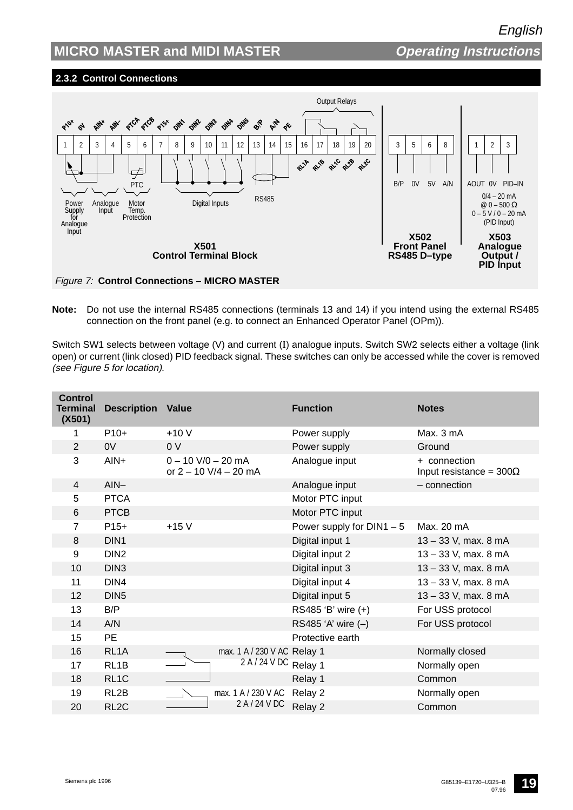### **MICRO MASTER and MIDI MASTER**

**Operating Instructions**

#### **2.3.2 Control Connections**



#### **Note:** Do not use the internal RS485 connections (terminals 13 and 14) if you intend using the external RS485 connection on the front panel (e.g. to connect an Enhanced Operator Panel (OPm)).

Switch SW1 selects between voltage (V) and current (I) analogue inputs. Switch SW2 selects either a voltage (link open) or current (link closed) PID feedback signal. These switches can only be accessed while the cover is removed (see Figure 5 for location).

| <b>Control</b><br><b>Terminal</b><br>(X501) | <b>Description</b> | Value                                               | <b>Function</b>             | <b>Notes</b>                                   |
|---------------------------------------------|--------------------|-----------------------------------------------------|-----------------------------|------------------------------------------------|
| 1                                           | P <sub>10+</sub>   | $+10V$                                              | Power supply                | Max. 3 mA                                      |
| 2                                           | 0 <sup>V</sup>     | 0 <sub>V</sub>                                      | Power supply                | Ground                                         |
| 3                                           | $AlN+$             | $0 - 10$ V/0 $- 20$ mA<br>or $2 - 10$ V/4 $- 20$ mA | Analogue input              | + connection<br>Input resistance = $300\Omega$ |
| $\overline{4}$                              | $AIN-$             |                                                     | Analogue input              | - connection                                   |
| 5                                           | <b>PTCA</b>        |                                                     | Motor PTC input             |                                                |
| 6                                           | <b>PTCB</b>        |                                                     | Motor PTC input             |                                                |
| $\overline{7}$                              | $P15+$             | $+15V$                                              | Power supply for $DIN1 - 5$ | Max. 20 mA                                     |
| 8                                           | DIN <sub>1</sub>   |                                                     | Digital input 1             | 13 - 33 V, max. 8 mA                           |
| 9                                           | DIN <sub>2</sub>   |                                                     | Digital input 2             | $13 - 33$ V, max. 8 mA                         |
| 10                                          | DIN <sub>3</sub>   |                                                     | Digital input 3             | 13 - 33 V, max. 8 mA                           |
| 11                                          | DIN4               |                                                     | Digital input 4             | $13 - 33$ V, max. 8 mA                         |
| 12                                          | DIN <sub>5</sub>   |                                                     | Digital input 5             | 13 - 33 V, max. 8 mA                           |
| 13                                          | B/P                |                                                     | RS485 'B' wire (+)          | For USS protocol                               |
| 14                                          | A/N                |                                                     | RS485 'A' wire $(-)$        | For USS protocol                               |
| 15                                          | PE                 |                                                     | Protective earth            |                                                |
| 16                                          | RL <sub>1</sub> A  | max. 1 A / 230 V AC Relay 1                         |                             | Normally closed                                |
| 17                                          | RL <sub>1</sub> B  | 2 A / 24 V DC Relay 1                               |                             | Normally open                                  |
| 18                                          | RL <sub>1</sub> C  |                                                     | Relay 1                     | Common                                         |
| 19                                          | RL <sub>2</sub> B  | max. 1 A / 230 V AC                                 | Relay 2                     | Normally open                                  |
| 20                                          | RL <sub>2</sub> C  | 2 A / 24 V DC                                       | Relay 2                     | Common                                         |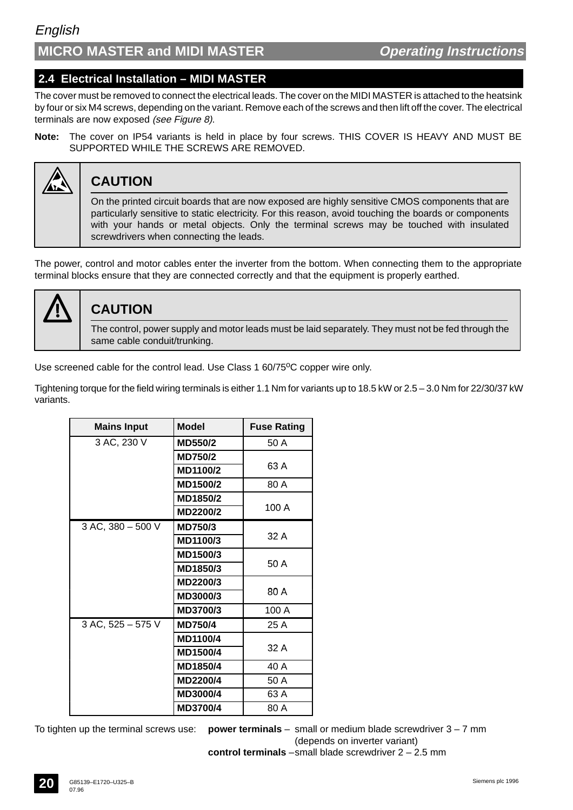### **2.4 Electrical Installation – MIDI MASTER**

The cover must be removed to connect the electrical leads. The cover on the MIDI MASTER is attached to the heatsink by four or six M4 screws, depending on the variant. Remove each of the screws and then lift off the cover. The electrical terminals are now exposed (see Figure 8).

**Note:** The cover on IP54 variants is held in place by four screws. THIS COVER IS HEAVY AND MUST BE SUPPORTED WHILE THE SCREWS ARE REMOVED.



### **CAUTION**

On the printed circuit boards that are now exposed are highly sensitive CMOS components that are particularly sensitive to static electricity. For this reason, avoid touching the boards or components with your hands or metal objects. Only the terminal screws may be touched with insulated screwdrivers when connecting the leads.

The power, control and motor cables enter the inverter from the bottom. When connecting them to the appropriate terminal blocks ensure that they are connected correctly and that the equipment is properly earthed.



### **CAUTION**

The control, power supply and motor leads must be laid separately. They must not be fed through the same cable conduit/trunking.

Use screened cable for the control lead. Use Class 1 60/75<sup>o</sup>C copper wire only.

Tightening torque for the field wiring terminals is either 1.1 Nm for variants up to 18.5 kW or 2.5 – 3.0 Nm for 22/30/37 kW variants.

| <b>Mains Input</b> | <b>Model</b>   | <b>Fuse Rating</b> |
|--------------------|----------------|--------------------|
| 3 AC, 230 V        | <b>MD550/2</b> | 50 A               |
|                    | <b>MD750/2</b> |                    |
|                    | MD1100/2       | 63 A               |
|                    | MD1500/2       | 80 A               |
|                    | MD1850/2       |                    |
|                    | MD2200/2       | 100 A              |
| 3 AC, 380 - 500 V  | <b>MD750/3</b> |                    |
|                    | MD1100/3       | 32 A               |
|                    | MD1500/3       |                    |
|                    | MD1850/3       | 50 A               |
|                    | MD2200/3       |                    |
|                    | MD3000/3       | 80 A               |
|                    | MD3700/3       | 100 A              |
| 3 AC, 525 - 575 V  | <b>MD750/4</b> | 25 A               |
|                    | MD1100/4       |                    |
|                    | MD1500/4       | 32 A               |
|                    | MD1850/4       | 40 A               |
|                    | MD2200/4       | 50 A               |
|                    | MD3000/4       | 63 A               |
|                    | MD3700/4       | 80 A               |

To tighten up the terminal screws use: **power terminals** – small or medium blade screwdriver 3 – 7 mm (depends on inverter variant)

**control terminals** –small blade screwdriver 2 – 2.5 mm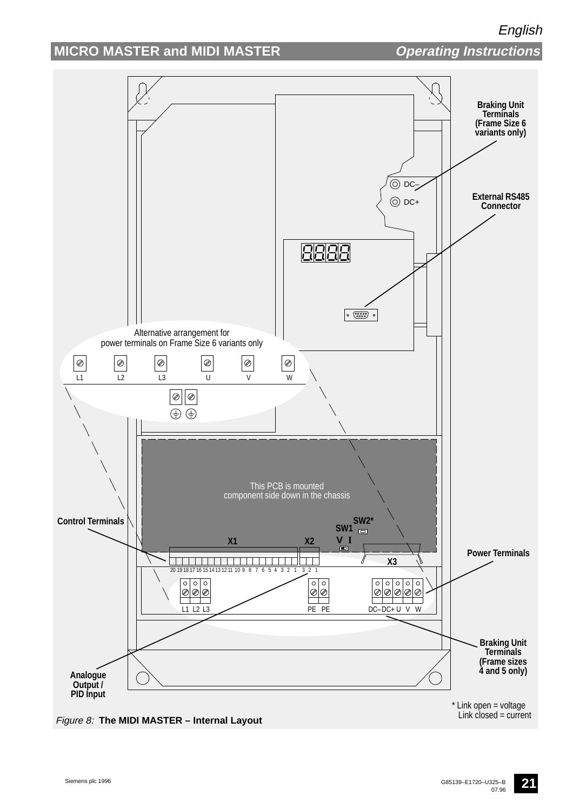# **MICRO MASTER and MIDI MASTER**

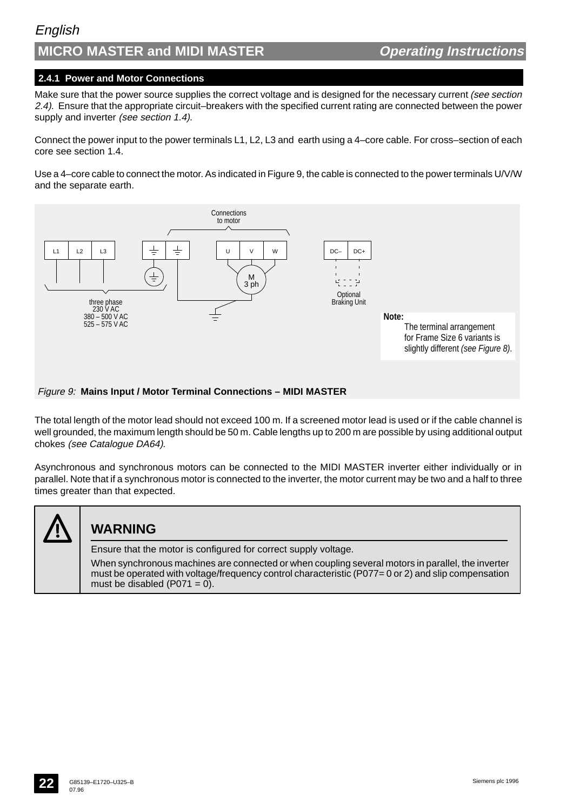#### **2.4.1 Power and Motor Connections**

Make sure that the power source supplies the correct voltage and is designed for the necessary current (see section 2.4). Ensure that the appropriate circuit–breakers with the specified current rating are connected between the power supply and inverter (see section 1.4).

Connect the power input to the power terminals L1, L2, L3 and earth using a 4–core cable. For cross–section of each core see section 1.4.

Use a 4–core cable to connect the motor. As indicated in Figure 9, the cable is connected to the power terminals U/V/W and the separate earth.



#### Figure 9: **Mains Input / Motor Terminal Connections – MIDI MASTER**

The total length of the motor lead should not exceed 100 m. If a screened motor lead is used or if the cable channel is well grounded, the maximum length should be 50 m. Cable lengths up to 200 m are possible by using additional output chokes (see Catalogue DA64).

Asynchronous and synchronous motors can be connected to the MIDI MASTER inverter either individually or in parallel. Note that if a synchronous motor is connected to the inverter, the motor current may be two and a half to three times greater than that expected.



When synchronous machines are connected or when coupling several motors in parallel, the inverter must be operated with voltage/frequency control characteristic (P077= 0 or 2) and slip compensation must be disabled (P071 =  $0$ ).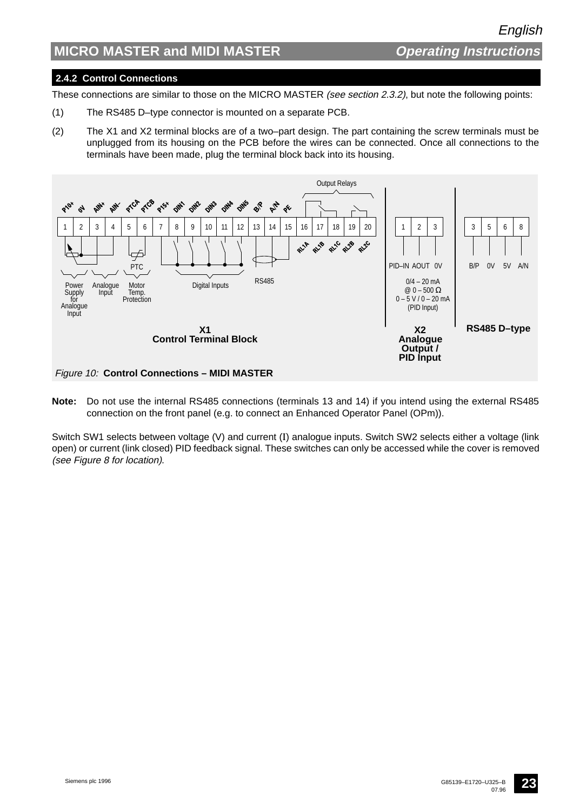#### **2.4.2 Control Connections**

These connections are similar to those on the MICRO MASTER (see section 2.3.2), but note the following points:

- (1) The RS485 D–type connector is mounted on a separate PCB.
- (2) The X1 and X2 terminal blocks are of a two–part design. The part containing the screw terminals must be unplugged from its housing on the PCB before the wires can be connected. Once all connections to the terminals have been made, plug the terminal block back into its housing.



**Note:** Do not use the internal RS485 connections (terminals 13 and 14) if you intend using the external RS485 connection on the front panel (e.g. to connect an Enhanced Operator Panel (OPm)).

Switch SW1 selects between voltage (V) and current (I) analogue inputs. Switch SW2 selects either a voltage (link open) or current (link closed) PID feedback signal. These switches can only be accessed while the cover is removed (see Figure 8 for location).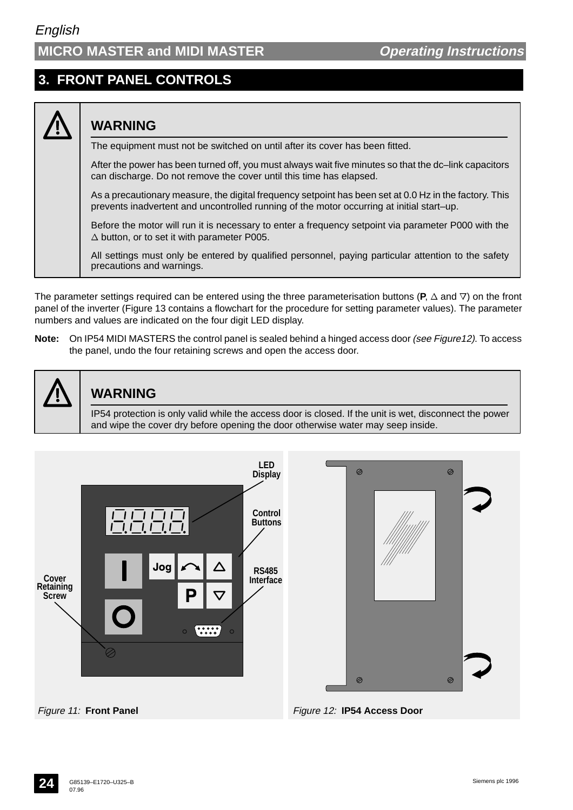### **3. FRONT PANEL CONTROLS**



### **WARNING**

The equipment must not be switched on until after its cover has been fitted.

After the power has been turned off, you must always wait five minutes so that the dc–link capacitors can discharge. Do not remove the cover until this time has elapsed.

As a precautionary measure, the digital frequency setpoint has been set at 0.0 Hz in the factory. This prevents inadvertent and uncontrolled running of the motor occurring at initial start–up.

Before the motor will run it is necessary to enter a frequency setpoint via parameter P000 with the  $\Delta$  button, or to set it with parameter P005.

All settings must only be entered by qualified personnel, paying particular attention to the safety precautions and warnings.

The parameter settings required can be entered using the three parameterisation buttons (P,  $\Delta$  and  $\nabla$ ) on the front panel of the inverter (Figure 13 contains a flowchart for the procedure for setting parameter values). The parameter numbers and values are indicated on the four digit LED display.

**Note:** On IP54 MIDI MASTERS the control panel is sealed behind a hinged access door (see Figure12). To access the panel, undo the four retaining screws and open the access door.



### **WARNING**

IP54 protection is only valid while the access door is closed. If the unit is wet, disconnect the power and wipe the cover dry before opening the door otherwise water may seep inside.

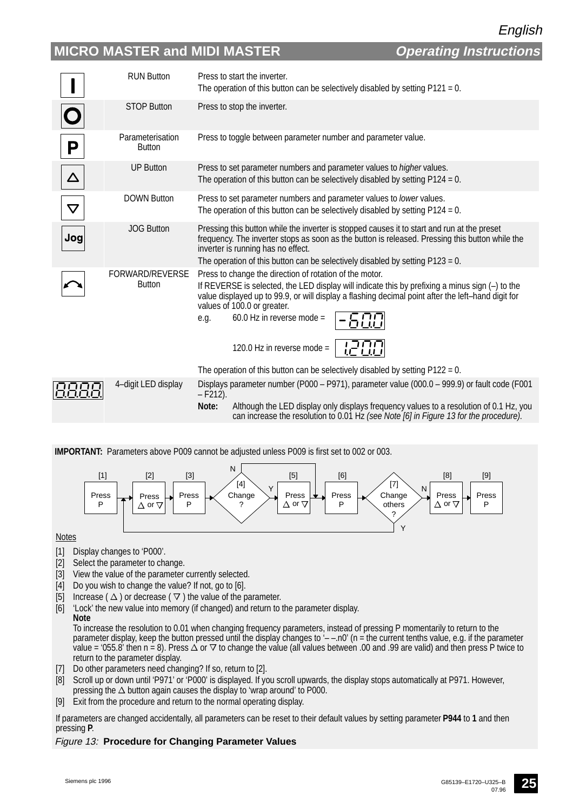**Operating Instructions**

### **MICRO MASTER and MIDI MASTER**

|              | <b>RUN Button</b>                       | Press to start the inverter.<br>The operation of this button can be selectively disabled by setting $P121 = 0$ .                                                                                                                                                                                                                                                                                                                                                 |
|--------------|-----------------------------------------|------------------------------------------------------------------------------------------------------------------------------------------------------------------------------------------------------------------------------------------------------------------------------------------------------------------------------------------------------------------------------------------------------------------------------------------------------------------|
|              | <b>STOP Button</b>                      | Press to stop the inverter.                                                                                                                                                                                                                                                                                                                                                                                                                                      |
| Р            | Parameterisation<br><b>Button</b>       | Press to toggle between parameter number and parameter value.                                                                                                                                                                                                                                                                                                                                                                                                    |
| $\Delta$     | <b>UP Button</b>                        | Press to set parameter numbers and parameter values to <i>higher</i> values.<br>The operation of this button can be selectively disabled by setting $P124 = 0$ .                                                                                                                                                                                                                                                                                                 |
| $\bf \nabla$ | <b>DOWN Button</b>                      | Press to set parameter numbers and parameter values to lower values.<br>The operation of this button can be selectively disabled by setting $P124 = 0$ .                                                                                                                                                                                                                                                                                                         |
| Jog          | <b>JOG Button</b>                       | Pressing this button while the inverter is stopped causes it to start and run at the preset<br>frequency. The inverter stops as soon as the button is released. Pressing this button while the<br>inverter is running has no effect.<br>The operation of this button can be selectively disabled by setting $P123 = 0$ .                                                                                                                                         |
|              | <b>FORWARD/REVERSE</b><br><b>Button</b> | Press to change the direction of rotation of the motor.<br>If REVERSE is selected, the LED display will indicate this by prefixing a minus sign $(-)$ to the<br>value displayed up to 99.9, or will display a flashing decimal point after the left-hand digit for<br>values of 100.0 or greater.<br>60.0 Hz in reverse mode =<br>e.g.<br>1200<br>120.0 Hz in reverse mode =<br>The operation of this button can be selectively disabled by setting $P122 = 0$ . |
|              | 4-digit LED display                     | Displays parameter number (P000 – P971), parameter value (000.0 – 999.9) or fault code (F001<br>$- F212$ ).<br>Although the LED display only displays frequency values to a resolution of 0.1 Hz, you<br>Note:<br>can increase the resolution to 0.01 Hz (see Note [6] in Figure 13 for the procedure).                                                                                                                                                          |

**IMPORTANT:** Parameters above P009 cannot be adjusted unless P009 is first set to 002 or 003.



**Notes** 

- [1] Display changes to 'P000'.
- [2] Select the parameter to change.
- [3] View the value of the parameter currently selected.
- [4] Do you wish to change the value? If not, go to [6].
- [5] Increase ( $\Delta$ ) or decrease ( $\nabla$ ) the value of the parameter.
- [6] 'Lock' the new value into memory (if changed) and return to the parameter display. **Note**
	- To increase the resolution to 0.01 when changing frequency parameters, instead of pressing P momentarily to return to the parameter display, keep the button pressed until the display changes to '– –.n0' (n = the current tenths value, e.g. if the parameter value = '055.8' then n = 8). Press  $\Delta$  or  $\nabla$  to change the value (all values between .00 and .99 are valid) and then press P twice to return to the parameter display.
- [7] Do other parameters need changing? If so, return to [2].
- [8] Scroll up or down until 'P971' or 'P000' is displayed. If you scroll upwards, the display stops automatically at P971. However, pressing the  $\Delta$  button again causes the display to 'wrap around' to P000.
- [9] Exit from the procedure and return to the normal operating display.

If parameters are changed accidentally, all parameters can be reset to their default values by setting parameter **P944** to **1** and then pressing **P**.

#### Figure 13: **Procedure for Changing Parameter Values**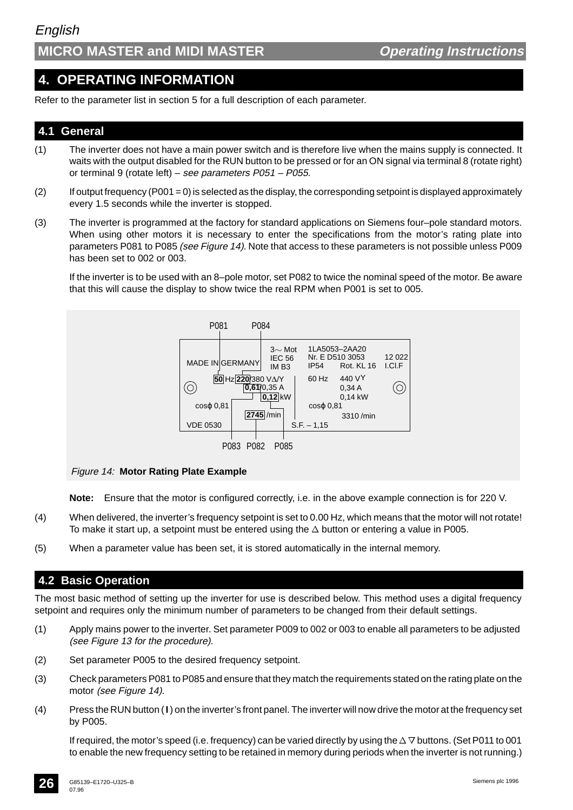### **4. OPERATING INFORMATION**

Refer to the parameter list in section 5 for a full description of each parameter.

#### **4.1 General**

- (1) The inverter does not have a main power switch and is therefore live when the mains supply is connected. It waits with the output disabled for the RUN button to be pressed or for an ON signal via terminal 8 (rotate right) or terminal 9 (rotate left) – see parameters P051 – P055.
- $(2)$  If output frequency  $(PO01 = 0)$  is selected as the display, the corresponding setpoint is displayed approximately every 1.5 seconds while the inverter is stopped.
- (3) The inverter is programmed at the factory for standard applications on Siemens four–pole standard motors. When using other motors it is necessary to enter the specifications from the motor's rating plate into parameters P081 to P085 (see Figure 14). Note that access to these parameters is not possible unless P009 has been set to 002 or 003.

If the inverter is to be used with an 8–pole motor, set P082 to twice the nominal speed of the motor. Be aware that this will cause the display to show twice the real RPM when P001 is set to 005.



Figure 14: **Motor Rating Plate Example**

**Note:** Ensure that the motor is configured correctly, i.e. in the above example connection is for 220 V.

- (4) When delivered, the inverter's frequency setpoint is set to 0.00 Hz, which means that the motor will not rotate! To make it start up, a setpoint must be entered using the  $\Delta$  button or entering a value in P005.
- (5) When a parameter value has been set, it is stored automatically in the internal memory.

#### **4.2 Basic Operation**

The most basic method of setting up the inverter for use is described below. This method uses a digital frequency setpoint and requires only the minimum number of parameters to be changed from their default settings.

- (1) Apply mains power to the inverter. Set parameter P009 to 002 or 003 to enable all parameters to be adjusted (see Figure 13 for the procedure).
- (2) Set parameter P005 to the desired frequency setpoint.
- (3) Check parameters P081 to P085 and ensure that they match the requirements stated on the rating plate on the motor (see Figure 14).
- (4) Press the RUN button ( **I** ) on the inverter's front panel. The inverter will now drive the motor at the frequency set by P005.

If required, the motor's speed (i.e. frequency) can be varied directly by using the  $\Delta \nabla$  buttons. (Set P011 to 001 to enable the new frequency setting to be retained in memory during periods when the inverter is not running.)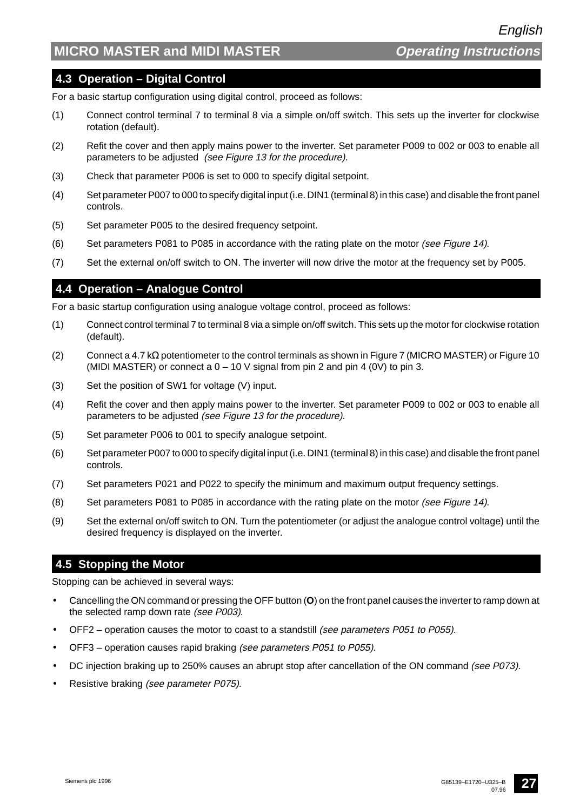**Operating Instructions**

### **MICRO MASTER and MIDI MASTER**

#### **4.3 Operation – Digital Control**

For a basic startup configuration using digital control, proceed as follows:

- (1) Connect control terminal 7 to terminal 8 via a simple on/off switch. This sets up the inverter for clockwise rotation (default).
- (2) Refit the cover and then apply mains power to the inverter. Set parameter P009 to 002 or 003 to enable all parameters to be adjusted (see Figure 13 for the procedure).
- (3) Check that parameter P006 is set to 000 to specify digital setpoint.
- (4) Set parameter P007 to 000 to specify digital input (i.e. DIN1 (terminal 8) in this case) and disable the front panel controls.
- (5) Set parameter P005 to the desired frequency setpoint.
- (6) Set parameters P081 to P085 in accordance with the rating plate on the motor (see Figure 14).
- (7) Set the external on/off switch to ON. The inverter will now drive the motor at the frequency set by P005.

#### **4.4 Operation – Analogue Control**

For a basic startup configuration using analogue voltage control, proceed as follows:

- (1) Connect control terminal 7 to terminal 8 via a simple on/off switch. This sets up the motor for clockwise rotation (default).
- (2) Connect a 4.7 kΩ potentiometer to the control terminals as shown in Figure 7 (MICRO MASTER) or Figure 10 (MIDI MASTER) or connect a  $0 - 10$  V signal from pin 2 and pin 4 (0V) to pin 3.
- (3) Set the position of SW1 for voltage (V) input.
- (4) Refit the cover and then apply mains power to the inverter. Set parameter P009 to 002 or 003 to enable all parameters to be adjusted (see Figure 13 for the procedure).
- (5) Set parameter P006 to 001 to specify analogue setpoint.
- (6) Set parameter P007 to 000 to specify digital input (i.e. DIN1 (terminal 8) in this case) and disable the front panel controls.
- (7) Set parameters P021 and P022 to specify the minimum and maximum output frequency settings.
- (8) Set parameters P081 to P085 in accordance with the rating plate on the motor (see Figure 14).
- (9) Set the external on/off switch to ON. Turn the potentiometer (or adjust the analogue control voltage) until the desired frequency is displayed on the inverter.

#### **4.5 Stopping the Motor**

Stopping can be achieved in several ways:

- Cancelling the ON command or pressing the OFF button (**O**) on the front panel causes the inverter to ramp down at the selected ramp down rate (see P003).
- OFF2 operation causes the motor to coast to a standstill (see parameters P051 to P055).
- OFF3 operation causes rapid braking (see parameters P051 to P055).
- DC injection braking up to 250% causes an abrupt stop after cancellation of the ON command (see P073).
- Resistive braking (see parameter P075).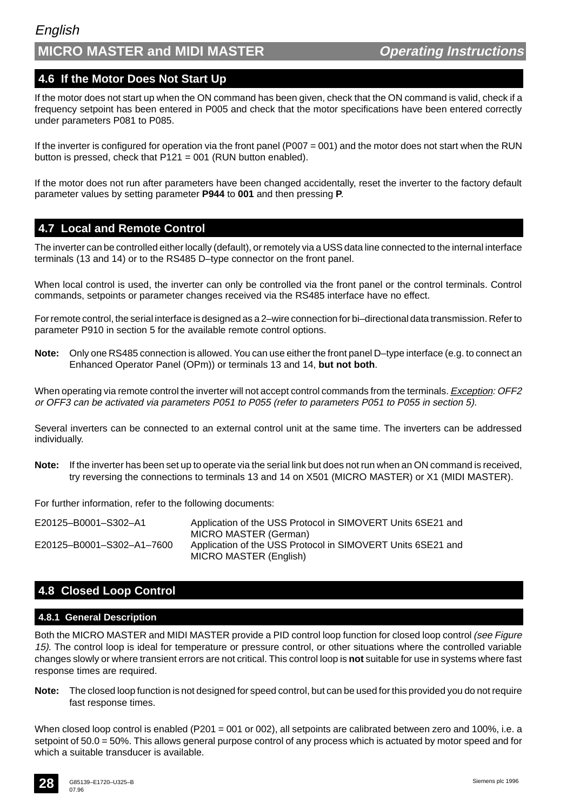#### **4.6 If the Motor Does Not Start Up**

If the motor does not start up when the ON command has been given, check that the ON command is valid, check if a frequency setpoint has been entered in P005 and check that the motor specifications have been entered correctly under parameters P081 to P085.

If the inverter is configured for operation via the front panel (P007 = 001) and the motor does not start when the RUN button is pressed, check that P121 = 001 (RUN button enabled).

If the motor does not run after parameters have been changed accidentally, reset the inverter to the factory default parameter values by setting parameter **P944** to **001** and then pressing **P**.

#### **4.7 Local and Remote Control**

The inverter can be controlled either locally (default), or remotely via a USS data line connected to the internal interface terminals (13 and 14) or to the RS485 D–type connector on the front panel.

When local control is used, the inverter can only be controlled via the front panel or the control terminals. Control commands, setpoints or parameter changes received via the RS485 interface have no effect.

For remote control, the serial interface is designed as a 2–wire connection for bi–directional data transmission. Refer to parameter P910 in section 5 for the available remote control options.

**Note:** Only one RS485 connection is allowed. You can use either the front panel D–type interface (e.g. to connect an Enhanced Operator Panel (OPm)) or terminals 13 and 14, **but not both**.

When operating via remote control the inverter will not accept control commands from the terminals. *Exception: OFF2* or OFF3 can be activated via parameters P051 to P055 (refer to parameters P051 to P055 in section 5).

Several inverters can be connected to an external control unit at the same time. The inverters can be addressed individually.

**Note:** If the inverter has been set up to operate via the serial link but does not run when an ON command is received, try reversing the connections to terminals 13 and 14 on X501 (MICRO MASTER) or X1 (MIDI MASTER).

For further information, refer to the following documents:

| E20125-B0001-S302-A1      | Application of the USS Protocol in SIMOVERT Units 6SE21 and |
|---------------------------|-------------------------------------------------------------|
|                           | MICRO MASTER (German)                                       |
| E20125-B0001-S302-A1-7600 | Application of the USS Protocol in SIMOVERT Units 6SE21 and |
|                           | MICRO MASTER (English)                                      |

#### **4.8 Closed Loop Control**

#### **4.8.1 General Description**

Both the MICRO MASTER and MIDI MASTER provide a PID control loop function for closed loop control (see Figure 15). The control loop is ideal for temperature or pressure control, or other situations where the controlled variable changes slowly or where transient errors are not critical. This control loop is **not** suitable for use in systems where fast response times are required.

**Note:** The closed loop function is not designed for speed control, but can be used for this provided you do not require fast response times.

When closed loop control is enabled (P201 = 001 or 002), all setpoints are calibrated between zero and 100%, i.e. a setpoint of 50.0 = 50%. This allows general purpose control of any process which is actuated by motor speed and for which a suitable transducer is available.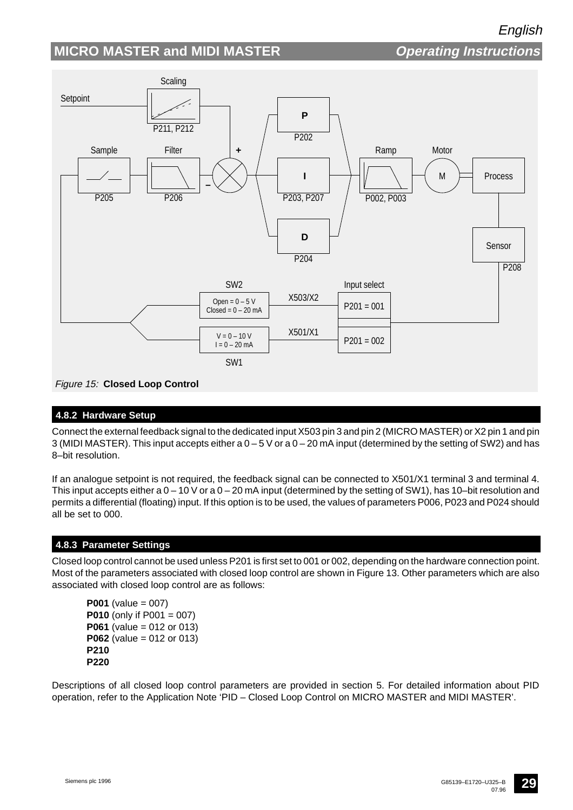**Operating Instructions**

### **MICRO MASTER and MIDI MASTER**

Figure 15: **Closed Loop Control Setpoint Scaling** P211, P212 Sample P205 Filter P206 **P** P202 **I** P203, P207 **D** P204 Ramp P002, P003 **Motor**  $M \implies$  Process Sensor  $P201 = 001$ X503/X2 X501/X1 Open =  $0 - 5V$  $V = 0 - 10 V$ P208 Input select  $P201 = 002$ SW2 SW1  $Closed = 0 - 20 mA$  $I = 0 - 20$  mA **+ –**

#### **4.8.2 Hardware Setup**

Connect the external feedback signal to the dedicated input X503 pin 3 and pin 2 (MICRO MASTER) or X2 pin 1 and pin 3 (MIDI MASTER). This input accepts either a 0 – 5 V or a 0 – 20 mA input (determined by the setting of SW2) and has 8–bit resolution.

If an analogue setpoint is not required, the feedback signal can be connected to X501/X1 terminal 3 and terminal 4. This input accepts either a  $0 - 10$  V or a  $0 - 20$  mA input (determined by the setting of SW1), has 10-bit resolution and permits a differential (floating) input. If this option is to be used, the values of parameters P006, P023 and P024 should all be set to 000.

#### **4.8.3 Parameter Settings**

Closed loop control cannot be used unless P201 is first set to 001 or 002, depending on the hardware connection point. Most of the parameters associated with closed loop control are shown in Figure 13. Other parameters which are also associated with closed loop control are as follows:

```
P001 (value = 007)
P010 (only if P001 = 007)
P061 (value = 012 or 013)
P062 (value = 012 or 013)
P210
P220
```
Descriptions of all closed loop control parameters are provided in section 5. For detailed information about PID operation, refer to the Application Note 'PID – Closed Loop Control on MICRO MASTER and MIDI MASTER'.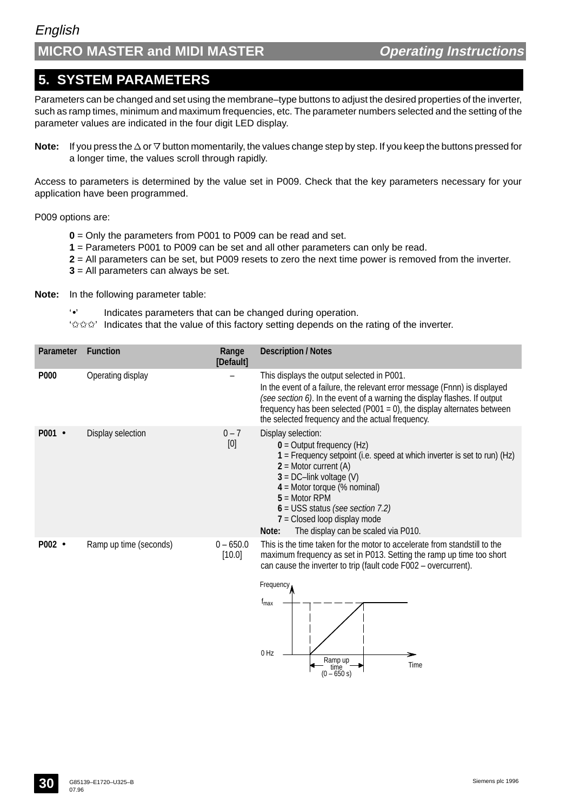### **5. SYSTEM PARAMETERS**

Parameters can be changed and set using the membrane–type buttons to adjust the desired properties of the inverter, such as ramp times, minimum and maximum frequencies, etc. The parameter numbers selected and the setting of the parameter values are indicated in the four digit LED display.

Note: If you press the  $\Delta$  or  $\nabla$  button momentarily, the values change step by step. If you keep the buttons pressed for a longer time, the values scroll through rapidly.

Access to parameters is determined by the value set in P009. Check that the key parameters necessary for your application have been programmed.

P009 options are:

- **0** = Only the parameters from P001 to P009 can be read and set.
- **1** = Parameters P001 to P009 can be set and all other parameters can only be read.
- **2** = All parameters can be set, but P009 resets to zero the next time power is removed from the inverter. **3** = All parameters can always be set.
- **Note:** In the following parameter table:
	- '•' Indicates parameters that can be changed during operation.

<del>'</del>☆☆☆' Indicates that the value of this factory setting depends on the rating of the inverter.

| Parameter        | <b>Function</b>        | Range<br>[Default]    | <b>Description / Notes</b>                                                                                                                                                                                                                                                                                                                                          |  |  |  |  |  |
|------------------|------------------------|-----------------------|---------------------------------------------------------------------------------------------------------------------------------------------------------------------------------------------------------------------------------------------------------------------------------------------------------------------------------------------------------------------|--|--|--|--|--|
| P000             | Operating display      |                       | This displays the output selected in P001.<br>In the event of a failure, the relevant error message (Fnnn) is displayed<br>(see section 6). In the event of a warning the display flashes. If output<br>frequency has been selected (P001 = 0), the display alternates between<br>the selected frequency and the actual frequency.                                  |  |  |  |  |  |
| P001             | Display selection      | $0 - 7$<br>[0]        | Display selection:<br>$0 =$ Output frequency (Hz)<br>1 = Frequency setpoint (i.e. speed at which inverter is set to run) (Hz)<br>$2 =$ Motor current (A)<br>$3 = DC$ -link voltage (V)<br>$4 =$ Motor torque (% nominal)<br>$5 =$ Motor RPM<br>$6 = USS status (see section 7.2)$<br>$7 = Closed$ loop display mode<br>The display can be scaled via P010.<br>Note: |  |  |  |  |  |
| $P002$ $\bullet$ | Ramp up time (seconds) | $0 - 650.0$<br>[10.0] | This is the time taken for the motor to accelerate from standstill to the<br>maximum frequency as set in P013. Setting the ramp up time too short<br>can cause the inverter to trip (fault code F002 - overcurrent).<br>Frequency<br>$f_{\text{max}}$                                                                                                               |  |  |  |  |  |

0 Hz

Time

Ramp up  $(0 - 650 s)$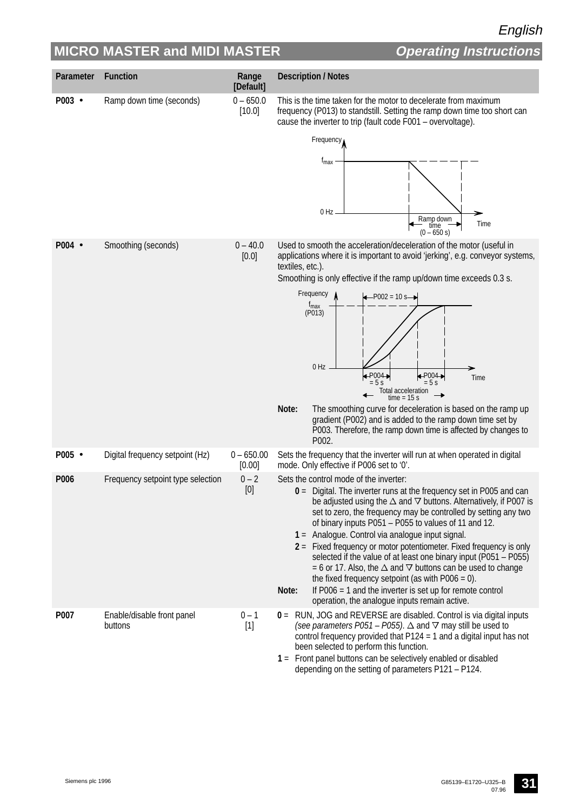**Operating Instructions**

# **MICRO MASTER and MIDI MASTER**

| Parameter        | <b>Function</b>                       | Range<br>[Default]     | <b>Description / Notes</b>                                                                                                                                                                                                                                                         |  |  |  |  |
|------------------|---------------------------------------|------------------------|------------------------------------------------------------------------------------------------------------------------------------------------------------------------------------------------------------------------------------------------------------------------------------|--|--|--|--|
| P003 •           | Ramp down time (seconds)              | $0 - 650.0$<br>[10.0]  | This is the time taken for the motor to decelerate from maximum<br>frequency (P013) to standstill. Setting the ramp down time too short can<br>cause the inverter to trip (fault code F001 – overvoltage).                                                                         |  |  |  |  |
|                  |                                       |                        | Frequency                                                                                                                                                                                                                                                                          |  |  |  |  |
|                  |                                       |                        | $f_{\text{max}}$                                                                                                                                                                                                                                                                   |  |  |  |  |
|                  |                                       |                        | $0$ Hz                                                                                                                                                                                                                                                                             |  |  |  |  |
|                  |                                       |                        | Ramp down<br>$\frac{1}{100}$ time<br>$(0 - 650 s)$<br>Time                                                                                                                                                                                                                         |  |  |  |  |
| $P004$ $\bullet$ | Smoothing (seconds)                   | $0 - 40.0$<br>[0.0]    | Used to smooth the acceleration/deceleration of the motor (useful in<br>applications where it is important to avoid 'jerking', e.g. conveyor systems,<br>textiles, etc.).                                                                                                          |  |  |  |  |
|                  |                                       |                        | Smoothing is only effective if the ramp up/down time exceeds 0.3 s.                                                                                                                                                                                                                |  |  |  |  |
|                  |                                       |                        | Frequency<br>$-P002 = 10 s \rightarrow$                                                                                                                                                                                                                                            |  |  |  |  |
|                  |                                       |                        | $f_{\text{max}}$<br>(P013)                                                                                                                                                                                                                                                         |  |  |  |  |
|                  |                                       |                        |                                                                                                                                                                                                                                                                                    |  |  |  |  |
|                  |                                       |                        | $0$ Hz                                                                                                                                                                                                                                                                             |  |  |  |  |
|                  |                                       |                        | $+$ P004 $+$<br>$+$ P004 $\rightarrow$<br>Time<br>$= 5s$<br>$= 5s$                                                                                                                                                                                                                 |  |  |  |  |
|                  |                                       |                        | Total acceleration<br>$time = 15 s$                                                                                                                                                                                                                                                |  |  |  |  |
|                  |                                       |                        | Note:<br>The smoothing curve for deceleration is based on the ramp up<br>gradient (P002) and is added to the ramp down time set by<br>P003. Therefore, the ramp down time is affected by changes to<br>P002.                                                                       |  |  |  |  |
| P005 •           | Digital frequency setpoint (Hz)       | $0 - 650.00$<br>[0.00] | Sets the frequency that the inverter will run at when operated in digital<br>mode. Only effective if P006 set to '0'.                                                                                                                                                              |  |  |  |  |
| P006             | Frequency setpoint type selection     | $0 - 2$                | Sets the control mode of the inverter:                                                                                                                                                                                                                                             |  |  |  |  |
| [0]              |                                       |                        | $0 =$ Digital. The inverter runs at the frequency set in P005 and can<br>be adjusted using the $\Delta$ and $\nabla$ buttons. Alternatively, if P007 is<br>set to zero, the frequency may be controlled by setting any two<br>of binary inputs P051 - P055 to values of 11 and 12. |  |  |  |  |
|                  |                                       |                        | 1 = Analogue. Control via analogue input signal.<br>2 = Fixed frequency or motor potentiometer. Fixed frequency is only                                                                                                                                                            |  |  |  |  |
|                  |                                       |                        | selected if the value of at least one binary input (P051 - P055)                                                                                                                                                                                                                   |  |  |  |  |
|                  |                                       |                        | = 6 or 17. Also, the $\Delta$ and $\nabla$ buttons can be used to change<br>the fixed frequency setpoint (as with $P006 = 0$ ).                                                                                                                                                    |  |  |  |  |
|                  |                                       |                        | Note:<br>If $P006 = 1$ and the inverter is set up for remote control                                                                                                                                                                                                               |  |  |  |  |
|                  |                                       |                        | operation, the analogue inputs remain active.                                                                                                                                                                                                                                      |  |  |  |  |
| P007             | Enable/disable front panel<br>buttons | $0 - 1$<br>$[1]$       | $0 = RUN$ , JOG and REVERSE are disabled. Control is via digital inputs<br>(see parameters P051 – P055). $\Delta$ and $\nabla$ may still be used to<br>control frequency provided that $P124 = 1$ and a digital input has not<br>been selected to perform this function.           |  |  |  |  |
|                  |                                       |                        | 1 = Front panel buttons can be selectively enabled or disabled<br>depending on the setting of parameters P121 - P124.                                                                                                                                                              |  |  |  |  |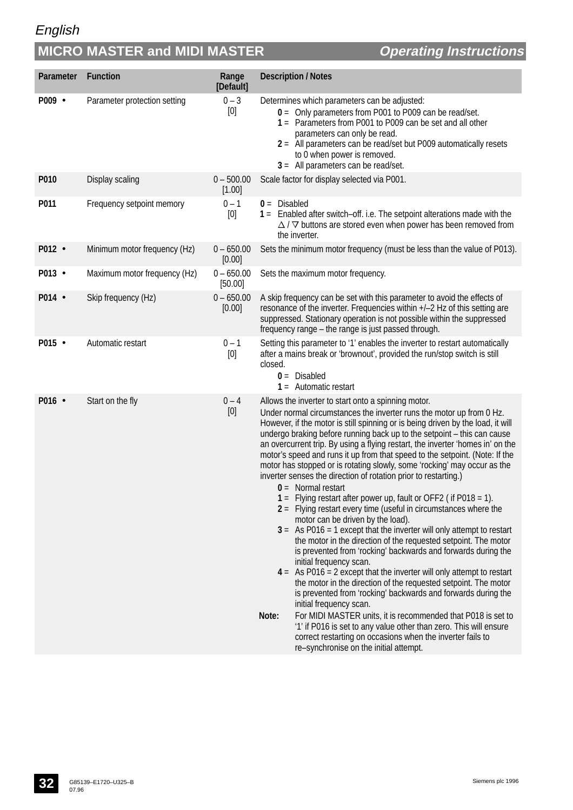# **MICRO MASTER and MIDI MASTER**

| Parameter        | <b>Function</b>              | Range<br>[Default]      | <b>Description / Notes</b>                                                                                                                                                                                                                                                                                                                                                                                                                                                                                                                                                                                                                                                                                                                                                                                                                                                                                                                                                                                                                                                                                                                                                                                                                                                                                                                                                                                                                                                                                                                                  |
|------------------|------------------------------|-------------------------|-------------------------------------------------------------------------------------------------------------------------------------------------------------------------------------------------------------------------------------------------------------------------------------------------------------------------------------------------------------------------------------------------------------------------------------------------------------------------------------------------------------------------------------------------------------------------------------------------------------------------------------------------------------------------------------------------------------------------------------------------------------------------------------------------------------------------------------------------------------------------------------------------------------------------------------------------------------------------------------------------------------------------------------------------------------------------------------------------------------------------------------------------------------------------------------------------------------------------------------------------------------------------------------------------------------------------------------------------------------------------------------------------------------------------------------------------------------------------------------------------------------------------------------------------------------|
| P009 •           | Parameter protection setting | $0 - 3$<br>[0]          | Determines which parameters can be adjusted:<br>$0 =$ Only parameters from P001 to P009 can be read/set.<br>1 = Parameters from P001 to P009 can be set and all other<br>parameters can only be read.<br>$2 =$ All parameters can be read/set but P009 automatically resets<br>to 0 when power is removed.<br>$3 =$ All parameters can be read/set.                                                                                                                                                                                                                                                                                                                                                                                                                                                                                                                                                                                                                                                                                                                                                                                                                                                                                                                                                                                                                                                                                                                                                                                                         |
| P010             | Display scaling              | $0 - 500.00$<br>[1.00]  | Scale factor for display selected via P001.                                                                                                                                                                                                                                                                                                                                                                                                                                                                                                                                                                                                                                                                                                                                                                                                                                                                                                                                                                                                                                                                                                                                                                                                                                                                                                                                                                                                                                                                                                                 |
| P011             | Frequency setpoint memory    | $0 - 1$<br>[0]          | $0 = Disabled$<br>$1 =$ Enabled after switch–off. i.e. The setpoint alterations made with the<br>$\Delta$ / $\nabla$ buttons are stored even when power has been removed from<br>the inverter.                                                                                                                                                                                                                                                                                                                                                                                                                                                                                                                                                                                                                                                                                                                                                                                                                                                                                                                                                                                                                                                                                                                                                                                                                                                                                                                                                              |
| $P012$ $\bullet$ | Minimum motor frequency (Hz) | $0 - 650.00$<br>[0.00]  | Sets the minimum motor frequency (must be less than the value of P013).                                                                                                                                                                                                                                                                                                                                                                                                                                                                                                                                                                                                                                                                                                                                                                                                                                                                                                                                                                                                                                                                                                                                                                                                                                                                                                                                                                                                                                                                                     |
| P013 •           | Maximum motor frequency (Hz) | $0 - 650.00$<br>[50.00] | Sets the maximum motor frequency.                                                                                                                                                                                                                                                                                                                                                                                                                                                                                                                                                                                                                                                                                                                                                                                                                                                                                                                                                                                                                                                                                                                                                                                                                                                                                                                                                                                                                                                                                                                           |
| $P014$ $\bullet$ | Skip frequency (Hz)          | $0 - 650.00$<br>[0.00]  | A skip frequency can be set with this parameter to avoid the effects of<br>resonance of the inverter. Frequencies within +/-2 Hz of this setting are<br>suppressed. Stationary operation is not possible within the suppressed<br>frequency range – the range is just passed through.                                                                                                                                                                                                                                                                                                                                                                                                                                                                                                                                                                                                                                                                                                                                                                                                                                                                                                                                                                                                                                                                                                                                                                                                                                                                       |
| $P015$ $\bullet$ | Automatic restart            | $0 - 1$<br>[0]          | Setting this parameter to '1' enables the inverter to restart automatically<br>after a mains break or 'brownout', provided the run/stop switch is still<br>closed.<br>$0 = Disabled$<br>$1 =$ Automatic restart                                                                                                                                                                                                                                                                                                                                                                                                                                                                                                                                                                                                                                                                                                                                                                                                                                                                                                                                                                                                                                                                                                                                                                                                                                                                                                                                             |
| $P016$ $\bullet$ | Start on the fly             | $0 - 4$<br>[0]          | Allows the inverter to start onto a spinning motor.<br>Under normal circumstances the inverter runs the motor up from 0 Hz.<br>However, if the motor is still spinning or is being driven by the load, it will<br>undergo braking before running back up to the setpoint - this can cause<br>an overcurrent trip. By using a flying restart, the inverter 'homes in' on the<br>motor's speed and runs it up from that speed to the setpoint. (Note: If the<br>motor has stopped or is rotating slowly, some 'rocking' may occur as the<br>inverter senses the direction of rotation prior to restarting.)<br>$0 =$ Normal restart<br>$1 =$ Flying restart after power up, fault or OFF2 (if P018 = 1).<br>$2 =$ Flying restart every time (useful in circumstances where the<br>motor can be driven by the load).<br>$3 =$ As P016 = 1 except that the inverter will only attempt to restart<br>the motor in the direction of the requested setpoint. The motor<br>is prevented from 'rocking' backwards and forwards during the<br>initial frequency scan.<br>$4 = As P016 = 2$ except that the inverter will only attempt to restart<br>the motor in the direction of the requested setpoint. The motor<br>is prevented from 'rocking' backwards and forwards during the<br>initial frequency scan.<br>For MIDI MASTER units, it is recommended that P018 is set to<br>Note:<br>'1' if P016 is set to any value other than zero. This will ensure<br>correct restarting on occasions when the inverter fails to<br>re-synchronise on the initial attempt. |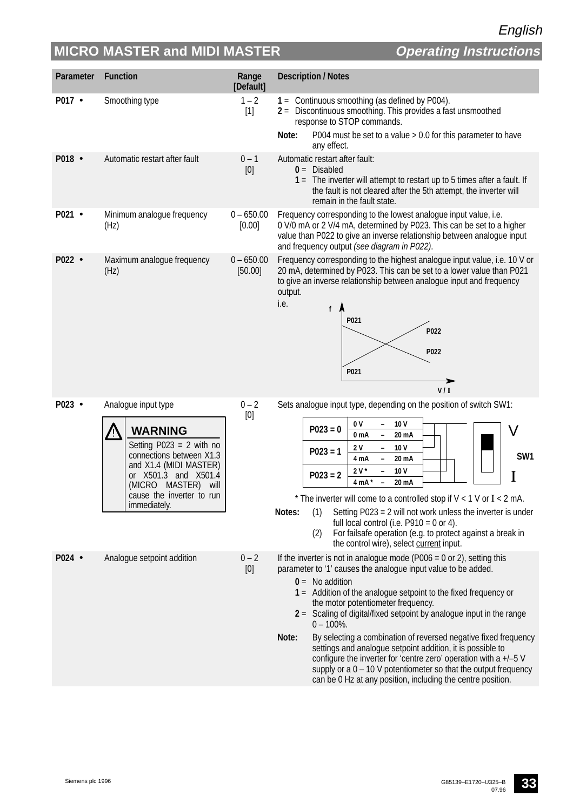# **MICRO MASTER and MIDI MASTER**

| Parameter        | <b>Function</b>                                                                                                                                                                                                                                                                      | Range<br>[Default]                                                                                                                                                                                                                                                                           | <b>Description / Notes</b>                                                                                                                                                                                                                                                                                                                                                                                                                                                                                                                                                                                                                                                                                               |  |  |
|------------------|--------------------------------------------------------------------------------------------------------------------------------------------------------------------------------------------------------------------------------------------------------------------------------------|----------------------------------------------------------------------------------------------------------------------------------------------------------------------------------------------------------------------------------------------------------------------------------------------|--------------------------------------------------------------------------------------------------------------------------------------------------------------------------------------------------------------------------------------------------------------------------------------------------------------------------------------------------------------------------------------------------------------------------------------------------------------------------------------------------------------------------------------------------------------------------------------------------------------------------------------------------------------------------------------------------------------------------|--|--|
| P017 •           | Smoothing type                                                                                                                                                                                                                                                                       | $1 - 2$<br>$[1]$                                                                                                                                                                                                                                                                             | 1 = Continuous smoothing (as defined by P004).<br>2 = Discontinuous smoothing. This provides a fast unsmoothed<br>response to STOP commands.                                                                                                                                                                                                                                                                                                                                                                                                                                                                                                                                                                             |  |  |
|                  |                                                                                                                                                                                                                                                                                      |                                                                                                                                                                                                                                                                                              | Note:<br>P004 must be set to a value $> 0.0$ for this parameter to have<br>any effect.                                                                                                                                                                                                                                                                                                                                                                                                                                                                                                                                                                                                                                   |  |  |
| P018 •           | Automatic restart after fault:<br>Automatic restart after fault<br>$0 - 1$<br>[0]<br>$0 = Disabled$<br>$1 =$ The inverter will attempt to restart up to 5 times after a fault. If<br>the fault is not cleared after the 5th attempt, the inverter will<br>remain in the fault state. |                                                                                                                                                                                                                                                                                              |                                                                                                                                                                                                                                                                                                                                                                                                                                                                                                                                                                                                                                                                                                                          |  |  |
| P021 •           | Minimum analogue frequency<br>(Hz)                                                                                                                                                                                                                                                   | $0 - 650.00$<br>Frequency corresponding to the lowest analogue input value, i.e.<br>0 V/0 mA or 2 V/4 mA, determined by P023. This can be set to a higher<br>[0.00]<br>value than P022 to give an inverse relationship between analogue input<br>and frequency output (see diagram in P022). |                                                                                                                                                                                                                                                                                                                                                                                                                                                                                                                                                                                                                                                                                                                          |  |  |
| $P022$ $\bullet$ | Maximum analogue frequency<br>(Hz)                                                                                                                                                                                                                                                   | $0 - 650.00$<br>[50.00]                                                                                                                                                                                                                                                                      | Frequency corresponding to the highest analogue input value, i.e. 10 V or<br>20 mA, determined by P023. This can be set to a lower value than P021<br>to give an inverse relationship between analogue input and frequency<br>output.<br>i.e.<br>f<br>P021<br>P022<br>P022<br>P021<br>V/I                                                                                                                                                                                                                                                                                                                                                                                                                                |  |  |
| P023 ·           | Analogue input type                                                                                                                                                                                                                                                                  | $0 - 2$                                                                                                                                                                                                                                                                                      | Sets analogue input type, depending on the position of switch SW1:                                                                                                                                                                                                                                                                                                                                                                                                                                                                                                                                                                                                                                                       |  |  |
|                  | <b>WARNING</b><br>Setting $P023 = 2$ with no<br>connections between X1.3<br>and X1.4 (MIDI MASTER)<br>or X501.3 and X501.4<br>(MICRO MASTER)<br>will<br>cause the inverter to run<br>immediately.                                                                                    | [0]                                                                                                                                                                                                                                                                                          | 0V<br>10V<br>$\overline{\phantom{0}}$<br>$P023 = 0$<br>V<br>20 mA<br>0 <sub>m</sub> A<br>$\overline{\phantom{a}}$<br>10V<br>2 V<br>$\overline{\phantom{0}}$<br>$P023 = 1$<br>SW1<br>$\overline{\phantom{a}}$<br>20 mA<br>4 mA<br>$2V^*$<br>$\overline{a}$<br>10V<br>$P023 = 2$<br>$\frac{1}{2}$<br>4 mA*<br>20 mA<br>* The inverter will come to a controlled stop if $V < 1$ V or I < 2 mA<br>(1)<br>Setting $P023 = 2$ will not work unless the inverter is under<br>Notes:<br>full local control (i.e. $P910 = 0$ or 4).<br>(2)<br>For failsafe operation (e.g. to protect against a break in<br>the control wire), select current input.                                                                             |  |  |
| P024 •           | Analogue setpoint addition                                                                                                                                                                                                                                                           | $0 - 2$<br>[0]                                                                                                                                                                                                                                                                               | If the inverter is not in analogue mode (P006 = $0$ or $2$ ), setting this<br>parameter to '1' causes the analogue input value to be added.<br>$0 = No$ addition<br>$1 =$ Addition of the analogue setpoint to the fixed frequency or<br>the motor potentiometer frequency.<br>2 = Scaling of digital/fixed setpoint by analogue input in the range<br>$0 - 100\%$ .<br>By selecting a combination of reversed negative fixed frequency<br>Note:<br>settings and analogue setpoint addition, it is possible to<br>configure the inverter for 'centre zero' operation with a $+/-5$ V<br>supply or $a 0 - 10 V$ potentiometer so that the output frequency<br>can be 0 Hz at any position, including the centre position. |  |  |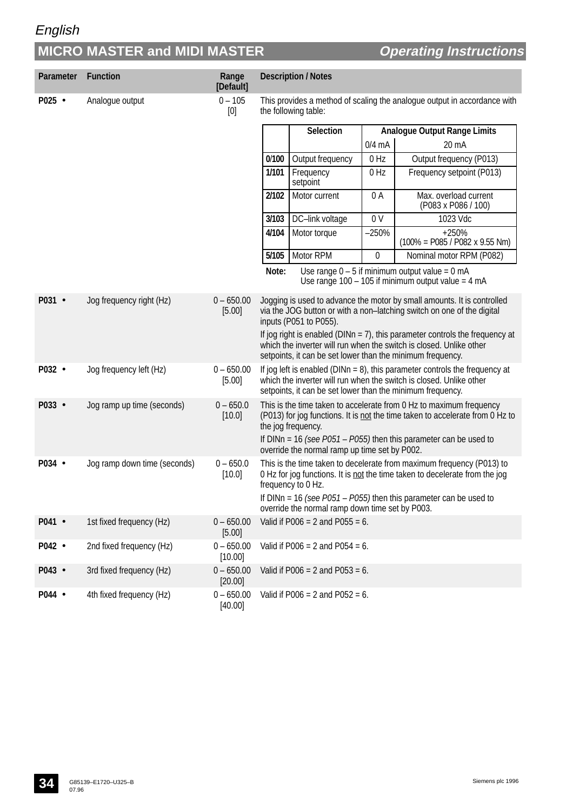# **MICRO MASTER and MIDI MASTER**

| Parameter | <b>Function</b>              | Range<br>[Default]      |                                                                                                                                                                                                                      | <b>Description / Notes</b>                                 |                |                                                                                                                                                     |  |
|-----------|------------------------------|-------------------------|----------------------------------------------------------------------------------------------------------------------------------------------------------------------------------------------------------------------|------------------------------------------------------------|----------------|-----------------------------------------------------------------------------------------------------------------------------------------------------|--|
| P025 •    | Analogue output              | $0 - 105$<br>[0]        |                                                                                                                                                                                                                      | the following table:                                       |                | This provides a method of scaling the analogue output in accordance with                                                                            |  |
|           |                              |                         |                                                                                                                                                                                                                      | <b>Selection</b>                                           |                | <b>Analogue Output Range Limits</b>                                                                                                                 |  |
|           |                              |                         |                                                                                                                                                                                                                      |                                                            | $0/4$ mA       | 20 mA                                                                                                                                               |  |
|           |                              |                         | 0/100                                                                                                                                                                                                                | Output frequency                                           | 0Hz            | Output frequency (P013)                                                                                                                             |  |
|           |                              |                         | 1/101                                                                                                                                                                                                                | Frequency<br>setpoint                                      | 0Hz            | Frequency setpoint (P013)                                                                                                                           |  |
|           |                              |                         | 2/102                                                                                                                                                                                                                | Motor current                                              | 0 A            | Max. overload current<br>(P083 x P086 / 100)                                                                                                        |  |
|           |                              |                         | 3/103                                                                                                                                                                                                                | DC-link voltage                                            | 0 <sub>V</sub> | 1023 Vdc                                                                                                                                            |  |
|           |                              |                         | 4/104                                                                                                                                                                                                                | Motor torque                                               | $-250%$        | $+250%$<br>$(100\% = P085 / P082 \times 9.55 Nm)$                                                                                                   |  |
|           |                              |                         | 5/105                                                                                                                                                                                                                | Motor RPM                                                  | $\mathbf 0$    | Nominal motor RPM (P082)                                                                                                                            |  |
|           |                              |                         | Note:                                                                                                                                                                                                                |                                                            |                | Use range $0 - 5$ if minimum output value = 0 mA<br>Use range $100 - 105$ if minimum output value = 4 mA                                            |  |
| P031 .    | Jog frequency right (Hz)     | $0 - 650.00$<br>[5.00]  | Jogging is used to advance the motor by small amounts. It is controlled<br>via the JOG button or with a non-latching switch on one of the digital<br>inputs (P051 to P055).                                          |                                                            |                |                                                                                                                                                     |  |
|           |                              |                         |                                                                                                                                                                                                                      | setpoints, it can be set lower than the minimum frequency. |                | If jog right is enabled (DINn = 7), this parameter controls the frequency at<br>which the inverter will run when the switch is closed. Unlike other |  |
| P032 .    | Jog frequency left (Hz)      | $0 - 650.00$<br>[5.00]  | If jog left is enabled ( $DINn = 8$ ), this parameter controls the frequency at<br>which the inverter will run when the switch is closed. Unlike other<br>setpoints, it can be set lower than the minimum frequency. |                                                            |                |                                                                                                                                                     |  |
| P033 .    | Jog ramp up time (seconds)   | $0 - 650.0$<br>[10.0]   | This is the time taken to accelerate from 0 Hz to maximum frequency<br>(P013) for jog functions. It is not the time taken to accelerate from 0 Hz to<br>the jog frequency.                                           |                                                            |                |                                                                                                                                                     |  |
|           |                              |                         | If DINn = 16 (see $P051 - P055$ ) then this parameter can be used to<br>override the normal ramp up time set by P002.                                                                                                |                                                            |                |                                                                                                                                                     |  |
| P034 •    | Jog ramp down time (seconds) | $0 - 650.0$<br>[10.0]   | This is the time taken to decelerate from maximum frequency (P013) to<br>0 Hz for jog functions. It is not the time taken to decelerate from the jog<br>frequency to 0 Hz.                                           |                                                            |                |                                                                                                                                                     |  |
|           |                              |                         |                                                                                                                                                                                                                      | override the normal ramp down time set by P003.            |                | If DINn = 16 (see $P051 - P055$ ) then this parameter can be used to                                                                                |  |
| P041 •    | 1st fixed frequency (Hz)     | $0 - 650.00$<br>[5.00]  |                                                                                                                                                                                                                      | Valid if $P006 = 2$ and $P055 = 6$ .                       |                |                                                                                                                                                     |  |
| P042 •    | 2nd fixed frequency (Hz)     | $0 - 650.00$<br>[10.00] |                                                                                                                                                                                                                      | Valid if $P006 = 2$ and $P054 = 6$ .                       |                |                                                                                                                                                     |  |
| P043 •    | 3rd fixed frequency (Hz)     | $0 - 650.00$<br>[20.00] |                                                                                                                                                                                                                      | Valid if $P006 = 2$ and $P053 = 6$ .                       |                |                                                                                                                                                     |  |
| P044 •    | 4th fixed frequency (Hz)     | $0 - 650.00$<br>[40.00] | Valid if $P006 = 2$ and $P052 = 6$ .                                                                                                                                                                                 |                                                            |                |                                                                                                                                                     |  |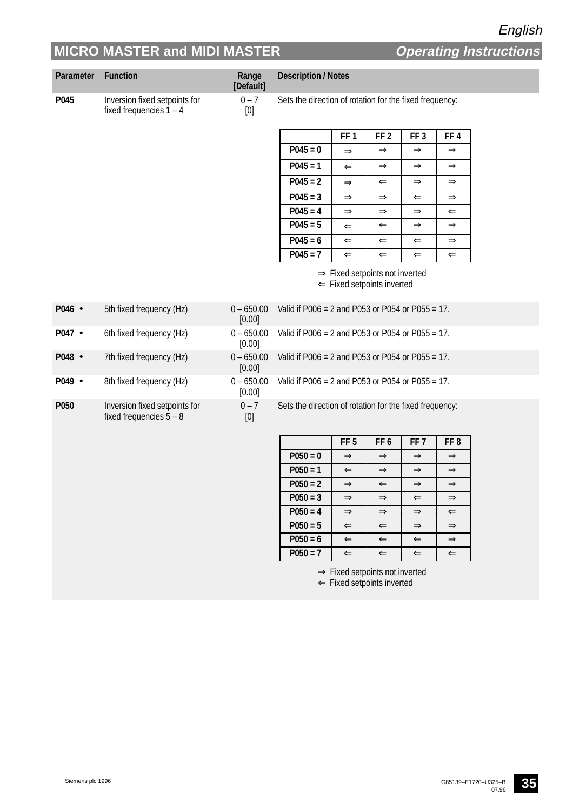# **MICRO MASTER and MIDI MASTER**

**Operating Instructions**

| <b>Parameter Function</b> |                                                            | Range<br>[Default |
|---------------------------|------------------------------------------------------------|-------------------|
| P <sub>045</sub>          | Inversion fixed setpoints for<br>fixed frequencies $1 - 4$ | $0 - 7$<br>ſОl    |

**Description / Notes**

**[Default]**

Sets the direction of rotation for the fixed frequency:

|            | FF <sub>1</sub> | FF <sub>2</sub> | FF <sub>3</sub> | FF4           |
|------------|-----------------|-----------------|-----------------|---------------|
| $P045 = 0$ | $\Rightarrow$   | $\Rightarrow$   | $\Rightarrow$   | $\Rightarrow$ |
| $P045 = 1$ | $\leftarrow$    | $\Rightarrow$   | $\Rightarrow$   | $\Rightarrow$ |
| $P045 = 2$ | $\Rightarrow$   | $\leftarrow$    | $\Rightarrow$   | $\Rightarrow$ |
| $P045 = 3$ | $\Rightarrow$   | $\Rightarrow$   | $\leftarrow$    | $\Rightarrow$ |
| $P045 = 4$ | $\Rightarrow$   | $\Rightarrow$   | $\Rightarrow$   | $\Leftarrow$  |
| $P045 = 5$ | $\Leftarrow$    | $\leftarrow$    | ⇒               | $\Rightarrow$ |
| $P045 = 6$ | $\leftarrow$    | $\leftarrow$    | $\leftarrow$    | $\Rightarrow$ |
| $P045 = 7$ | $\leftarrow$    | $\leftarrow$    | $\leftarrow$    | $\leftarrow$  |

⇒ Fixed setpoints not inverted ⇐ Fixed setpoints inverted

| P046 • | 5th fixed frequency (Hz)                                   | $0 - 650.00$<br>[0.00] | Valid if $P006 = 2$ and $P053$ or $P054$ or $P055 = 17$ . |
|--------|------------------------------------------------------------|------------------------|-----------------------------------------------------------|
| P047 • | 6th fixed frequency (Hz)                                   | $0 - 650.00$<br>[0.00] | Valid if $P006 = 2$ and $P053$ or $P054$ or $P055 = 17$ . |
| P048 · | 7th fixed frequency (Hz)                                   | $0 - 650.00$<br>[0.00] | Valid if $P006 = 2$ and $P053$ or $P054$ or $P055 = 17$ . |
| P049 • | 8th fixed frequency (Hz)                                   | $0 - 650.00$<br>[0.00] | Valid if P006 = 2 and P053 or P054 or P055 = 17.          |
| P050   | Inversion fixed setpoints for<br>fixed frequencies $5 - 8$ | $0 - 7$<br>[0]         | Sets the direction of rotation for the fixed frequency:   |
|        |                                                            |                        |                                                           |

|            | FF <sub>5</sub> | FF <sub>6</sub> | FF <sub>7</sub> | FF <sub>8</sub>    |
|------------|-----------------|-----------------|-----------------|--------------------|
| $P050 = 0$ | $\Rightarrow$   | $\Rightarrow$   | $\Rightarrow$   | $\Rightarrow$      |
| $P050 = 1$ | $\Leftarrow$    | $\Rightarrow$   | $\Rightarrow$   | $\Rightarrow$      |
| $P050 = 2$ | $\Rightarrow$   | $\leftarrow$    | $\Rightarrow$   | $\Rightarrow$      |
| $P050 = 3$ | $\Rightarrow$   | $\Rightarrow$   | $\Leftarrow$    | $\Rightarrow$      |
| $P050 = 4$ | $\Rightarrow$   | $\Rightarrow$   | $\Rightarrow$   | $\Leftarrow$       |
| $P050 = 5$ | $\leftarrow$    | $\leftarrow$    | $\Rightarrow$   | $\Rightarrow$      |
| $P050 = 6$ | $\leftarrow$    | $\leftarrow$    | $\Leftarrow$    | →                  |
| $P050 = 7$ | $\leftarrow$    | $\Leftarrow$    | $\Leftarrow$    | $\rightleftarrows$ |

⇒ Fixed setpoints not inverted  $\Leftarrow$  Fixed setpoints inverted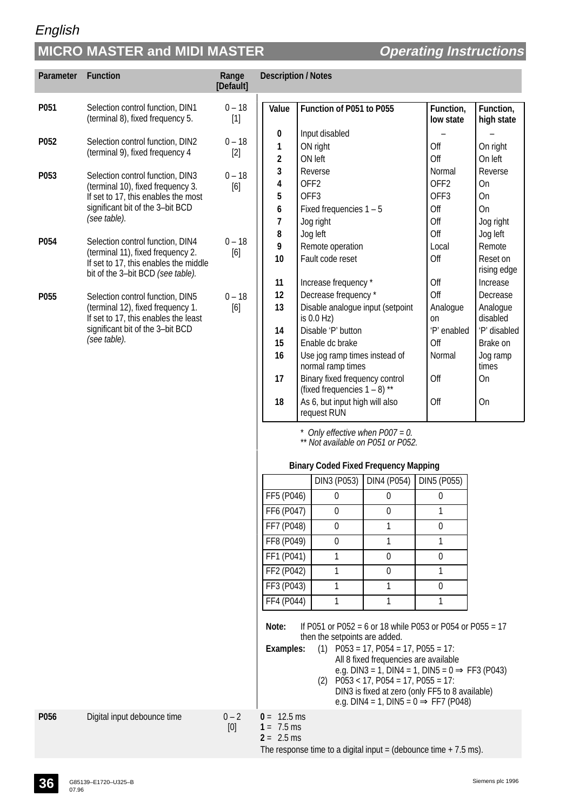# **MICRO MASTER and MIDI MASTER**

| Parameter    | <b>Function</b>                                                                                                                                                                                        | Range<br>[Default]                   |                                                  | <b>Description / Notes</b>                                                                                                                                                                                                                                       |                                                                                                                           |                                                                                                                                                                |                                                                                                     |
|--------------|--------------------------------------------------------------------------------------------------------------------------------------------------------------------------------------------------------|--------------------------------------|--------------------------------------------------|------------------------------------------------------------------------------------------------------------------------------------------------------------------------------------------------------------------------------------------------------------------|---------------------------------------------------------------------------------------------------------------------------|----------------------------------------------------------------------------------------------------------------------------------------------------------------|-----------------------------------------------------------------------------------------------------|
| P051         | Selection control function, DIN1<br>(terminal 8), fixed frequency 5.                                                                                                                                   | $0 - 18$<br>$[1]$                    | Value                                            | Function of P051 to P055                                                                                                                                                                                                                                         |                                                                                                                           | Function,<br>low state                                                                                                                                         | Function,<br>high state                                                                             |
| P052<br>P053 | Selection control function, DIN2<br>(terminal 9), fixed frequency 4<br>Selection control function, DIN3<br>(terminal 10), fixed frequency 3.<br>If set to 17, this enables the most                    | $0 - 18$<br>$[2]$<br>$0 - 18$<br>[6] | 0<br>1<br>$\overline{\mathbf{c}}$<br>3<br>4<br>5 | Input disabled<br>ON right<br>ON left<br>Reverse<br>OFF <sub>2</sub><br>OFF <sub>3</sub>                                                                                                                                                                         |                                                                                                                           | Off<br>Off<br>Normal<br>OFF <sub>2</sub><br>OFF <sub>3</sub>                                                                                                   | On right<br>On left<br>Reverse<br>On<br>On                                                          |
| P054         | significant bit of the 3-bit BCD<br>(see table).<br>Selection control function, DIN4<br>(terminal 11), fixed frequency 2.<br>If set to 17, this enables the middle                                     | $0 - 18$<br>[6]                      | 6<br>$\overline{1}$<br>8<br>9<br>10              | Fixed frequencies 1 - 5<br>Jog right<br>Jog left<br>Remote operation<br>Fault code reset                                                                                                                                                                         |                                                                                                                           | Off<br>Off<br>Off<br>Local<br>Off                                                                                                                              | On<br>Jog right<br>Jog left<br>Remote<br>Reset on<br>rising edge                                    |
| P055         | bit of the 3-bit BCD (see table).<br>Selection control function, DIN5<br>(terminal 12), fixed frequency 1.<br>If set to 17, this enables the least<br>significant bit of the 3-bit BCD<br>(see table). | $0 - 18$<br>[6]                      | 11<br>12<br>13<br>14<br>15<br>16<br>17           | Increase frequency*<br>Decrease frequency*<br>Disable analogue input (setpoint<br>is 0.0 Hz)<br>Disable 'P' button<br>Enable dc brake<br>Use jog ramp times instead of<br>normal ramp times<br>Binary fixed frequency control<br>(fixed frequencies $1 - 8$ ) ** |                                                                                                                           | Off<br>Off<br>Analogue<br>on<br>'P' enabled<br>Off<br>Normal<br>Off                                                                                            | Increase<br>Decrease<br>Analogue<br>disabled<br>'P' disabled<br>Brake on<br>Jog ramp<br>times<br>On |
|              |                                                                                                                                                                                                        |                                      | 18                                               | As 6, but input high will also<br>request RUN<br>* Only effective when $P007 = 0$ .                                                                                                                                                                              |                                                                                                                           | Off                                                                                                                                                            | On                                                                                                  |
|              |                                                                                                                                                                                                        |                                      |                                                  | ** Not available on P051 or P052.<br><b>Binary Coded Fixed Frequency Mapping</b>                                                                                                                                                                                 |                                                                                                                           |                                                                                                                                                                |                                                                                                     |
|              |                                                                                                                                                                                                        |                                      |                                                  | DIN3 (P053)                                                                                                                                                                                                                                                      | DIN4 (P054)                                                                                                               | DIN5 (P055)                                                                                                                                                    |                                                                                                     |
|              |                                                                                                                                                                                                        |                                      | FF5 (P046)<br>FF6 (P047)                         | $\mathbf{0}$                                                                                                                                                                                                                                                     | $\mathbf 0$<br>$\mathbf 0$                                                                                                | 0<br>1                                                                                                                                                         |                                                                                                     |
|              |                                                                                                                                                                                                        |                                      | FF7 (P048)                                       | 0<br>0                                                                                                                                                                                                                                                           | 1                                                                                                                         | $\mathbf 0$                                                                                                                                                    |                                                                                                     |
|              |                                                                                                                                                                                                        |                                      | FF8 (P049)                                       | 0                                                                                                                                                                                                                                                                | 1                                                                                                                         | $\mathbf{1}$                                                                                                                                                   |                                                                                                     |
|              |                                                                                                                                                                                                        |                                      | FF1 (P041)                                       | 1                                                                                                                                                                                                                                                                | 0                                                                                                                         | $\pmb{0}$                                                                                                                                                      |                                                                                                     |
|              |                                                                                                                                                                                                        |                                      | FF2 (P042)                                       | 1                                                                                                                                                                                                                                                                | 0                                                                                                                         | 1                                                                                                                                                              |                                                                                                     |
|              |                                                                                                                                                                                                        |                                      | FF3 (P043)                                       | 1                                                                                                                                                                                                                                                                | 1                                                                                                                         | $\boldsymbol{0}$                                                                                                                                               |                                                                                                     |
|              |                                                                                                                                                                                                        |                                      | FF4 (P044)                                       | 1                                                                                                                                                                                                                                                                | 1                                                                                                                         | 1                                                                                                                                                              |                                                                                                     |
|              |                                                                                                                                                                                                        |                                      | Note:<br><b>Examples:</b>                        | If P051 or P052 = 6 or 18 while P053 or P054 or P055 = 17<br>then the setpoints are added.                                                                                                                                                                       | $(1)$ P053 = 17, P054 = 17, P055 = 17:<br>All 8 fixed frequencies are available<br>$(2)$ P053 < 17, P054 = 17, P055 = 17: | e.g. DIN3 = 1, DIN4 = 1, DIN5 = $0 \implies$ FF3 (P043)<br>DIN3 is fixed at zero (only FF5 to 8 available)<br>e.g. DIN4 = 1, DIN5 = $0 \Rightarrow$ FF7 (P048) |                                                                                                     |
| P056         | Digital input debounce time                                                                                                                                                                            | $0 - 2$<br>[0]                       | $0 = 12.5$ ms<br>$1 = 7.5$ ms<br>$2 = 2.5$ ms    | The response time to a digital input = (debounce time $+ 7.5$ ms).                                                                                                                                                                                               |                                                                                                                           |                                                                                                                                                                |                                                                                                     |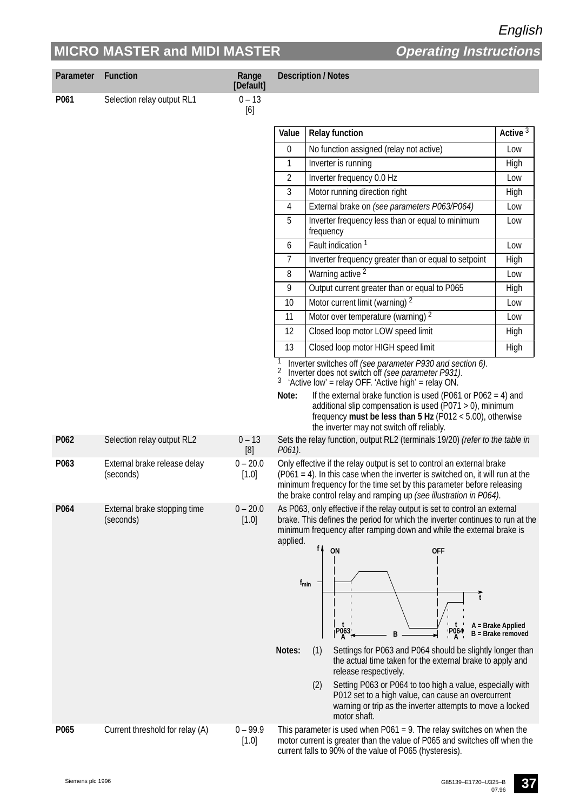**Operating Instructions**

English

| Parameter | <b>Function</b>                           | Range<br>[Default]    |                | <b>Description / Notes</b>                                                                                                                                                                                                                                                                                                                                    |                                               |
|-----------|-------------------------------------------|-----------------------|----------------|---------------------------------------------------------------------------------------------------------------------------------------------------------------------------------------------------------------------------------------------------------------------------------------------------------------------------------------------------------------|-----------------------------------------------|
| P061      | Selection relay output RL1                | $0 - 13$<br>[6]       |                |                                                                                                                                                                                                                                                                                                                                                               |                                               |
|           |                                           |                       | Value          | <b>Relay function</b>                                                                                                                                                                                                                                                                                                                                         | Active $3$                                    |
|           |                                           |                       | 0              | No function assigned (relay not active)                                                                                                                                                                                                                                                                                                                       | Low                                           |
|           |                                           |                       | $\mathbf{1}$   | Inverter is running                                                                                                                                                                                                                                                                                                                                           | High                                          |
|           |                                           |                       | $\overline{2}$ | Inverter frequency 0.0 Hz                                                                                                                                                                                                                                                                                                                                     | Low                                           |
|           |                                           |                       | 3              | Motor running direction right                                                                                                                                                                                                                                                                                                                                 | High                                          |
|           |                                           |                       | 4              | External brake on (see parameters P063/P064)                                                                                                                                                                                                                                                                                                                  | Low                                           |
|           |                                           |                       | 5              | Inverter frequency less than or equal to minimum<br>frequency                                                                                                                                                                                                                                                                                                 | Low                                           |
|           |                                           |                       | 6              | Fault indication 1                                                                                                                                                                                                                                                                                                                                            | Low                                           |
|           |                                           |                       | $\overline{1}$ | Inverter frequency greater than or equal to setpoint                                                                                                                                                                                                                                                                                                          | High                                          |
|           |                                           |                       | 8              | Warning active 2                                                                                                                                                                                                                                                                                                                                              | Low                                           |
|           |                                           |                       | 9              | Output current greater than or equal to P065                                                                                                                                                                                                                                                                                                                  | High                                          |
|           |                                           |                       | 10             | Motor current limit (warning) 2                                                                                                                                                                                                                                                                                                                               | Low                                           |
|           |                                           |                       | 11             | Motor over temperature (warning) 2                                                                                                                                                                                                                                                                                                                            | Low                                           |
|           |                                           |                       | 12             | Closed loop motor LOW speed limit                                                                                                                                                                                                                                                                                                                             | High                                          |
|           |                                           |                       | 13             | Closed loop motor HIGH speed limit                                                                                                                                                                                                                                                                                                                            | High                                          |
|           |                                           |                       | 3              | Inverter switches off (see parameter P930 and section 6).<br>Inverter does not switch off (see parameter P931).<br>'Active low' = relay OFF. 'Active high' = relay ON.                                                                                                                                                                                        |                                               |
|           |                                           |                       | Note:          | If the external brake function is used (P061 or $P062 = 4$ ) and<br>additional slip compensation is used (P071 $>$ 0), minimum<br>frequency must be less than $5$ Hz (P012 < $5.00$ ), otherwise<br>the inverter may not switch off reliably.                                                                                                                 |                                               |
| P062      | Selection relay output RL2                | $0 - 13$<br>[8]       | P061).         | Sets the relay function, output RL2 (terminals 19/20) (refer to the table in                                                                                                                                                                                                                                                                                  |                                               |
| P063      | External brake release delay<br>(seconds) | $0 - 20.0$<br>$[1.0]$ |                | Only effective if the relay output is set to control an external brake<br>$(PO61 = 4)$ . In this case when the inverter is switched on, it will run at the<br>minimum frequency for the time set by this parameter before releasing<br>the brake control relay and ramping up (see illustration in P064).                                                     |                                               |
| P064      | External brake stopping time<br>(seconds) | $0 - 20.0$<br>$[1.0]$ | applied.       | As P063, only effective if the relay output is set to control an external<br>brake. This defines the period for which the inverter continues to run at the<br>minimum frequency after ramping down and while the external brake is                                                                                                                            |                                               |
|           |                                           |                       |                | f∤<br>ON<br><b>OFF</b><br>$f_{min}$<br>ì<br><b>P063</b><br>В                                                                                                                                                                                                                                                                                                  | A = Brake Applied<br><b>B</b> = Brake removed |
|           |                                           |                       | Notes:         | Settings for P063 and P064 should be slightly longer than<br>(1)<br>the actual time taken for the external brake to apply and<br>release respectively.<br>Setting P063 or P064 to too high a value, especially with<br>(2)<br>P012 set to a high value, can cause an overcurrent<br>warning or trip as the inverter attempts to move a locked<br>motor shaft. |                                               |
| P065      | Current threshold for relay (A)           | $0 - 99.9$<br>[1.0]   |                | This parameter is used when $P061 = 9$ . The relay switches on when the<br>motor current is greater than the value of P065 and switches off when the<br>current falls to 90% of the value of P065 (hysteresis).                                                                                                                                               |                                               |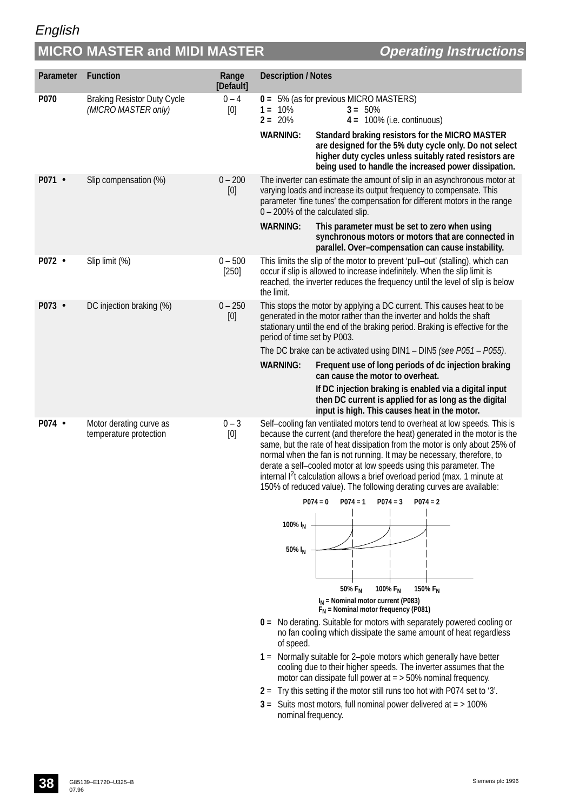# **MICRO MASTER and MIDI MASTER**

| Parameter        | <b>Function</b>                                           | Range                | <b>Description / Notes</b>                                                                                                                                                                                                                                                                                                                                                                                                                                                                                                                               |
|------------------|-----------------------------------------------------------|----------------------|----------------------------------------------------------------------------------------------------------------------------------------------------------------------------------------------------------------------------------------------------------------------------------------------------------------------------------------------------------------------------------------------------------------------------------------------------------------------------------------------------------------------------------------------------------|
|                  |                                                           | [Default]            |                                                                                                                                                                                                                                                                                                                                                                                                                                                                                                                                                          |
| P070             | <b>Braking Resistor Duty Cycle</b><br>(MICRO MASTER only) | $0 - 4$<br>[0]       | 0 = 5% (as for previous MICRO MASTERS)<br>$1 = 10%$<br>$3 = 50\%$<br>$2 = 20%$<br>$4 = 100\%$ (i.e. continuous)<br><b>WARNING:</b><br>Standard braking resistors for the MICRO MASTER<br>are designed for the 5% duty cycle only. Do not select                                                                                                                                                                                                                                                                                                          |
|                  |                                                           |                      | higher duty cycles unless suitably rated resistors are<br>being used to handle the increased power dissipation.                                                                                                                                                                                                                                                                                                                                                                                                                                          |
| P071 •           | Slip compensation (%)                                     | $0 - 200$<br>[0]     | The inverter can estimate the amount of slip in an asynchronous motor at<br>varying loads and increase its output frequency to compensate. This<br>parameter 'fine tunes' the compensation for different motors in the range<br>0 - 200% of the calculated slip.                                                                                                                                                                                                                                                                                         |
|                  |                                                           |                      | <b>WARNING:</b><br>This parameter must be set to zero when using<br>synchronous motors or motors that are connected in<br>parallel. Over-compensation can cause instability.                                                                                                                                                                                                                                                                                                                                                                             |
| P072 •           | Slip limit (%)                                            | $0 - 500$<br>$[250]$ | This limits the slip of the motor to prevent 'pull-out' (stalling), which can<br>occur if slip is allowed to increase indefinitely. When the slip limit is<br>reached, the inverter reduces the frequency until the level of slip is below<br>the limit.                                                                                                                                                                                                                                                                                                 |
| $P073$ $\bullet$ | DC injection braking (%)                                  | $0 - 250$<br>[0]     | This stops the motor by applying a DC current. This causes heat to be<br>generated in the motor rather than the inverter and holds the shaft<br>stationary until the end of the braking period. Braking is effective for the<br>period of time set by P003.                                                                                                                                                                                                                                                                                              |
|                  |                                                           |                      | The DC brake can be activated using DIN1 - DIN5 (see P051 - P055).                                                                                                                                                                                                                                                                                                                                                                                                                                                                                       |
|                  |                                                           |                      | <b>WARNING:</b><br>Frequent use of long periods of dc injection braking<br>can cause the motor to overheat.                                                                                                                                                                                                                                                                                                                                                                                                                                              |
|                  |                                                           |                      | If DC injection braking is enabled via a digital input<br>then DC current is applied for as long as the digital<br>input is high. This causes heat in the motor.                                                                                                                                                                                                                                                                                                                                                                                         |
| P074 .           | Motor derating curve as<br>temperature protection         | $0 - 3$<br>[0]       | Self-cooling fan ventilated motors tend to overheat at low speeds. This is<br>because the current (and therefore the heat) generated in the motor is the<br>same, but the rate of heat dissipation from the motor is only about 25% of<br>normal when the fan is not running. It may be necessary, therefore, to<br>derate a self-cooled motor at low speeds using this parameter. The<br>internal I <sup>2</sup> t calculation allows a brief overload period (max. 1 minute at<br>150% of reduced value). The following derating curves are available: |
|                  |                                                           |                      | $P074 = 0$<br>$P074 = 1$<br>$P074 = 3$<br>$P074 = 2$                                                                                                                                                                                                                                                                                                                                                                                                                                                                                                     |
|                  |                                                           |                      | 100% I <sub>N</sub>                                                                                                                                                                                                                                                                                                                                                                                                                                                                                                                                      |
|                  |                                                           |                      | 50% I <sub>N</sub>                                                                                                                                                                                                                                                                                                                                                                                                                                                                                                                                       |
|                  |                                                           |                      |                                                                                                                                                                                                                                                                                                                                                                                                                                                                                                                                                          |
|                  |                                                           |                      | 50% $F_N$<br>100% F <sub>N</sub><br>150% F <sub>N</sub><br>$I_N$ = Nominal motor current (P083)                                                                                                                                                                                                                                                                                                                                                                                                                                                          |
|                  |                                                           |                      | $F_N$ = Nominal motor frequency (P081)                                                                                                                                                                                                                                                                                                                                                                                                                                                                                                                   |
|                  |                                                           |                      | 0 = No derating. Suitable for motors with separately powered cooling or<br>no fan cooling which dissipate the same amount of heat regardless<br>of speed.                                                                                                                                                                                                                                                                                                                                                                                                |
|                  |                                                           |                      | 1 = Normally suitable for 2-pole motors which generally have better<br>cooling due to their higher speeds. The inverter assumes that the<br>motor can dissipate full power at $=$ > 50% nominal frequency.                                                                                                                                                                                                                                                                                                                                               |
|                  |                                                           |                      | 2 = Try this setting if the motor still runs too hot with P074 set to '3'.                                                                                                                                                                                                                                                                                                                                                                                                                                                                               |
|                  |                                                           |                      | $3 =$ Suits most motors, full nominal power delivered at $=$ > 100%<br>nominal frequency.                                                                                                                                                                                                                                                                                                                                                                                                                                                                |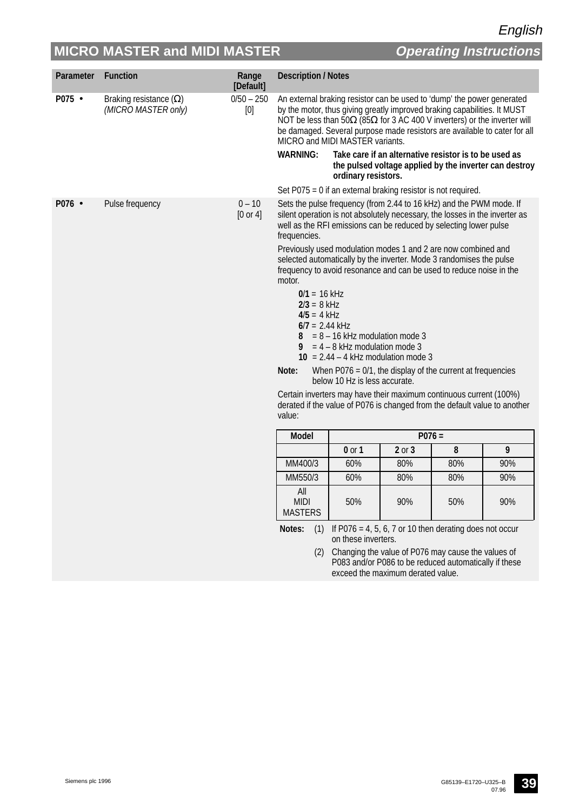| Parameter        | <b>Function</b>                                      | Range<br>[Default]              | <b>Description / Notes</b>           |                                                                                                                                                                                                                                                                                   |                                                                                                                                                  |     |                                                                           |
|------------------|------------------------------------------------------|---------------------------------|--------------------------------------|-----------------------------------------------------------------------------------------------------------------------------------------------------------------------------------------------------------------------------------------------------------------------------------|--------------------------------------------------------------------------------------------------------------------------------------------------|-----|---------------------------------------------------------------------------|
| $P075$ $\bullet$ | Braking resistance $(\Omega)$<br>(MICRO MASTER only) | $0/50 - 250$<br>[0]             |                                      | An external braking resistor can be used to 'dump' the power generated<br>by the motor, thus giving greatly improved braking capabilities. It MUST<br>NOT be less than 50 $\Omega$ (85 $\Omega$ for 3 AC 400 V inverters) or the inverter will<br>MICRO and MIDI MASTER variants. |                                                                                                                                                  |     | be damaged. Several purpose made resistors are available to cater for all |
|                  |                                                      |                                 | <b>WARNING:</b>                      | ordinary resistors.                                                                                                                                                                                                                                                               | Take care if an alternative resistor is to be used as                                                                                            |     | the pulsed voltage applied by the inverter can destroy                    |
|                  |                                                      |                                 |                                      | Set P075 = 0 if an external braking resistor is not required.                                                                                                                                                                                                                     |                                                                                                                                                  |     |                                                                           |
| $P076$ $\bullet$ | Pulse frequency                                      | $0 - 10$<br>$[0 \text{ or } 4]$ | frequencies.                         | Sets the pulse frequency (from 2.44 to 16 kHz) and the PWM mode. If<br>silent operation is not absolutely necessary, the losses in the inverter as<br>well as the RFI emissions can be reduced by selecting lower pulse                                                           |                                                                                                                                                  |     |                                                                           |
|                  |                                                      |                                 | motor.                               | Previously used modulation modes 1 and 2 are now combined and<br>selected automatically by the inverter. Mode 3 randomises the pulse<br>frequency to avoid resonance and can be used to reduce noise in the                                                                       |                                                                                                                                                  |     |                                                                           |
|                  |                                                      |                                 | $0/1 = 16$ kHz                       |                                                                                                                                                                                                                                                                                   |                                                                                                                                                  |     |                                                                           |
|                  |                                                      |                                 | $2/3 = 8$ kHz<br>$4/5 = 4$ kHz       |                                                                                                                                                                                                                                                                                   |                                                                                                                                                  |     |                                                                           |
|                  |                                                      |                                 | $6/7 = 2.44$ kHz                     |                                                                                                                                                                                                                                                                                   |                                                                                                                                                  |     |                                                                           |
|                  |                                                      |                                 | 8                                    | $= 8 - 16$ kHz modulation mode 3<br>$= 4 - 8$ kHz modulation mode 3                                                                                                                                                                                                               |                                                                                                                                                  |     |                                                                           |
|                  |                                                      |                                 |                                      | $10 = 2.44 - 4$ kHz modulation mode 3                                                                                                                                                                                                                                             |                                                                                                                                                  |     |                                                                           |
|                  |                                                      |                                 | Note:                                | When $P076 = 0/1$ , the display of the current at frequencies<br>below 10 Hz is less accurate.                                                                                                                                                                                    |                                                                                                                                                  |     |                                                                           |
|                  |                                                      |                                 | value:                               | Certain inverters may have their maximum continuous current (100%)<br>derated if the value of P076 is changed from the default value to another                                                                                                                                   |                                                                                                                                                  |     |                                                                           |
|                  |                                                      |                                 | <b>Model</b>                         |                                                                                                                                                                                                                                                                                   | $P076 =$                                                                                                                                         |     |                                                                           |
|                  |                                                      |                                 |                                      | $0$ or $1$                                                                                                                                                                                                                                                                        | $2$ or $3$                                                                                                                                       | 8   | 9                                                                         |
|                  |                                                      |                                 | MM400/3                              | 60%                                                                                                                                                                                                                                                                               | 80%                                                                                                                                              | 80% | 90%                                                                       |
|                  |                                                      |                                 | MM550/3                              | 60%                                                                                                                                                                                                                                                                               | 80%                                                                                                                                              | 80% | 90%                                                                       |
|                  |                                                      |                                 | All<br><b>MIDI</b><br><b>MASTERS</b> | 50%                                                                                                                                                                                                                                                                               | 90%                                                                                                                                              | 50% | 90%                                                                       |
|                  |                                                      |                                 | Notes:<br>(1)                        | on these inverters.                                                                                                                                                                                                                                                               | If P076 = $4, 5, 6, 7$ or 10 then derating does not occur                                                                                        |     |                                                                           |
|                  |                                                      |                                 | (2)                                  |                                                                                                                                                                                                                                                                                   | Changing the value of P076 may cause the values of<br>P083 and/or P086 to be reduced automatically if these<br>exceed the maximum derated value. |     |                                                                           |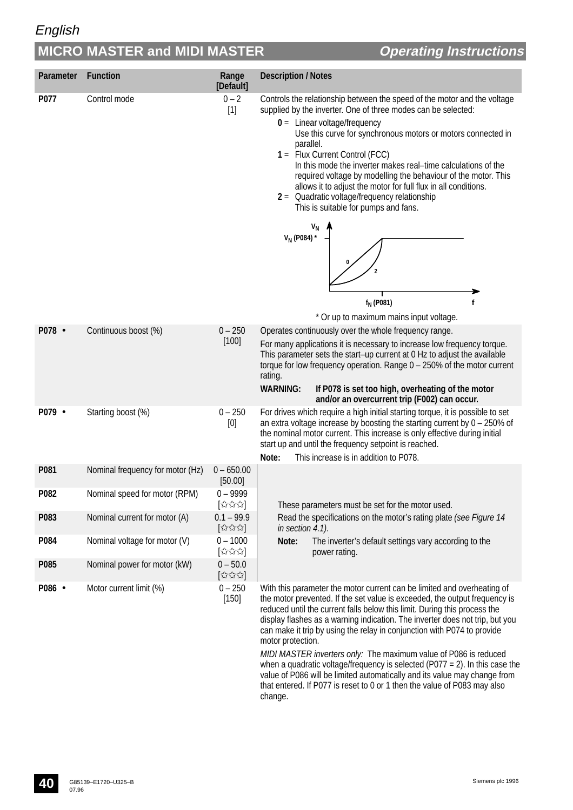# **MICRO MASTER and MIDI MASTER**

| Parameter        | <b>Function</b>                  | Range<br>[Default]                      | <b>Description / Notes</b>                                                                                                                                                                                                                                                                                                                                                                                                                                                                                                                                                                                                                                                                                                                |
|------------------|----------------------------------|-----------------------------------------|-------------------------------------------------------------------------------------------------------------------------------------------------------------------------------------------------------------------------------------------------------------------------------------------------------------------------------------------------------------------------------------------------------------------------------------------------------------------------------------------------------------------------------------------------------------------------------------------------------------------------------------------------------------------------------------------------------------------------------------------|
| P077             | Control mode                     | $0 - 2$<br>$[1]$                        | Controls the relationship between the speed of the motor and the voltage<br>supplied by the inverter. One of three modes can be selected:<br>$0 =$ Linear voltage/frequency<br>Use this curve for synchronous motors or motors connected in<br>parallel.<br>$1 =$ Flux Current Control (FCC)<br>In this mode the inverter makes real-time calculations of the<br>required voltage by modelling the behaviour of the motor. This<br>allows it to adjust the motor for full flux in all conditions.<br>2 = Quadratic voltage/frequency relationship<br>This is suitable for pumps and fans.<br>$V_N$ (P084) $^{\star}$<br>$f_N$ (P081)<br>f<br>* Or up to maximum mains input voltage.                                                      |
| P078 •           | Continuous boost (%)             | $0 - 250$                               | Operates continuously over the whole frequency range.                                                                                                                                                                                                                                                                                                                                                                                                                                                                                                                                                                                                                                                                                     |
|                  |                                  | $[100]$                                 | For many applications it is necessary to increase low frequency torque.<br>This parameter sets the start-up current at 0 Hz to adjust the available<br>torque for low frequency operation. Range 0 - 250% of the motor current<br>rating.<br><b>WARNING:</b><br>If P078 is set too high, overheating of the motor<br>and/or an overcurrent trip (F002) can occur.                                                                                                                                                                                                                                                                                                                                                                         |
| $P079$ $\bullet$ | Starting boost (%)               | $0 - 250$<br>[0]                        | For drives which require a high initial starting torque, it is possible to set<br>an extra voltage increase by boosting the starting current by $0 - 250\%$ of<br>the nominal motor current. This increase is only effective during initial<br>start up and until the frequency setpoint is reached.                                                                                                                                                                                                                                                                                                                                                                                                                                      |
| P081             | Nominal frequency for motor (Hz) | $0 - 650.00$                            | This increase is in addition to P078.<br>Note:                                                                                                                                                                                                                                                                                                                                                                                                                                                                                                                                                                                                                                                                                            |
|                  |                                  | [50.00]                                 |                                                                                                                                                                                                                                                                                                                                                                                                                                                                                                                                                                                                                                                                                                                                           |
| P082             | Nominal speed for motor (RPM)    | $0 - 9999$<br>[☆☆☆]                     | These parameters must be set for the motor used.                                                                                                                                                                                                                                                                                                                                                                                                                                                                                                                                                                                                                                                                                          |
| P083             | Nominal current for motor (A)    | $0.1 - 99.9$<br>$[\forall x \forall x]$ | Read the specifications on the motor's rating plate (see Figure 14<br>in section 4.1).                                                                                                                                                                                                                                                                                                                                                                                                                                                                                                                                                                                                                                                    |
| P084             | Nominal voltage for motor (V)    | $0 - 1000$<br>$[\forall x \forall x]$   | Note:<br>The inverter's default settings vary according to the<br>power rating.                                                                                                                                                                                                                                                                                                                                                                                                                                                                                                                                                                                                                                                           |
| P085             | Nominal power for motor (kW)     | $0 - 50.0$<br>[☆☆☆]                     |                                                                                                                                                                                                                                                                                                                                                                                                                                                                                                                                                                                                                                                                                                                                           |
| $P086$ $\bullet$ | Motor current limit (%)          | $0 - 250$<br>$[150]$                    | With this parameter the motor current can be limited and overheating of<br>the motor prevented. If the set value is exceeded, the output frequency is<br>reduced until the current falls below this limit. During this process the<br>display flashes as a warning indication. The inverter does not trip, but you<br>can make it trip by using the relay in conjunction with P074 to provide<br>motor protection.<br>MIDI MASTER inverters only: The maximum value of P086 is reduced<br>when a quadratic voltage/frequency is selected (P077 = 2). In this case the<br>value of P086 will be limited automatically and its value may change from<br>that entered. If P077 is reset to 0 or 1 then the value of P083 may also<br>change. |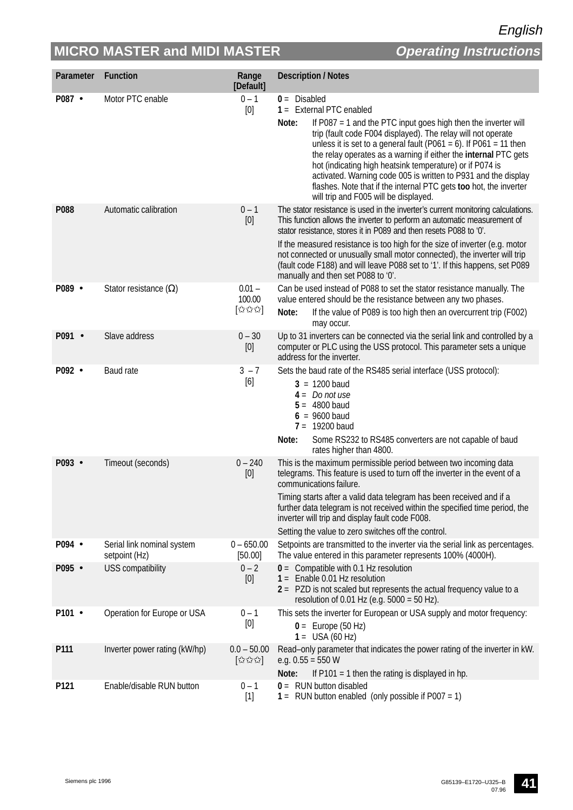# **MICRO MASTER and MIDI MASTER**

| Parameter        | <b>Function</b>                             | Range<br>[Default]          | <b>Description / Notes</b>                                                                                                                                                                                                                                                                                                                                                                                                                                                                                                                                  |
|------------------|---------------------------------------------|-----------------------------|-------------------------------------------------------------------------------------------------------------------------------------------------------------------------------------------------------------------------------------------------------------------------------------------------------------------------------------------------------------------------------------------------------------------------------------------------------------------------------------------------------------------------------------------------------------|
| $P087$ $\bullet$ | Motor PTC enable                            | $0 - 1$<br>[0]              | $0 = Disabled$<br>$1 =$ External PTC enabled<br>Note:<br>If $P087 = 1$ and the PTC input goes high then the inverter will<br>trip (fault code F004 displayed). The relay will not operate<br>unless it is set to a general fault (P061 = 6). If P061 = 11 then<br>the relay operates as a warning if either the internal PTC gets<br>hot (indicating high heatsink temperature) or if P074 is<br>activated. Warning code 005 is written to P931 and the display<br>flashes. Note that if the internal PTC gets too hot, the inverter                        |
| P088             | Automatic calibration                       | $0 - 1$<br>[0]              | will trip and F005 will be displayed.<br>The stator resistance is used in the inverter's current monitoring calculations.<br>This function allows the inverter to perform an automatic measurement of<br>stator resistance, stores it in P089 and then resets P088 to '0'.<br>If the measured resistance is too high for the size of inverter (e.g. motor<br>not connected or unusually small motor connected), the inverter will trip<br>(fault code F188) and will leave P088 set to '1'. If this happens, set P089<br>manually and then set P088 to '0'. |
| P089 •           | Stator resistance $(\Omega)$                | $0.01 -$<br>100.00<br>[☆☆☆] | Can be used instead of P088 to set the stator resistance manually. The<br>value entered should be the resistance between any two phases.<br>Note:<br>If the value of P089 is too high then an overcurrent trip (F002)<br>may occur.                                                                                                                                                                                                                                                                                                                         |
| P091 •           | Slave address                               | $0 - 30$<br>[0]             | Up to 31 inverters can be connected via the serial link and controlled by a<br>computer or PLC using the USS protocol. This parameter sets a unique<br>address for the inverter.                                                                                                                                                                                                                                                                                                                                                                            |
| $P092$ $\bullet$ | <b>Baud rate</b>                            | $3 - 7$<br>[6]              | Sets the baud rate of the RS485 serial interface (USS protocol):<br>$3 = 1200$ baud<br>$4 = Do not use$<br>$5 = 4800$ baud<br>$6 = 9600$ baud<br>$7 = 19200$ baud<br>Note:<br>Some RS232 to RS485 converters are not capable of baud                                                                                                                                                                                                                                                                                                                        |
| $P093$ $\bullet$ | Timeout (seconds)                           | $0 - 240$<br>[0]            | rates higher than 4800.<br>This is the maximum permissible period between two incoming data<br>telegrams. This feature is used to turn off the inverter in the event of a<br>communications failure.<br>Timing starts after a valid data telegram has been received and if a<br>further data telegram is not received within the specified time period, the<br>inverter will trip and display fault code F008.<br>Setting the value to zero switches off the control.                                                                                       |
| $P094$ $\bullet$ | Serial link nominal system<br>setpoint (Hz) | $0 - 650.00$<br>[50.00]     | Setpoints are transmitted to the inverter via the serial link as percentages.<br>The value entered in this parameter represents 100% (4000H).                                                                                                                                                                                                                                                                                                                                                                                                               |
| $P095$ $\bullet$ | <b>USS compatibility</b>                    | $0 - 2$<br>[0]              | $0 =$ Compatible with 0.1 Hz resolution<br>$1 =$ Enable 0.01 Hz resolution<br>$2 =$ PZD is not scaled but represents the actual frequency value to a<br>resolution of 0.01 Hz (e.g. 5000 = 50 Hz).                                                                                                                                                                                                                                                                                                                                                          |
| P101 •           | Operation for Europe or USA                 | $0 - 1$<br>[0]              | This sets the inverter for European or USA supply and motor frequency:<br>$0 =$ Europe (50 Hz)<br>$1 =$ USA (60 Hz)                                                                                                                                                                                                                                                                                                                                                                                                                                         |
| P111             | Inverter power rating (kW/hp)               | $0.0 - 50.00$<br>[☆☆☆]      | Read-only parameter that indicates the power rating of the inverter in kW.<br>e.g. $0.55 = 550$ W<br>Note:<br>If $P101 = 1$ then the rating is displayed in hp.                                                                                                                                                                                                                                                                                                                                                                                             |
| P121             | Enable/disable RUN button                   | $0 - 1$<br>$[1]$            | $0 =$ RUN button disabled<br>$1 =$ RUN button enabled (only possible if P007 = 1)                                                                                                                                                                                                                                                                                                                                                                                                                                                                           |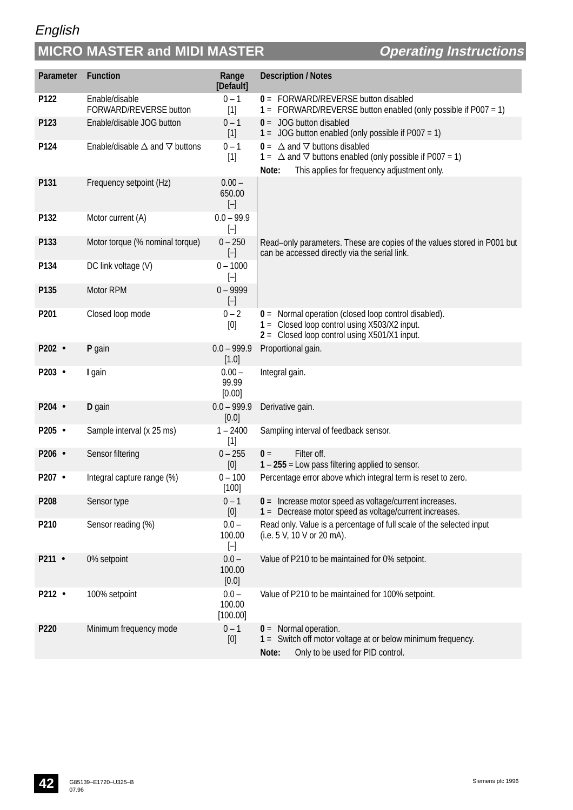# **MICRO MASTER and MIDI MASTER**

| Parameter        | <b>Function</b>                              | Range<br>[Default]                            | <b>Description / Notes</b>                                                                                                                                                  |
|------------------|----------------------------------------------|-----------------------------------------------|-----------------------------------------------------------------------------------------------------------------------------------------------------------------------------|
| P122             | Enable/disable<br>FORWARD/REVERSE button     | $0 - 1$<br>$[1]$                              | $0 = \text{FORWARD/REVERSE button disabled}$<br>1 = FORWARD/REVERSE button enabled (only possible if P007 = 1)                                                              |
| P123             | Enable/disable JOG button                    | $0 - 1$<br>$[1]$                              | $0 =$ JOG button disabled<br>$1 =$ JOG button enabled (only possible if P007 = 1)                                                                                           |
| P124             | Enable/disable $\Delta$ and $\nabla$ buttons | $0 - 1$<br>$[1]$                              | $0 = \Delta$ and $\nabla$ buttons disabled<br>$1 = \Delta$ and $\nabla$ buttons enabled (only possible if P007 = 1)<br>This applies for frequency adjustment only.<br>Note: |
| P131             | Frequency setpoint (Hz)                      | $0.00 -$<br>650.00<br>$[\mathord{\text{--}}]$ |                                                                                                                                                                             |
| P132             | Motor current (A)                            | $0.0 - 99.9$<br>$[\mathord{\text{-}}]$        |                                                                                                                                                                             |
| P133             | Motor torque (% nominal torque)              | $0 - 250$<br>$[\mathord{\text{-}}]$           | Read-only parameters. These are copies of the values stored in P001 but<br>can be accessed directly via the serial link.                                                    |
| P134             | DC link voltage (V)                          | $0 - 1000$<br>$[\mathord{\text{--}}]$         |                                                                                                                                                                             |
| P135             | <b>Motor RPM</b>                             | $0 - 9999$<br>$[\mathord{\text{-}}]$          |                                                                                                                                                                             |
| P201             | Closed loop mode                             | $0 - 2$<br>[0]                                | $0 =$ Normal operation (closed loop control disabled).<br>1 = Closed loop control using X503/X2 input.<br>$2 =$ Closed loop control using X501/X1 input.                    |
| P202 ·           | P gain                                       | $0.0 - 999.9$<br>[1.0]                        | Proportional gain.                                                                                                                                                          |
| P203 ·           | I gain                                       | $0.00 -$<br>99.99<br>[0.00]                   | Integral gain.                                                                                                                                                              |
| P204 ·           | D gain                                       | $0.0 - 999.9$<br>[0.0]                        | Derivative gain.                                                                                                                                                            |
| P205 ·           | Sample interval (x 25 ms)                    | $1 - 2400$<br>$[1]$                           | Sampling interval of feedback sensor.                                                                                                                                       |
| P206 ·           | Sensor filtering                             | $0 - 255$<br>[0]                              | Filter off.<br>$\mathbf{0} =$<br>$1 - 255$ = Low pass filtering applied to sensor.                                                                                          |
| P207 •           | Integral capture range (%)                   | $0 - 100$<br>$[100]$                          | Percentage error above which integral term is reset to zero.                                                                                                                |
| P208             | Sensor type                                  | $0 - 1$<br>[0]                                | $0 =$ Increase motor speed as voltage/current increases.<br>1 = Decrease motor speed as voltage/current increases.                                                          |
| P210             | Sensor reading (%)                           | $0.0 -$<br>100.00<br>$[ - ]$                  | Read only. Value is a percentage of full scale of the selected input<br>(i.e. 5 V, 10 V or 20 mA).                                                                          |
| P211 •           | 0% setpoint                                  | $0.0 -$<br>100.00<br>[0.0]                    | Value of P210 to be maintained for 0% setpoint.                                                                                                                             |
| P212 •           | 100% setpoint                                | $0.0 -$<br>100.00<br>[100.00]                 | Value of P210 to be maintained for 100% setpoint.                                                                                                                           |
| P <sub>220</sub> | Minimum frequency mode                       | $0 - 1$<br>[0]                                | $0 =$ Normal operation.<br>1 = Switch off motor voltage at or below minimum frequency.<br>Only to be used for PID control.<br>Note:                                         |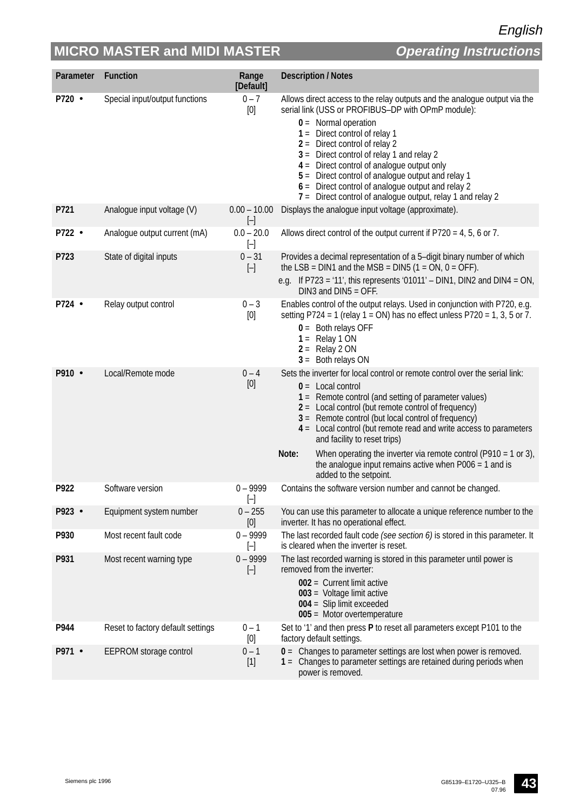# **MICRO MASTER and MIDI MASTER**

| Parameter        | <b>Function</b>                   | Range<br>[Default]                                                                                                                                                                                                                                                                                                                                                                                                                                                                                                                               | <b>Description / Notes</b>                                                                                                                                                                                                                                                                                                                                                                                                                                                                                                |
|------------------|-----------------------------------|--------------------------------------------------------------------------------------------------------------------------------------------------------------------------------------------------------------------------------------------------------------------------------------------------------------------------------------------------------------------------------------------------------------------------------------------------------------------------------------------------------------------------------------------------|---------------------------------------------------------------------------------------------------------------------------------------------------------------------------------------------------------------------------------------------------------------------------------------------------------------------------------------------------------------------------------------------------------------------------------------------------------------------------------------------------------------------------|
| $P720$ $\bullet$ | Special input/output functions    | $0 - 7$<br>[0]                                                                                                                                                                                                                                                                                                                                                                                                                                                                                                                                   | Allows direct access to the relay outputs and the analogue output via the<br>serial link (USS or PROFIBUS-DP with OPmP module):<br>$0 =$ Normal operation<br>$1 =$ Direct control of relay 1<br>$2 =$ Direct control of relay 2<br>$3 =$ Direct control of relay 1 and relay 2<br>$4 =$ Direct control of analogue output only<br>5 = Direct control of analogue output and relay 1<br>$6 =$ Direct control of analogue output and relay 2<br>$7 =$ Direct control of analogue output, relay 1 and relay 2                |
| P721             | Analogue input voltage (V)        | $0.00 - 10.00$<br>$[ - ]$                                                                                                                                                                                                                                                                                                                                                                                                                                                                                                                        | Displays the analogue input voltage (approximate).                                                                                                                                                                                                                                                                                                                                                                                                                                                                        |
| P722             | Analogue output current (mA)      | $0.0 - 20.0$<br>$[\mathord{\text{--}}]$                                                                                                                                                                                                                                                                                                                                                                                                                                                                                                          | Allows direct control of the output current if $P720 = 4, 5, 6$ or 7.                                                                                                                                                                                                                                                                                                                                                                                                                                                     |
| P723             | State of digital inputs           | $0 - 31$<br>$\left[ -\right] % \begin{minipage}[b]{.45\linewidth} \centering \includegraphics[width=\textwidth]{figs/fig_4-1} \caption{The number of times in the left and right.} \label{fig:fig_4-1} \end{minipage} \vspace{0.05\linewidth} \vspace{0.05\linewidth} \vspace{0.05\linewidth} \vspace{0.05\linewidth} \vspace{0.05\linewidth} \vspace{0.05\linewidth} \vspace{0.05\linewidth} \vspace{0.05\linewidth} \vspace{0.05\linewidth} \vspace{0.05\linewidth} \vspace{0.05\linewidth} \vspace{0.05\linewidth} \vspace{0.05\linewidth} \$ | Provides a decimal representation of a 5-digit binary number of which<br>the LSB = DIN1 and the MSB = DIN5 (1 = $\overline{ON}$ , 0 = $\overline{OFF}$ ).<br>e.g. If P723 = '11', this represents '01011' - DIN1, DIN2 and DIN4 = ON,<br>$DIN3$ and $DIN5 = OFF$ .                                                                                                                                                                                                                                                        |
| P724             | Relay output control              | $0 - 3$<br>[0]                                                                                                                                                                                                                                                                                                                                                                                                                                                                                                                                   | Enables control of the output relays. Used in conjunction with P720, e.g.<br>setting P724 = 1 (relay $1 = ON$ ) has no effect unless P720 = 1, 3, 5 or 7.<br>$0 =$ Both relays OFF<br>$1 =$ Relay 1 ON<br>$2 =$ Relay 2 ON<br>$3 =$ Both relays ON                                                                                                                                                                                                                                                                        |
| P910 •           | Local/Remote mode                 | $0 - 4$<br>[0]                                                                                                                                                                                                                                                                                                                                                                                                                                                                                                                                   | Sets the inverter for local control or remote control over the serial link:<br>$0 =$ Local control<br>1 = Remote control (and setting of parameter values)<br>$2 =$ Local control (but remote control of frequency)<br>$3 =$ Remote control (but local control of frequency)<br>4 = Local control (but remote read and write access to parameters<br>and facility to reset trips)<br>Note:<br>When operating the inverter via remote control (P910 = 1 or 3),<br>the analogue input remains active when $P006 = 1$ and is |
| P922             | Software version                  | $0 - 9999$<br>$[ - ]$                                                                                                                                                                                                                                                                                                                                                                                                                                                                                                                            | added to the setpoint.<br>Contains the software version number and cannot be changed.                                                                                                                                                                                                                                                                                                                                                                                                                                     |
| P923 •           | Equipment system number           | $0 - 255$<br>[0]                                                                                                                                                                                                                                                                                                                                                                                                                                                                                                                                 | You can use this parameter to allocate a unique reference number to the<br>inverter. It has no operational effect.                                                                                                                                                                                                                                                                                                                                                                                                        |
| P930             | Most recent fault code            | $0 - 9999$<br>$[\mathord{\text{--}}]$                                                                                                                                                                                                                                                                                                                                                                                                                                                                                                            | The last recorded fault code (see section 6) is stored in this parameter. It<br>is cleared when the inverter is reset.                                                                                                                                                                                                                                                                                                                                                                                                    |
| P931             | Most recent warning type          | $0 - 9999$<br>$[\mathord{\text{--}}]$                                                                                                                                                                                                                                                                                                                                                                                                                                                                                                            | The last recorded warning is stored in this parameter until power is<br>removed from the inverter:<br>$002 =$ Current limit active<br>003 = Voltage limit active<br>$004 =$ Slip limit exceeded<br>$005 =$ Motor overtemperature                                                                                                                                                                                                                                                                                          |
| P944             | Reset to factory default settings | $0 - 1$<br>[0]                                                                                                                                                                                                                                                                                                                                                                                                                                                                                                                                   | Set to '1' and then press P to reset all parameters except P101 to the<br>factory default settings.                                                                                                                                                                                                                                                                                                                                                                                                                       |
| $P971$ $\bullet$ | <b>EEPROM</b> storage control     | $0 - 1$<br>$[1]$                                                                                                                                                                                                                                                                                                                                                                                                                                                                                                                                 | $0 =$ Changes to parameter settings are lost when power is removed.<br>1 = Changes to parameter settings are retained during periods when<br>power is removed.                                                                                                                                                                                                                                                                                                                                                            |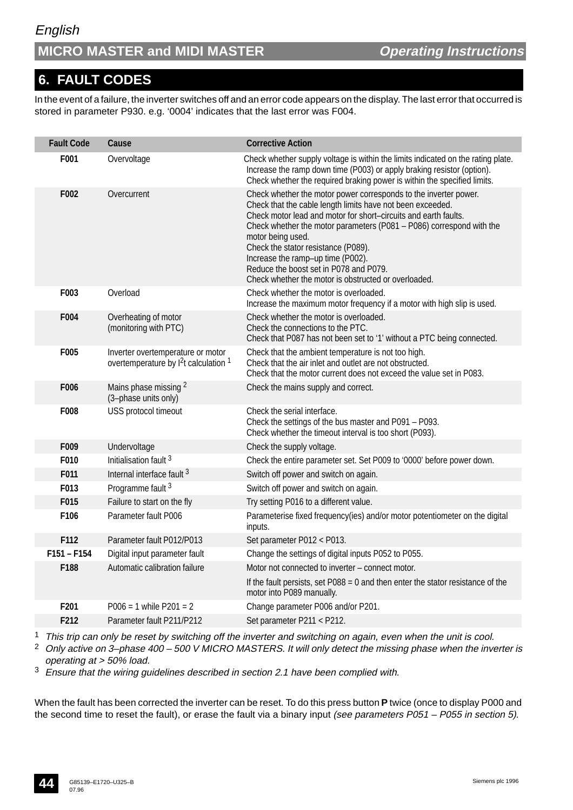### **6. FAULT CODES**

In the event of a failure, the inverter switches off and an error code appears on the display. The last error that occurred is stored in parameter P930. e.g. '0004' indicates that the last error was F004.

| <b>Fault Code</b> | Cause                                                                                             | <b>Corrective Action</b>                                                                                                                                                                                                                                                                                                                                                                                                                                                     |
|-------------------|---------------------------------------------------------------------------------------------------|------------------------------------------------------------------------------------------------------------------------------------------------------------------------------------------------------------------------------------------------------------------------------------------------------------------------------------------------------------------------------------------------------------------------------------------------------------------------------|
| F001              | Overvoltage                                                                                       | Check whether supply voltage is within the limits indicated on the rating plate.<br>Increase the ramp down time (P003) or apply braking resistor (option).<br>Check whether the required braking power is within the specified limits.                                                                                                                                                                                                                                       |
| F002              | Overcurrent                                                                                       | Check whether the motor power corresponds to the inverter power.<br>Check that the cable length limits have not been exceeded.<br>Check motor lead and motor for short-circuits and earth faults.<br>Check whether the motor parameters (P081 - P086) correspond with the<br>motor being used.<br>Check the stator resistance (P089).<br>Increase the ramp-up time (P002).<br>Reduce the boost set in P078 and P079.<br>Check whether the motor is obstructed or overloaded. |
| F003              | Overload                                                                                          | Check whether the motor is overloaded.<br>Increase the maximum motor frequency if a motor with high slip is used.                                                                                                                                                                                                                                                                                                                                                            |
| F004              | Overheating of motor<br>(monitoring with PTC)                                                     | Check whether the motor is overloaded.<br>Check the connections to the PTC.<br>Check that P087 has not been set to '1' without a PTC being connected.                                                                                                                                                                                                                                                                                                                        |
| F005              | Inverter overtemperature or motor<br>overtemperature by I <sup>2</sup> t calculation <sup>1</sup> | Check that the ambient temperature is not too high.<br>Check that the air inlet and outlet are not obstructed.<br>Check that the motor current does not exceed the value set in P083.                                                                                                                                                                                                                                                                                        |
| F006              | Mains phase missing 2<br>(3-phase units only)                                                     | Check the mains supply and correct.                                                                                                                                                                                                                                                                                                                                                                                                                                          |
| F008              | USS protocol timeout                                                                              | Check the serial interface.<br>Check the settings of the bus master and P091 - P093.<br>Check whether the timeout interval is too short (P093).                                                                                                                                                                                                                                                                                                                              |
| F009              | Undervoltage                                                                                      | Check the supply voltage.                                                                                                                                                                                                                                                                                                                                                                                                                                                    |
| F010              | Initialisation fault 3                                                                            | Check the entire parameter set. Set P009 to '0000' before power down.                                                                                                                                                                                                                                                                                                                                                                                                        |
| F011              | Internal interface fault 3                                                                        | Switch off power and switch on again.                                                                                                                                                                                                                                                                                                                                                                                                                                        |
| F013              | Programme fault 3                                                                                 | Switch off power and switch on again.                                                                                                                                                                                                                                                                                                                                                                                                                                        |
| F015              | Failure to start on the fly                                                                       | Try setting P016 to a different value.                                                                                                                                                                                                                                                                                                                                                                                                                                       |
| F106              | Parameter fault P006                                                                              | Parameterise fixed frequency(ies) and/or motor potentiometer on the digital<br>inputs.                                                                                                                                                                                                                                                                                                                                                                                       |
| F112              | Parameter fault P012/P013                                                                         | Set parameter P012 < P013.                                                                                                                                                                                                                                                                                                                                                                                                                                                   |
| $F151 - F154$     | Digital input parameter fault                                                                     | Change the settings of digital inputs P052 to P055.                                                                                                                                                                                                                                                                                                                                                                                                                          |
| F188              | Automatic calibration failure                                                                     | Motor not connected to inverter – connect motor.                                                                                                                                                                                                                                                                                                                                                                                                                             |
|                   |                                                                                                   | If the fault persists, set $P088 = 0$ and then enter the stator resistance of the<br>motor into P089 manually.                                                                                                                                                                                                                                                                                                                                                               |
| F201              | $P006 = 1$ while $P201 = 2$                                                                       | Change parameter P006 and/or P201.                                                                                                                                                                                                                                                                                                                                                                                                                                           |
| F <sub>212</sub>  | Parameter fault P211/P212                                                                         | Set parameter P211 < P212.                                                                                                                                                                                                                                                                                                                                                                                                                                                   |

 $1$  This trip can only be reset by switching off the inverter and switching on again, even when the unit is cool.

<sup>2</sup> Only active on 3–phase  $400 - 500$  V MICRO MASTERS. It will only detect the missing phase when the inverter is operating at > 50% load.

<sup>3</sup> Ensure that the wiring guidelines described in section 2.1 have been complied with.

When the fault has been corrected the inverter can be reset. To do this press button **P** twice (once to display P000 and the second time to reset the fault), or erase the fault via a binary input (see parameters P051 – P055 in section 5).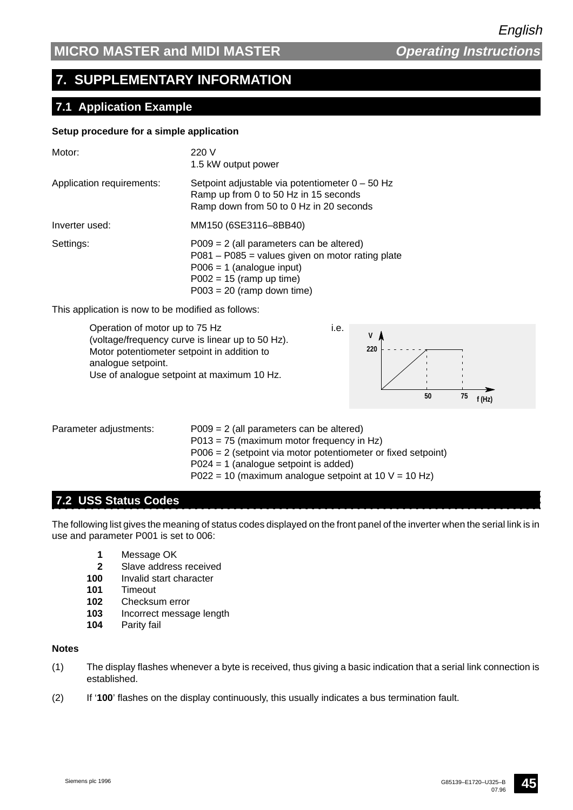### **7. SUPPLEMENTARY INFORMATION**

#### **7.1 Application Example**

#### **Setup procedure for a simple application**

| Motor:                    | 220 V<br>1.5 kW output power                                                                                                                                                                  |
|---------------------------|-----------------------------------------------------------------------------------------------------------------------------------------------------------------------------------------------|
| Application requirements: | Setpoint adjustable via potentiometer $0 - 50$ Hz<br>Ramp up from 0 to 50 Hz in 15 seconds<br>Ramp down from 50 to 0 Hz in 20 seconds                                                         |
| Inverter used:            | MM150 (6SE3116-8BB40)                                                                                                                                                                         |
| Settings:                 | $P009 = 2$ (all parameters can be altered)<br>$P081 - P085 =$ values given on motor rating plate<br>$P006 = 1$ (analogue input)<br>$P002 = 15$ (ramp up time)<br>$P003 = 20$ (ramp down time) |

This application is now to be modified as follows:

Operation of motor up to 75 Hz (voltage/frequency curve is linear up to 50 Hz). Motor potentiometer setpoint in addition to analogue setpoint. Use of analogue setpoint at maximum 10 Hz.



| Parameter adjustments: | $P009 = 2$ (all parameters can be altered)                      |
|------------------------|-----------------------------------------------------------------|
|                        | $P013 = 75$ (maximum motor frequency in Hz)                     |
|                        | $P006 = 2$ (setpoint via motor potentiometer or fixed setpoint) |
|                        | $P024 = 1$ (analogue setpoint is added)                         |
|                        | P022 = 10 (maximum analogue setpoint at 10 $V = 10$ Hz)         |

### **7.2 USS Status Codes**

The following list gives the meaning of status codes displayed on the front panel of the inverter when the serial link is in use and parameter P001 is set to 006:

- 1 Message OK
- **002** Slave address received
- **100** Invalid start character
- **101** Timeout
- **102** Checksum error
- **103** Incorrect message length
- **104** Parity fail

#### **Notes**

- (1) The display flashes whenever a byte is received, thus giving a basic indication that a serial link connection is established.
- (2) If '**100**' flashes on the display continuously, this usually indicates a bus termination fault.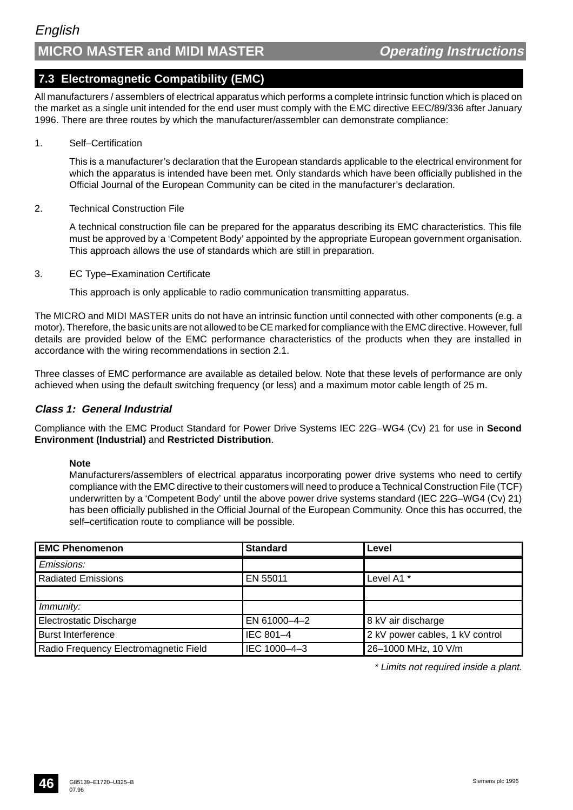#### **7.3 Electromagnetic Compatibility (EMC)**

All manufacturers / assemblers of electrical apparatus which performs a complete intrinsic function which is placed on the market as a single unit intended for the end user must comply with the EMC directive EEC/89/336 after January 1996. There are three routes by which the manufacturer/assembler can demonstrate compliance:

1. Self–Certification

This is a manufacturer's declaration that the European standards applicable to the electrical environment for which the apparatus is intended have been met. Only standards which have been officially published in the Official Journal of the European Community can be cited in the manufacturer's declaration.

2. Technical Construction File

A technical construction file can be prepared for the apparatus describing its EMC characteristics. This file must be approved by a 'Competent Body' appointed by the appropriate European government organisation. This approach allows the use of standards which are still in preparation.

3. EC Type–Examination Certificate

This approach is only applicable to radio communication transmitting apparatus.

The MICRO and MIDI MASTER units do not have an intrinsic function until connected with other components (e.g. a motor). Therefore, the basic units are not allowed to be CE marked for compliance with the EMC directive. However, full details are provided below of the EMC performance characteristics of the products when they are installed in accordance with the wiring recommendations in section 2.1.

Three classes of EMC performance are available as detailed below. Note that these levels of performance are only achieved when using the default switching frequency (or less) and a maximum motor cable length of 25 m.

#### **Class 1: General Industrial**

Compliance with the EMC Product Standard for Power Drive Systems IEC 22G–WG4 (Cv) 21 for use in **Second Environment (Industrial)** and **Restricted Distribution**.

#### **Note**

Manufacturers/assemblers of electrical apparatus incorporating power drive systems who need to certify compliance with the EMC directive to their customers will need to produce a Technical Construction File (TCF) underwritten by a 'Competent Body' until the above power drive systems standard (IEC 22G–WG4 (Cv) 21) has been officially published in the Official Journal of the European Community. Once this has occurred, the self–certification route to compliance will be possible.

| <b>EMC Phenomenon</b>                 | <b>Standard</b> | Level                           |
|---------------------------------------|-----------------|---------------------------------|
| Emissions:                            |                 |                                 |
| <b>Radiated Emissions</b>             | EN 55011        | Level A1 *                      |
|                                       |                 |                                 |
| Immunity:                             |                 |                                 |
| <b>Electrostatic Discharge</b>        | EN 61000-4-2    | 8 kV air discharge              |
| <b>Burst Interference</b>             | IEC 801-4       | 2 kV power cables, 1 kV control |
| Radio Frequency Electromagnetic Field | IEC 1000-4-3    | 26-1000 MHz, 10 V/m             |

\* Limits not required inside a plant.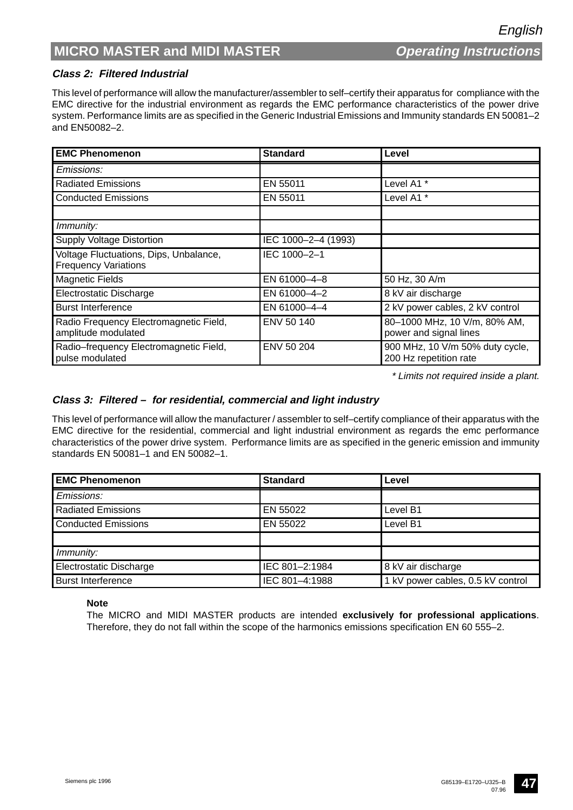#### **Class 2: Filtered Industrial**

This level of performance will allow the manufacturer/assembler to self–certify their apparatus for compliance with the EMC directive for the industrial environment as regards the EMC performance characteristics of the power drive system. Performance limits are as specified in the Generic Industrial Emissions and Immunity standards EN 50081–2 and EN50082–2.

| <b>EMC Phenomenon</b>                                                 | <b>Standard</b>     | Level                                                     |
|-----------------------------------------------------------------------|---------------------|-----------------------------------------------------------|
| <i><b>Emissions:</b></i>                                              |                     |                                                           |
| <b>Radiated Emissions</b>                                             | EN 55011            | Level A1 *                                                |
| <b>Conducted Emissions</b>                                            | EN 55011            | Level A1 *                                                |
|                                                                       |                     |                                                           |
| <i>Immunity:</i>                                                      |                     |                                                           |
| <b>Supply Voltage Distortion</b>                                      | IEC 1000-2-4 (1993) |                                                           |
| Voltage Fluctuations, Dips, Unbalance,<br><b>Frequency Variations</b> | IEC 1000-2-1        |                                                           |
| <b>Magnetic Fields</b>                                                | EN 61000-4-8        | 50 Hz, 30 A/m                                             |
| Electrostatic Discharge                                               | EN 61000-4-2        | 8 kV air discharge                                        |
| <b>Burst Interference</b>                                             | EN 61000-4-4        | 2 kV power cables, 2 kV control                           |
| Radio Frequency Electromagnetic Field,<br>amplitude modulated         | ENV 50 140          | 80-1000 MHz, 10 V/m, 80% AM,<br>power and signal lines    |
| Radio-frequency Electromagnetic Field,<br>pulse modulated             | ENV 50 204          | 900 MHz, 10 V/m 50% duty cycle,<br>200 Hz repetition rate |

\* Limits not required inside a plant.

#### **Class 3: Filtered – for residential, commercial and light industry**

This level of performance will allow the manufacturer / assembler to self–certify compliance of their apparatus with the EMC directive for the residential, commercial and light industrial environment as regards the emc performance characteristics of the power drive system. Performance limits are as specified in the generic emission and immunity standards EN 50081–1 and EN 50082–1.

| <b>EMC Phenomenon</b>                                                  | <b>Standard</b> | Level                             |  |
|------------------------------------------------------------------------|-----------------|-----------------------------------|--|
| Emissions:                                                             |                 |                                   |  |
| <b>Radiated Emissions</b><br>EN 55022<br>Level B1                      |                 |                                   |  |
| <b>Conducted Emissions</b>                                             | EN 55022        | Level B1                          |  |
|                                                                        |                 |                                   |  |
| Immunity:                                                              |                 |                                   |  |
| <b>Electrostatic Discharge</b><br>IEC 801-2:1984<br>8 kV air discharge |                 |                                   |  |
| <b>Burst Interference</b><br>IEC 801-4:1988                            |                 | 1 kV power cables, 0.5 kV control |  |

**Note**

The MICRO and MIDI MASTER products are intended **exclusively for professional applications**. Therefore, they do not fall within the scope of the harmonics emissions specification EN 60 555–2.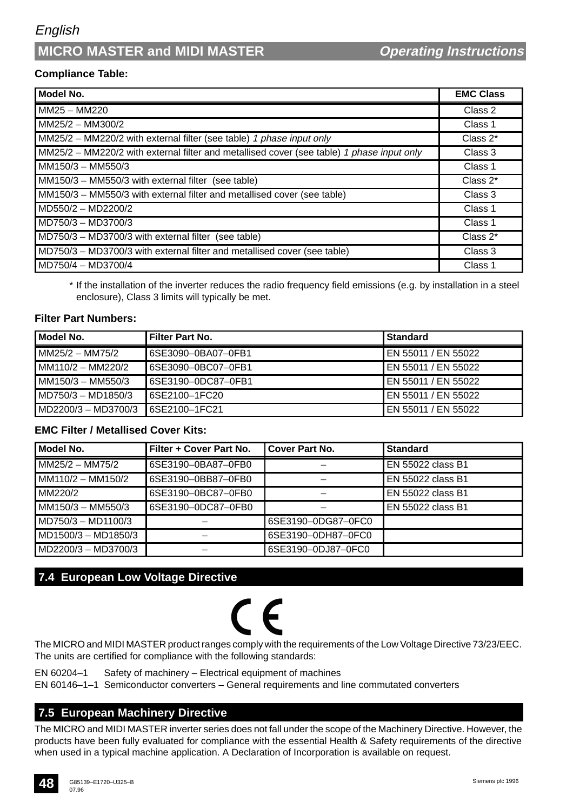# **MICRO MASTER and MIDI MASTER**

#### **Compliance Table:**

| Model No.                                                                                 | <b>EMC Class</b> |
|-------------------------------------------------------------------------------------------|------------------|
| MM25 - MM220                                                                              | Class 2          |
| MM25/2 - MM300/2                                                                          | Class 1          |
| MM25/2 - MM220/2 with external filter (see table) 1 phase input only                      | Class 2*         |
| MM25/2 - MM220/2 with external filter and metallised cover (see table) 1 phase input only | Class 3          |
| MM150/3 - MM550/3                                                                         | Class 1          |
| MM150/3 - MM550/3 with external filter (see table)                                        | Class 2*         |
| MM150/3 - MM550/3 with external filter and metallised cover (see table)                   | Class 3          |
| MD550/2 - MD2200/2                                                                        | Class 1          |
| MD750/3 - MD3700/3                                                                        | Class 1          |
| MD750/3 - MD3700/3 with external filter (see table)                                       | Class 2*         |
| MD750/3 - MD3700/3 with external filter and metallised cover (see table)                  | Class 3          |
| MD750/4 - MD3700/4                                                                        | Class 1          |

\* If the installation of the inverter reduces the radio frequency field emissions (e.g. by installation in a steel enclosure), Class 3 limits will typically be met.

#### **Filter Part Numbers:**

| Model No.           | Filter Part No.    | l Standard          |
|---------------------|--------------------|---------------------|
| MM25/2 - MM75/2     | 6SE3090-0BA07-0FB1 | EN 55011 / EN 55022 |
| MM110/2 - MM220/2   | 6SE3090-0BC07-0FB1 | EN 55011 / EN 55022 |
| MM150/3 - MM550/3   | 6SE3190-0DC87-0FB1 | EN 55011 / EN 55022 |
| MD750/3 - MD1850/3  | 6SE2100-1FC20      | EN 55011 / EN 55022 |
| MD2200/3 - MD3700/3 | 6SE2100-1FC21      | EN 55011 / EN 55022 |

#### **EMC Filter / Metallised Cover Kits:**

| Model No.           | Filter + Cover Part No. | Cover Part No.     | <b>Standard</b>   |
|---------------------|-------------------------|--------------------|-------------------|
| MM25/2 - MM75/2     | 6SE3190-0BA87-0FB0      |                    | EN 55022 class B1 |
| MM110/2 - MM150/2   | 6SE3190-0BB87-0FB0      |                    | EN 55022 class B1 |
| MM220/2             | 6SE3190-0BC87-0FB0      |                    | EN 55022 class B1 |
| MM150/3 - MM550/3   | 6SE3190-0DC87-0FB0      |                    | EN 55022 class B1 |
| MD750/3 - MD1100/3  |                         | 6SE3190-0DG87-0FC0 |                   |
| MD1500/3 - MD1850/3 |                         | 6SE3190-0DH87-0FC0 |                   |
| MD2200/3 - MD3700/3 |                         | 6SE3190-0DJ87-0FC0 |                   |

### **7.4 European Low Voltage Directive**



The MICRO and MIDI MASTER product ranges comply with the requirements of the Low Voltage Directive 73/23/EEC. The units are certified for compliance with the following standards:

EN 60204–1 Safety of machinery – Electrical equipment of machines

EN 60146–1–1 Semiconductor converters – General requirements and line commutated converters

#### **7.5 European Machinery Directive**

The MICRO and MIDI MASTER inverter series does not fall under the scope of the Machinery Directive. However, the products have been fully evaluated for compliance with the essential Health & Safety requirements of the directive when used in a typical machine application. A Declaration of Incorporation is available on request.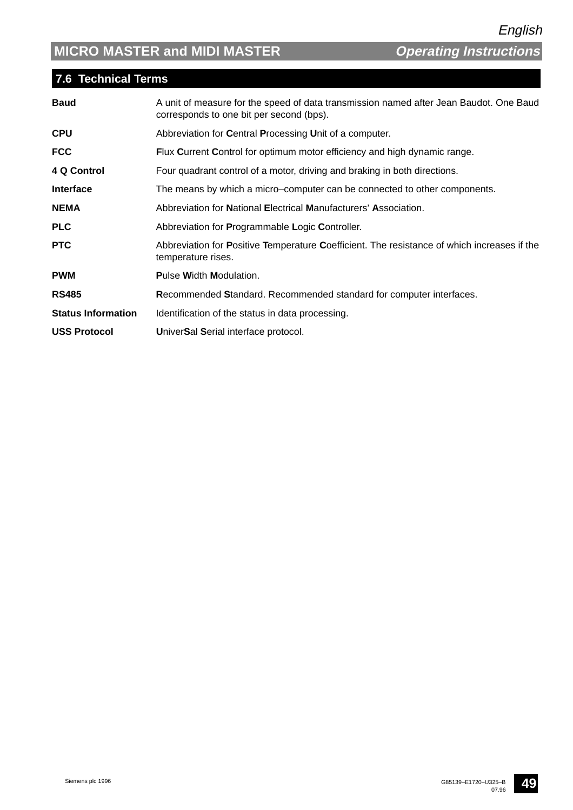**Operating Instructions**

# **7.6 Technical Terms**

| <b>Baud</b>               | A unit of measure for the speed of data transmission named after Jean Baudot. One Baud<br>corresponds to one bit per second (bps). |
|---------------------------|------------------------------------------------------------------------------------------------------------------------------------|
| <b>CPU</b>                | Abbreviation for Central Processing Unit of a computer.                                                                            |
| <b>FCC</b>                | Flux Current Control for optimum motor efficiency and high dynamic range.                                                          |
| 4 Q Control               | Four quadrant control of a motor, driving and braking in both directions.                                                          |
| <b>Interface</b>          | The means by which a micro-computer can be connected to other components.                                                          |
| <b>NEMA</b>               | Abbreviation for National Electrical Manufacturers' Association.                                                                   |
| <b>PLC</b>                | Abbreviation for Programmable Logic Controller.                                                                                    |
| <b>PTC</b>                | Abbreviation for <b>Positive Temperature Coefficient</b> . The resistance of which increases if the<br>temperature rises.          |
| <b>PWM</b>                | <b>Pulse Width Modulation.</b>                                                                                                     |
| <b>RS485</b>              | Recommended Standard. Recommended standard for computer interfaces.                                                                |
| <b>Status Information</b> | Identification of the status in data processing.                                                                                   |
| <b>USS Protocol</b>       | UniverSal Serial interface protocol.                                                                                               |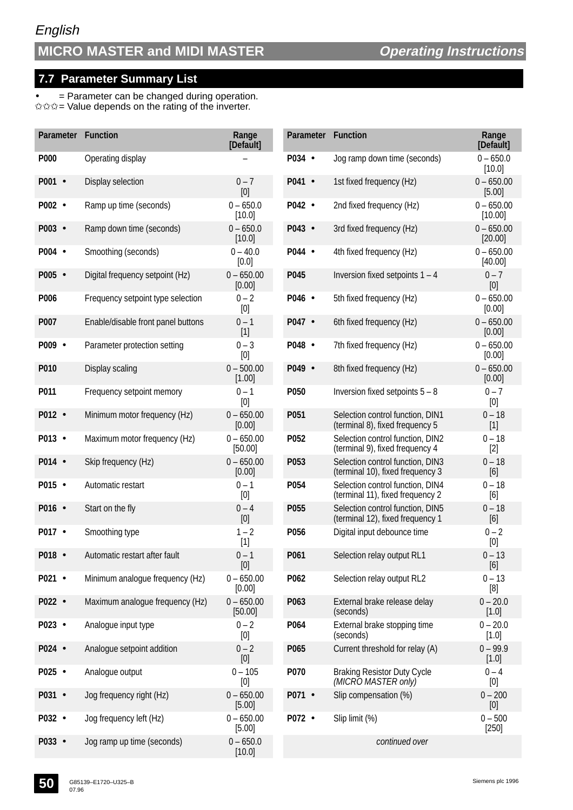### **7.7 Parameter Summary List**

• = Parameter can be changed during operation. <del>**☆☆☆= Value depends on the rating of the inverter.**</del>

| <b>Parameter Function</b> |                                    | Range<br>[Default]      | <b>Parameter Function</b> |                                                                      | Range<br>[Default]      |
|---------------------------|------------------------------------|-------------------------|---------------------------|----------------------------------------------------------------------|-------------------------|
| P000                      | Operating display                  |                         | P034 .                    | Jog ramp down time (seconds)                                         | $0 - 650.0$<br>[10.0]   |
| P001 •                    | Display selection                  | $0 - 7$<br>[0]          | P041 •                    | 1st fixed frequency (Hz)                                             | $0 - 650.00$<br>[5.00]  |
| P002 ·                    | Ramp up time (seconds)             | $0 - 650.0$<br>[10.0]   | P042 .                    | 2nd fixed frequency (Hz)                                             | $0 - 650.00$<br>[10.00] |
| P003 ·                    | Ramp down time (seconds)           | $0 - 650.0$<br>[10.0]   | P043 •                    | 3rd fixed frequency (Hz)                                             | $0 - 650.00$<br>[20.00] |
| P004 ·                    | Smoothing (seconds)                | $0 - 40.0$<br>[0.0]     | P044 •                    | 4th fixed frequency (Hz)                                             | $0 - 650.00$<br>[40.00] |
| P005 ·                    | Digital frequency setpoint (Hz)    | $0 - 650.00$<br>[0.00]  | P045                      | Inversion fixed setpoints $1 - 4$                                    | $0 - 7$<br>[0]          |
| P006                      | Frequency setpoint type selection  | $0 - 2$<br>[0]          | P046 ·                    | 5th fixed frequency (Hz)                                             | $0 - 650.00$<br>[0.00]  |
| P007                      | Enable/disable front panel buttons | $0 - 1$<br>$[1]$        | P047 •                    | 6th fixed frequency (Hz)                                             | $0 - 650.00$<br>[0.00]  |
| P009 ·                    | Parameter protection setting       | $0 - 3$<br>[0]          | P048 •                    | 7th fixed frequency (Hz)                                             | $0 - 650.00$<br>[0.00]  |
| P010                      | Display scaling                    | $0 - 500.00$<br>[1.00]  | P049 ·                    | 8th fixed frequency (Hz)                                             | $0 - 650.00$<br>[0.00]  |
| P011                      | Frequency setpoint memory          | $0 - 1$<br>[0]          | P050                      | Inversion fixed setpoints 5 - 8                                      | $0 - 7$<br>[0]          |
| P012 •                    | Minimum motor frequency (Hz)       | $0 - 650.00$<br>[0.00]  | P051                      | Selection control function, DIN1<br>(terminal 8), fixed frequency 5  | $0 - 18$<br>$[1]$       |
| P013 •                    | Maximum motor frequency (Hz)       | $0 - 650.00$<br>[50.00] | P052                      | Selection control function, DIN2<br>(terminal 9), fixed frequency 4  | $0 - 18$<br>$[2]$       |
| P014 ·                    | Skip frequency (Hz)                | $0 - 650.00$<br>[0.00]  | P053                      | Selection control function, DIN3<br>(terminal 10), fixed frequency 3 | $0 - 18$<br>[6]         |
| P015 •                    | Automatic restart                  | $0 - 1$<br>[0]          | P054                      | Selection control function, DIN4<br>(terminal 11), fixed frequency 2 | $0 - 18$<br>[6]         |
| P016 ·                    | Start on the fly                   | $0 - 4$<br>[0]          | P055                      | Selection control function, DIN5<br>(terminal 12), fixed frequency 1 | $0 - 18$<br>[6]         |
| P017 •                    | Smoothing type                     | $1 - 2$<br>$[1]$        | P056                      | Digital input debounce time                                          | $0 - 2$<br>[0]          |
| P018 •                    | Automatic restart after fault      | $0 - 1$<br>[0]          | P061                      | Selection relay output RL1                                           | $0 - 13$<br>[6]         |
| P021 •                    | Minimum analogue frequency (Hz)    | $0 - 650.00$<br>[0.00]  | P062                      | Selection relay output RL2                                           | $0 - 13$<br>[8]         |
| P022 •                    | Maximum analogue frequency (Hz)    | $0 - 650.00$<br>[50.00] | P063                      | External brake release delay<br>(seconds)                            | $0 - 20.0$<br>$[1.0]$   |
| P023 •                    | Analogue input type                | $0 - 2$<br>[0]          | P064                      | External brake stopping time<br>(seconds)                            | $0 - 20.0$<br>$[1.0]$   |
| P024 •                    | Analogue setpoint addition         | $0 - 2$<br>[0]          | P065                      | Current threshold for relay (A)                                      | $0 - 99.9$<br>$[1.0]$   |
| P025 •                    | Analogue output                    | $0 - 105$<br>[0]        | P070                      | <b>Braking Resistor Duty Cycle</b><br>(MICRO MASTER only)            | $0 - 4$<br>[0]          |
| P031 .                    | Jog frequency right (Hz)           | $0 - 650.00$<br>[5.00]  | P071 •                    | Slip compensation (%)                                                | $0 - 200$<br>[0]        |
| P032 .                    | Jog frequency left (Hz)            | $0 - 650.00$<br>[5.00]  | P072 •                    | Slip limit (%)                                                       | $0 - 500$<br>$[250]$    |
| P033 ·                    | Jog ramp up time (seconds)         | $0 - 650.0$<br>[10.0]   |                           | continued over                                                       |                         |
|                           |                                    |                         |                           |                                                                      |                         |

| <b>Parameter</b> | <b>Function</b>                                                      | Range<br>[Default]      |
|------------------|----------------------------------------------------------------------|-------------------------|
| $P034$ $\bullet$ | Jog ramp down time (seconds)                                         | $0 - 650.0$<br>[10.0]   |
| P041 •           | 1st fixed frequency (Hz)                                             | $0 - 650.00$<br>[5.00]  |
| $P042$ $\bullet$ | 2nd fixed frequency (Hz)                                             | $0 - 650.00$<br>[10.00] |
| $P043$ $\bullet$ | 3rd fixed frequency (Hz)                                             | $0 - 650.00$<br>[20.00] |
| $P044$ $\bullet$ | 4th fixed frequency (Hz)                                             | $0 - 650.00$<br>[40.00] |
| P045             | Inversion fixed setpoints 1 - 4                                      | $0 - 7$<br>[0]          |
| $P046$ $\bullet$ | 5th fixed frequency (Hz)                                             | $0 - 650.00$<br>[0.00]  |
| P047             | 6th fixed frequency (Hz)                                             | $0 - 650.00$<br>[0.00]  |
| $P048$ $\bullet$ | 7th fixed frequency (Hz)                                             | $0 - 650.00$<br>[0.00]  |
| P049 ·           | 8th fixed frequency (Hz)                                             | $0 - 650.00$<br>[0.00]  |
| P050             | Inversion fixed setpoints 5 - 8                                      | $0 - 7$<br>[0]          |
| P051             | Selection control function, DIN1<br>(terminal 8), fixed frequency 5  | $0 - 18$<br>$[1]$       |
| P052             | Selection control function, DIN2<br>(terminal 9), fixed frequency 4  | $0 - 18$<br>$[2]$       |
| P053             | Selection control function, DIN3<br>(terminal 10), fixed frequency 3 | $0 - 18$<br>[6]         |
| P054             | Selection control function, DIN4<br>(terminal 11), fixed frequency 2 | $0 - 18$<br>[6]         |
| P055             | Selection control function, DIN5<br>(terminal 12), fixed frequency 1 | $0 - 18$<br>[6]         |
| P056             | Digital input debounce time                                          | $0 - 2$<br>[0]          |
| P061             | Selection relay output RL1                                           | $0 - 13$<br>[6]         |
| P062             | Selection relay output RL2                                           | $0 - 13$<br>[8]         |
| P063             | External brake release delay<br>(seconds)                            | $0 - 20.0$<br>$[1.0]$   |
| P064             | External brake stopping time<br>(seconds)                            | $0 - 20.0$<br>$[1.0]$   |
| P065             | Current threshold for relay (A)                                      | $0 - 99.9$<br>[1.0]     |
| P070             | <b>Braking Resistor Duty Cycle</b><br>(MICRO MASTER only)            | $0 - 4$<br>[0]          |
| $P071$ $\bullet$ | Slip compensation (%)                                                | $0 - 200$<br>[0]        |
| P072             | Slip limit (%)                                                       | $0 - 500$<br>$[250]$    |
|                  | continued over                                                       |                         |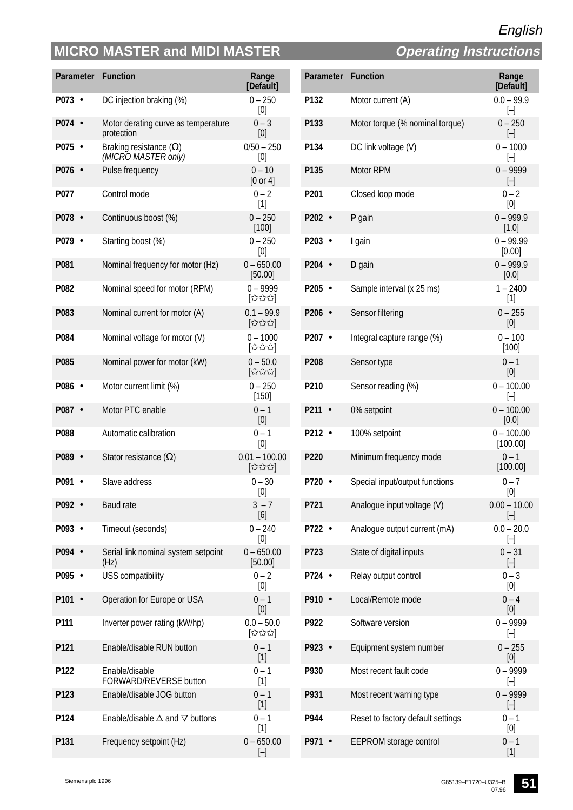# **MICRO MASTER and MIDI MASTER**

| Parameter Function |                                                      | Range<br>[Default]                                   | <b>Parameter Function</b> |                                   | Range<br>[Default]                        |
|--------------------|------------------------------------------------------|------------------------------------------------------|---------------------------|-----------------------------------|-------------------------------------------|
| P073 •             | DC injection braking (%)                             | $0 - 250$<br>[0]                                     | P132                      | Motor current (A)                 | $0.0 - 99.9$<br>$[\mathord{\text{--}}]$   |
| P074 •             | Motor derating curve as temperature<br>protection    | $0 - 3$<br>[0]                                       | P133                      | Motor torque (% nominal torque)   | $0 - 250$                                 |
| P075 ·             | Braking resistance $(\Omega)$<br>(MICRO MASTER only) | $0/50 - 250$<br>[0]                                  | P134                      | DC link voltage (V)               | $0 - 1000$<br>$[\mathord{\text{-}}]$      |
| P076 ·             | Pulse frequency                                      | $0 - 10$<br>$[0 \text{ or } 4]$                      | P135                      | Motor RPM                         | $0 - 9999$<br>$[\cdot]$                   |
| P077               | Control mode                                         | $0 - 2$<br>$[1]$                                     | P201                      | Closed loop mode                  | $0 - 2$<br>[0]                            |
| P078 ·             | Continuous boost (%)                                 | $0 - 250$<br>$[100]$                                 | P202 ·                    | P gain                            | $0 - 999.9$<br>[1.0]                      |
| $P079$ $\bullet$   | Starting boost (%)                                   | $0 - 250$<br>[0]                                     | P203 ·                    | I gain                            | $0 - 99.99$<br>[0.00]                     |
| P081               | Nominal frequency for motor (Hz)                     | $0 - 650.00$<br>[50.00]                              | P204 ·                    | D gain                            | $0 - 999.9$<br>[0.0]                      |
| P082               | Nominal speed for motor (RPM)                        | $0 - 9999$<br>[☆☆☆]                                  | P205 ·                    | Sample interval (x 25 ms)         | $1 - 2400$<br>$[1]$                       |
| P083               | Nominal current for motor (A)                        | $0.1 - 99.9$<br>$[\forall x \forall x]$              | P206 ·                    | Sensor filtering                  | $0 - 255$<br>[0]                          |
| P084               | Nominal voltage for motor (V)                        | $0 - 1000$<br>[☆☆☆]                                  | P207 ·                    | Integral capture range (%)        | $0 - 100$<br>$[100]$                      |
| P085               | Nominal power for motor (kW)                         | $0 - 50.0$<br>$[\forall x \forall x]$                | P208                      | Sensor type                       | $0 - 1$<br>[0]                            |
| P086 ·             | Motor current limit (%)                              | $0 - 250$<br>$[150]$                                 | P210                      | Sensor reading (%)                | $0 - 100.00$<br>$[\mathord{\text{--}}]$   |
| P087 ·             | Motor PTC enable                                     | $0 - 1$<br>[0]                                       | P211 •                    | 0% setpoint                       | $0 - 100.00$<br>[0.0]                     |
| P088               | Automatic calibration                                | $0 - 1$<br>[0]                                       | P212 •                    | 100% setpoint                     | $0 - 100.00$<br>[100.00]                  |
| P089 ·             | Stator resistance $(\Omega)$                         | $0.01 - 100.00$<br>[☆☆☆]                             | P220                      | Minimum frequency mode            | $0 - 1$<br>[100.00]                       |
| P091 •             | Slave address                                        | $0 - 30$<br>[0]                                      | $P720$ $\bullet$          | Special input/output functions    | $0 - 7$<br>[0]                            |
| P092 ·             | <b>Baud rate</b>                                     | $3 - 7$<br>[6]                                       | P721                      | Analogue input voltage (V)        | $0.00 - 10.00$<br>$[\mathord{\text{--}}]$ |
| P093 ·             | Timeout (seconds)                                    | $0 - 240$<br>[0]                                     | P722 •                    | Analogue output current (mA)      | $0.0 - 20.0$<br>$[\mathord{\text{--}}]$   |
| P094 •             | Serial link nominal system setpoint<br>(Hz)          | $0 - 650.00$<br>[50.00]                              | P723                      | State of digital inputs           | $0 - 31$<br>$[\mathord{\text{-}}]$        |
| P095 ·             | <b>USS compatibility</b>                             | $0 - 2$<br>[0]                                       | P724 •                    | Relay output control              | $0 - 3$<br>[0]                            |
| P101 •             | Operation for Europe or USA                          | $0 - 1$<br>[0]                                       | P910 ·                    | Local/Remote mode                 | $0 - 4$<br>[0]                            |
| P111               | Inverter power rating (kW/hp)                        | $0.0 - 50.0$<br>$[\mathbb{X} \mathbb{X} \mathbb{X}]$ | P922                      | Software version                  | $0 - 9999$<br>$[\mathord{\text{--}}]$     |
| P121               | Enable/disable RUN button                            | $0 - 1$<br>$[1]$                                     | P923 ·                    | Equipment system number           | $0 - 255$<br>[0]                          |
| P122               | Enable/disable<br><b>FORWARD/REVERSE button</b>      | $0 - 1$<br>$[1]$                                     | P930                      | Most recent fault code            | $0 - 9999$<br>$[\mathord{\text{--}}]$     |
| P123               | Enable/disable JOG button                            | $0 - 1$<br>$[1]$                                     | P931                      | Most recent warning type          | $0 - 9999$<br>$[ - ]$                     |
| P124               | Enable/disable $\Delta$ and $\nabla$ buttons         | $0 - 1$<br>$[1]$                                     | P944                      | Reset to factory default settings | $0 - 1$<br>[0]                            |
| P131               | Frequency setpoint (Hz)                              | $0 - 650.00$<br>$[\mathord{\text{--}}]$              | P971 •                    | <b>EEPROM</b> storage control     | $0 - 1$<br>$[1]$                          |